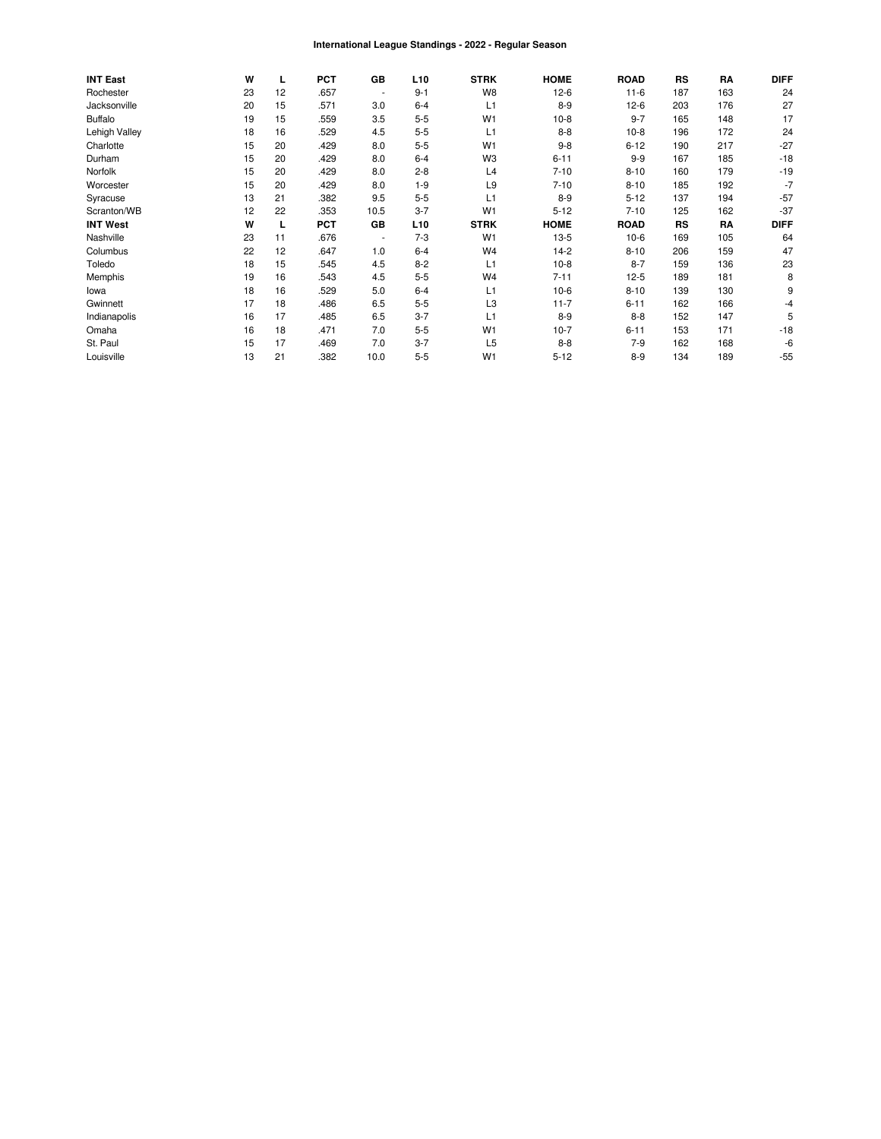#### International League Standings - 2022 - Regular Season

| <b>INT East</b> | W  | L  | <b>PCT</b> | GB             | L <sub>10</sub> | <b>STRK</b>    | <b>HOME</b> | <b>ROAD</b> | RS        | RA  | <b>DIFF</b> |
|-----------------|----|----|------------|----------------|-----------------|----------------|-------------|-------------|-----------|-----|-------------|
| Rochester       | 23 | 12 | .657       | $\blacksquare$ | $9 - 1$         | W <sub>8</sub> | $12-6$      | $11-6$      | 187       | 163 | 24          |
| Jacksonville    | 20 | 15 | .571       | 3.0            | $6 - 4$         | L1             | $8 - 9$     | $12-6$      | 203       | 176 | 27          |
| <b>Buffalo</b>  | 19 | 15 | .559       | 3.5            | $5 - 5$         | W <sub>1</sub> | $10-8$      | $9 - 7$     | 165       | 148 | 17          |
| Lehigh Valley   | 18 | 16 | .529       | 4.5            | $5-5$           | L1             | $8 - 8$     | $10-8$      | 196       | 172 | 24          |
| Charlotte       | 15 | 20 | .429       | 8.0            | $5 - 5$         | W <sub>1</sub> | $9 - 8$     | $6 - 12$    | 190       | 217 | $-27$       |
| Durham          | 15 | 20 | .429       | 8.0            | $6 - 4$         | W <sub>3</sub> | $6 - 11$    | $9 - 9$     | 167       | 185 | $-18$       |
| Norfolk         | 15 | 20 | .429       | 8.0            | $2 - 8$         | L4             | $7 - 10$    | $8 - 10$    | 160       | 179 | $-19$       |
| Worcester       | 15 | 20 | .429       | 8.0            | $1 - 9$         | L <sub>9</sub> | $7 - 10$    | $8 - 10$    | 185       | 192 | $-7$        |
| Syracuse        | 13 | 21 | .382       | 9.5            | $5-5$           | L1             | $8-9$       | $5 - 12$    | 137       | 194 | $-57$       |
| Scranton/WB     | 12 | 22 | .353       | 10.5           | $3 - 7$         | W <sub>1</sub> | $5 - 12$    | $7 - 10$    | 125       | 162 | $-37$       |
| <b>INT West</b> | W  | L  | <b>PCT</b> | GB             | L <sub>10</sub> | <b>STRK</b>    | <b>HOME</b> | <b>ROAD</b> | <b>RS</b> | RA  | <b>DIFF</b> |
| Nashville       | 23 | 11 | .676       | $\blacksquare$ | $7 - 3$         | W <sub>1</sub> | $13-5$      | $10-6$      | 169       | 105 | 64          |
| Columbus        | 22 | 12 | .647       | 1.0            | $6 - 4$         | W <sub>4</sub> | $14-2$      | $8 - 10$    | 206       | 159 | 47          |
| Toledo          | 18 | 15 | .545       | 4.5            | $8 - 2$         | L1             | $10-8$      | $8 - 7$     | 159       | 136 | 23          |
| Memphis         | 19 | 16 | .543       | 4.5            | $5 - 5$         | W <sub>4</sub> | $7 - 11$    | $12-5$      | 189       | 181 | 8           |
| lowa            | 18 | 16 | .529       | 5.0            | $6 - 4$         | L1             | $10-6$      | $8 - 10$    | 139       | 130 | 9           |
| Gwinnett        | 17 | 18 | .486       | 6.5            | $5-5$           | L3             | $11 - 7$    | $6 - 11$    | 162       | 166 | -4          |
| Indianapolis    | 16 | 17 | .485       | 6.5            | $3 - 7$         | L1             | $8-9$       | $8 - 8$     | 152       | 147 | 5           |
| Omaha           | 16 | 18 | .471       | 7.0            | $5 - 5$         | W <sub>1</sub> | $10-7$      | $6 - 11$    | 153       | 171 | $-18$       |
| St. Paul        | 15 | 17 | .469       | 7.0            | $3 - 7$         | L <sub>5</sub> | $8 - 8$     | $7-9$       | 162       | 168 | -6          |
| Louisville      | 13 | 21 | .382       | 10.0           | $5-5$           | W <sub>1</sub> | $5 - 12$    | $8 - 9$     | 134       | 189 | $-55$       |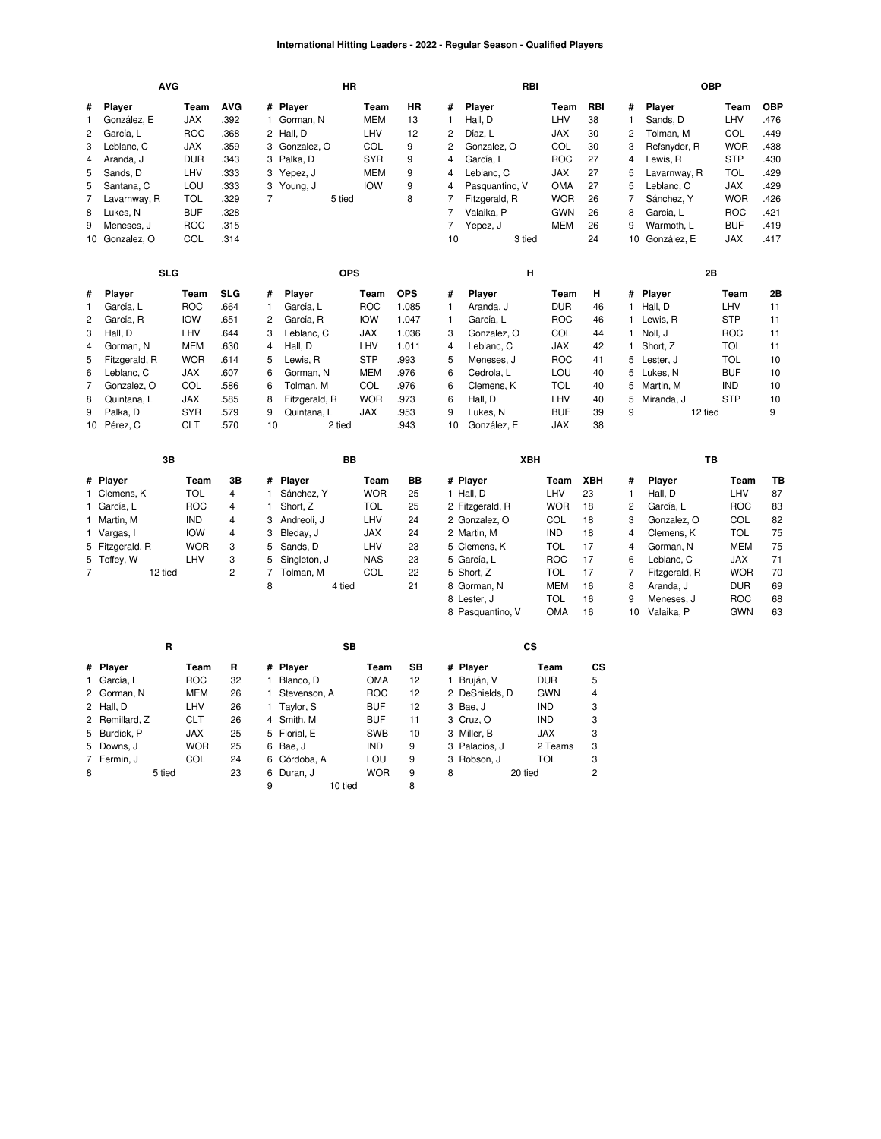## **International Hitting Leaders - 2022 - Regular Season - Qualified Players**

|                | <b>AVG</b>               |            |                         |                | <b>HR</b>              |                   |            |                | RBI                    |            |                     |                | <b>OBP</b>    |            |            |
|----------------|--------------------------|------------|-------------------------|----------------|------------------------|-------------------|------------|----------------|------------------------|------------|---------------------|----------------|---------------|------------|------------|
| #              | Player                   | Team       | <b>AVG</b>              | #              | Player                 | Team              | HR         | #              | Player                 | Team       | RBI                 | #              | Player        | Team       | <b>OBP</b> |
| 1              | González, E              | <b>JAX</b> | .392                    | 1              | Gorman, N              | <b>MEM</b>        | 13         | $\mathbf{1}$   | Hall, D                | LHV        | 38                  | $\mathbf{1}$   | Sands, D      | LHV        | 476        |
| $\overline{c}$ | García, L                | <b>ROC</b> | .368                    | 2              | Hall, D                | LHV               | 12         | 2              | Díaz, L                | <b>JAX</b> | 30                  | 2              | Tolman, M     | COL        | .449       |
| 3              | Leblanc, C               | <b>JAX</b> | .359                    | 3              | Gonzalez, O            | COL               | 9          | 2              | Gonzalez, O            | COL        | 30                  | 3              | Refsnyder, R  | <b>WOR</b> | .438       |
| 4              | Aranda, J                | <b>DUR</b> | .343                    | 3              | Palka, D               | <b>SYR</b>        | 9          | 4              | García, L              | <b>ROC</b> | 27                  | 4              | Lewis, R      | <b>STP</b> | .430       |
| 5              | Sands, D                 | LHV        | .333                    | 3              | Yepez, J               | MEM               | 9          | 4              | Leblanc, C             | JAX        | 27                  | 5              | Lavarnway, R  | <b>TOL</b> | .429       |
| 5              | Santana, C               | LOU        | .333                    | 3              | Young, J               | <b>IOW</b>        | 9          | 4              | Pasquantino, V         | OMA        | 27                  | 5              | Leblanc, C    | JAX        | .429       |
| $\overline{7}$ | Lavarnway, R             | <b>TOL</b> | .329                    | $\overline{7}$ | 5 tied                 |                   | 8          | $\overline{7}$ | Fitzgerald, R          | <b>WOR</b> | 26                  | $\overline{7}$ | Sánchez, Y    | <b>WOR</b> | .426       |
| 8              | Lukes, N                 | <b>BUF</b> | .328                    |                |                        |                   |            | 7              | Valaika, P             | <b>GWN</b> | 26                  | 8              | García, L     | <b>ROC</b> | .421       |
| 9              | Meneses, J               | <b>ROC</b> | .315                    |                |                        |                   |            | $\overline{7}$ | Yepez, J               | <b>MEM</b> | 26                  | 9              | Warmoth, L    | <b>BUF</b> | .419       |
|                | 10 Gonzalez, O           | COL        | .314                    |                |                        |                   |            | 10             | 3 tied                 |            | 24                  | 10             | González, E   | <b>JAX</b> | .417       |
|                | <b>SLG</b>               |            |                         |                | <b>OPS</b>             |                   |            |                | H                      |            |                     |                | 2B            |            |            |
| #              | Player                   | Team       | <b>SLG</b>              | #              | Player                 | Team              | <b>OPS</b> | #              | Player                 | Team       | н                   | #              | Player        | Team       | 2Β         |
| 1              | García, L                | <b>ROC</b> | .664                    | 1              | García, L              | <b>ROC</b>        | 1.085      | 1              | Aranda, J              | <b>DUR</b> | 46                  | $\mathbf{1}$   | Hall, D       | LHV        | 11         |
| $\overline{c}$ | García, R                | <b>IOW</b> | .651                    | 2              | García, R              | <b>IOW</b>        | 1.047      | 1              | García, L              | <b>ROC</b> | 46                  | $\mathbf{1}$   | Lewis, R      | <b>STP</b> | 11         |
| 3              | Hall, D                  | LHV        | .644                    | 3              | Leblanc, C             | <b>JAX</b>        | 1.036      | 3              | Gonzalez, O            | COL        | 44                  | 1              | Noll, J       | <b>ROC</b> | 11         |
| 4              | Gorman, N                | <b>MEM</b> | .630                    | 4              | Hall, D                | LHV               | 1.011      | 4              | Leblanc, C             | <b>JAX</b> | 42                  | 1              | Short, Z      | <b>TOL</b> | 11         |
| 5              | Fitzgerald, R            | <b>WOR</b> | .614                    | 5              | Lewis, R               | <b>STP</b>        | .993       | 5              | Meneses, J             | <b>ROC</b> | 41                  |                | 5 Lester, J   | <b>TOL</b> | 10         |
| 6              | Leblanc, C               | <b>JAX</b> | .607                    | 6              | Gorman, N              | <b>MEM</b>        | .976       | 6              | Cedrola, L             | LOU        | 40                  |                | 5 Lukes, N    | <b>BUF</b> | 10         |
| $\overline{7}$ | Gonzalez, O              | COL        | .586                    | 6              | Tolman, M              | COL               | .976       | 6              | Clemens, K             | <b>TOL</b> | 40                  | 5              | Martin, M     | <b>IND</b> | 10         |
| 8              | Quintana, L              | <b>JAX</b> | .585                    | 8              | Fitzgerald, R          | <b>WOR</b>        | .973       | 6              | Hall, D                | LHV        | 40                  | 5              | Miranda, J    | <b>STP</b> | 10         |
| 9              | Palka, D                 | <b>SYR</b> | .579                    | 9              | Quintana, L            | <b>JAX</b>        | .953       | 9              | Lukes, N               | <b>BUF</b> | 39                  | 9              | 12 tied       |            | 9          |
|                | 10 Pérez, C              | <b>CLT</b> | .570                    | 10             | 2 tied                 |                   | .943       | 10             | González, E            | <b>JAX</b> | 38                  |                |               |            |            |
|                |                          |            |                         |                | BB                     |                   |            |                | XBH                    |            |                     |                | TB            |            |            |
|                | 3B                       |            |                         |                |                        |                   |            |                |                        |            |                     |                |               |            | TВ         |
|                |                          | Team       | 3B                      | #              | Player                 | Team              | BВ         |                |                        | Team       | XBH                 | #              | Player        | Team       |            |
|                | # Player<br>1 Clemens, K | <b>TOL</b> | 4                       | 1              | Sánchez, Y             | <b>WOR</b>        | 25         |                | # Player<br>1 Hall, D  | LHV        | 23                  | $\mathbf{1}$   | Hall, D       | LHV        | 87         |
|                | 1 García, L              | <b>ROC</b> | 4                       | 1              | Short, Z               | <b>TOL</b>        | 25         |                | 2 Fitzgerald, R        | <b>WOR</b> | 18                  | $\overline{c}$ | García, L     | <b>ROC</b> | 83         |
|                | 1 Martin, M              | <b>IND</b> | 4                       | 3              | Andreoli, J            | LHV               | 24         |                | 2 Gonzalez, O          | COL        | 18                  | 3              | Gonzalez, O   | COL        | 82         |
|                | 1 Vargas, I              | <b>IOW</b> | $\overline{\mathbf{4}}$ | 3              | Bleday, J              | <b>JAX</b>        | 24         |                | 2 Martin, M            | <b>IND</b> | 18                  | $\overline{4}$ | Clemens, K    | <b>TOL</b> | 75         |
|                | 5 Fitzgerald, R          | <b>WOR</b> | 3                       | 5              | Sands, D               | LHV               | 23         |                | 5 Clemens, K           | <b>TOL</b> | 17                  | $\overline{4}$ | Gorman, N     | <b>MEM</b> | 75         |
|                | 5 Toffey, W              | LHV        | 3                       | 5              | Singleton, J           | <b>NAS</b>        | 23         |                | 5 García, L            | <b>ROC</b> | 17                  | 6              | Leblanc, C    | JAX        | 71         |
| $\overline{7}$ | 12 tied                  |            | $\overline{c}$          | $\overline{7}$ | Tolman, M              | COL               | 22         |                | 5 Short, Z             | <b>TOL</b> | 17                  | $\overline{7}$ | Fitzgerald, R | <b>WOR</b> | 70         |
|                |                          |            |                         | 8              | 4 tied                 |                   | 21         |                | 8 Gorman, N            | <b>MEM</b> | 16                  | 8              | Aranda, J     | <b>DUR</b> | 69         |
|                |                          |            |                         |                |                        |                   |            |                | 8 Lester, J            | <b>TOL</b> | 16                  | 9              | Meneses, J    | <b>ROC</b> | 68         |
|                |                          |            |                         |                |                        |                   |            |                | 8 Pasquantino, V       | OMA        | 16                  | 10             | Valaika, P    | <b>GWN</b> | 63         |
|                | R                        |            |                         |                | SB                     |                   |            |                | <b>CS</b>              |            |                     |                |               |            |            |
| #              | Player                   | Team       | R                       | #              | Player                 | Team              | SB         |                | # Player               | Team       | CS                  |                |               |            |            |
|                | 1 García, L              | <b>ROC</b> | 32                      | 1              | Blanco, D              | <b>OMA</b>        | 12         |                | 1 Bruján, V            | <b>DUR</b> | 5                   |                |               |            |            |
|                | 2 Gorman, N              | MEM        | 26                      | 1              | Stevenson, A           | <b>ROC</b>        | 12         |                | 2 DeShields, D         | GWN        | 4                   |                |               |            |            |
| 2              | Hall, D                  | LHV        | 26                      | 1.             | Taylor, S              | <b>BUF</b>        | 12         |                | 3 Bae, J               | <b>IND</b> | 3                   |                |               |            |            |
|                | 2 Remillard, Z           | <b>CLT</b> | 26                      |                | 4 Smith, M             | <b>BUF</b>        | 11         |                | 3 Cruz, O              | <b>IND</b> | 3                   |                |               |            |            |
| 5              | Burdick, P               | <b>JAX</b> | 25                      | 5              | Florial, E             | <b>SWB</b>        | 10         |                | 3 Miller, B            | <b>JAX</b> | 3                   |                |               |            |            |
| 5              | Downs, J                 | <b>WOR</b> | 25                      | 6              | Bae, J                 | <b>IND</b>        | 9          |                | 3 Palacios, J          | 2 Teams    | 3                   |                |               |            |            |
| 7<br>8         | Fermin, J<br>5 tied      | COL        | 24<br>23                | 6<br>6         | Córdoba, A<br>Duran, J | LOU<br><b>WOR</b> | 9<br>9     | 8              | 3 Robson, J<br>20 tied | <b>TOL</b> | 3<br>$\overline{2}$ |                |               |            |            |

 [Duran,](https://research.mlb.com/players/680776/stats#orgId=117) J [WOR](https://research.mlb.com/teams/533/stats#timeframe=2022) 9 10 tied 8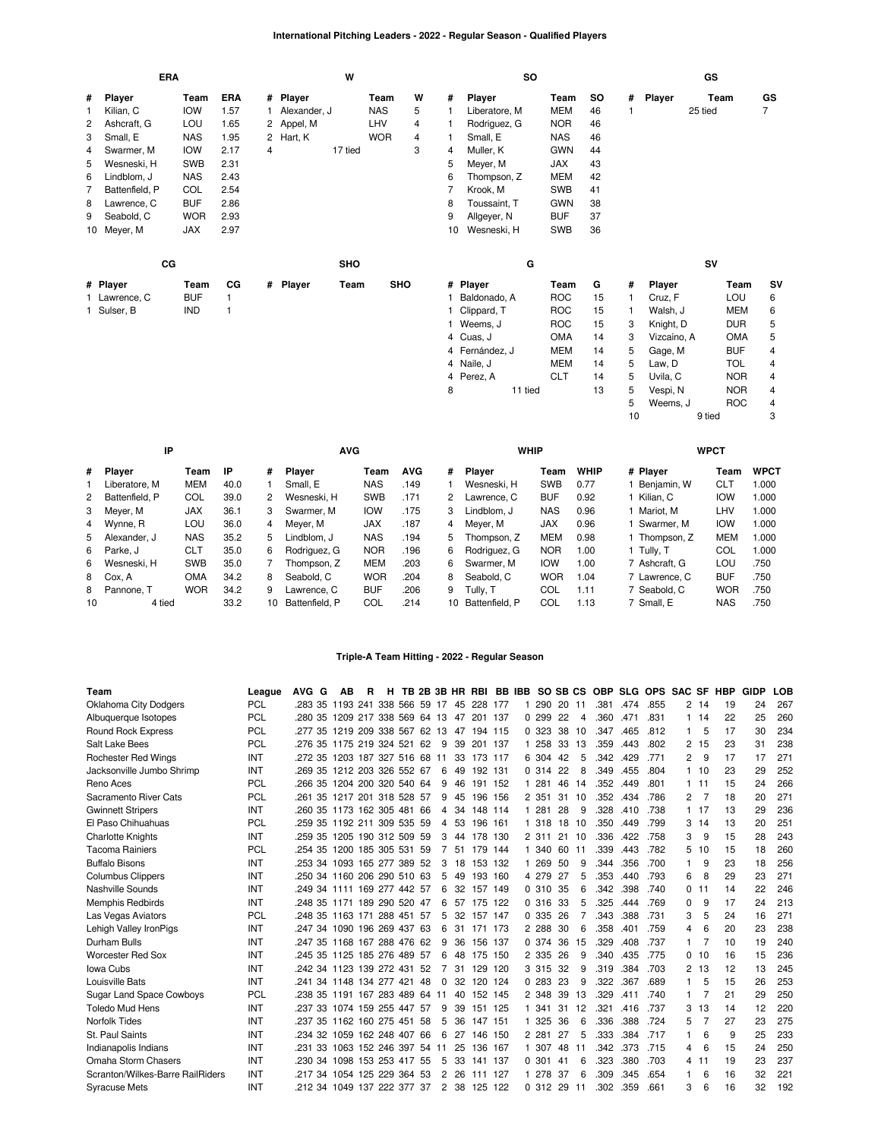# **International Pitching Leaders - 2022 - Regular Season - Qualified Players**

| <b>ERA</b> |                |            |              |   |              | W       |            |   |    | so             |            |     |   |             | GS         |                |
|------------|----------------|------------|--------------|---|--------------|---------|------------|---|----|----------------|------------|-----|---|-------------|------------|----------------|
| #          | Player         | Team       | ERA          |   | # Player     |         | Team       | W | #  | Player         | Team       | SO. | # | Player      | Team       | GS             |
|            | Kilian, C      | <b>IOW</b> | 1.57         |   | Alexander, J |         | <b>NAS</b> | 5 |    | Liberatore, M  | <b>MEM</b> | 46  |   |             | 25 tied    | $\overline{7}$ |
| 2          | Ashcraft, G    | LOU        | 1.65         |   | 2 Appel, M   |         | LHV        | 4 |    | Rodriguez, G   | <b>NOR</b> | 46  |   |             |            |                |
| 3          | Small, E       | <b>NAS</b> | 1.95         |   | 2 Hart, K    |         | <b>WOR</b> | 4 | 1  | Small, E       | <b>NAS</b> | 46  |   |             |            |                |
| 4          | Swarmer, M     | <b>IOW</b> | 2.17         | 4 |              | 17 tied |            | 3 | 4  | Muller, K      | <b>GWN</b> | 44  |   |             |            |                |
| 5          | Wesneski, H    | <b>SWB</b> | 2.31         |   |              |         |            |   | 5  | Meyer, M       | JAX        | 43  |   |             |            |                |
| 6          | Lindblom, J    | <b>NAS</b> | 2.43         |   |              |         |            |   | 6  | Thompson, Z    | <b>MEM</b> | 42  |   |             |            |                |
| 7          | Battenfield, P | COL        | 2.54         |   |              |         |            |   | 7  | Krook, M       | <b>SWB</b> | 41  |   |             |            |                |
| 8          | Lawrence, C    | <b>BUF</b> | 2.86         |   |              |         |            |   | 8  | Toussaint, T   | <b>GWN</b> | 38  |   |             |            |                |
| 9          | Seabold, C     | <b>WOR</b> | 2.93         |   |              |         |            |   | 9  | Allgeyer, N    | <b>BUF</b> | 37  |   |             |            |                |
|            | 10 Meyer, M    | <b>JAX</b> | 2.97         |   |              |         |            |   | 10 | Wesneski, H    | SWB        | 36  |   |             |            |                |
|            | cc             |            |              |   |              | SHO     |            |   |    | G              |            |     |   |             | SV         |                |
|            | # Player       | Team       | CG           |   | # Player     | Team    | <b>SHO</b> |   |    | # Player       | Team       | G   | # | Player      | Team       | <b>SV</b>      |
|            | 1 Lawrence, C  | <b>BUF</b> | $\mathbf{1}$ |   |              |         |            |   |    | Baldonado, A   | <b>ROC</b> | 15  |   | Cruz, F     | LOU        | 6              |
|            | 1 Sulser, B    | <b>IND</b> |              |   |              |         |            |   |    | 1 Clippard, T  | <b>ROC</b> | 15  |   | Walsh, J    | <b>MEM</b> | 6              |
|            |                |            |              |   |              |         |            |   |    | 1 Weems, J     | <b>ROC</b> | 15  | 3 | Knight, D   | <b>DUR</b> | 5              |
|            |                |            |              |   |              |         |            |   |    | 4 Cuas, J      | <b>OMA</b> | 14  | 3 | Vizcaíno, A | <b>OMA</b> | 5              |
|            |                |            |              |   |              |         |            |   |    | 4 Fernández, J | <b>MEM</b> | 14  | 5 | Gage, M     | <b>BUF</b> | 4              |
|            |                |            |              |   |              |         |            |   |    | 4 Naile, J     | <b>MEM</b> | 14  | 5 | Law, D      | TOL        | 4              |
|            |                |            |              |   |              |         |            |   |    | 4 Perez, A     | <b>CLT</b> | 14  | 5 | Uvila, C    | <b>NOR</b> | 4              |
|            |                |            |              |   |              |         |            |   | 8  | 11 tied        |            | 13  | 5 | Vespi, N    | <b>NOR</b> | 4              |
|            |                |            |              |   |              |         |            |   |    |                |            |     | 5 | Weems, J    | <b>ROC</b> | 4              |

10 9 tied 3

|                | IP               |            |      |    | <b>AVG</b>     |            |            |    | <b>WHIP</b>    |            |             |               | <b>WPCT</b> |             |
|----------------|------------------|------------|------|----|----------------|------------|------------|----|----------------|------------|-------------|---------------|-------------|-------------|
| #              | Player           | Team       | IP   | #  | <b>Plaver</b>  | Team       | <b>AVG</b> | #  | <b>Plaver</b>  | Team       | <b>WHIP</b> | # Player      | Team        | <b>WPCT</b> |
|                | Liberatore, M    | <b>MEM</b> | 40.0 |    | Small, E       | <b>NAS</b> | .149       |    | Wesneski, H    | <b>SWB</b> | 0.77        | Beniamin, W   | <b>CLT</b>  | 1.000       |
|                | 2 Battenfield, P | COL        | 39.0 | 2  | Wesneski, H    | <b>SWB</b> | .171       | 2  | Lawrence, C    | <b>BUF</b> | 0.92        | Kilian, C     | <b>IOW</b>  | 1.000       |
| 3              | Meyer, M         | <b>JAX</b> | 36.1 | 3  | Swarmer, M     | IOW        | .175       | 3  | Lindblom, J    | <b>NAS</b> | 0.96        | Mariot. M     | LHV         | 1.000       |
| $\overline{4}$ | Wynne, R         | LOU        | 36.0 | 4  | Mever, M       | <b>JAX</b> | .187       | 4  | Mever, M       | <b>JAX</b> | 0.96        | Swarmer. M    | <b>IOW</b>  | 1.000       |
| 5              | Alexander, J     | <b>NAS</b> | 35.2 | 5. | Lindblom. J    | <b>NAS</b> | .194       | 5. | Thompson, Z    | <b>MEM</b> | 0.98        | Thompson, Z   | <b>MEM</b>  | 1.000       |
|                | 6 Parke, J       | <b>CLT</b> | 35.0 | 6. | Rodriguez, G   | <b>NOR</b> | .196       | 6  | Rodriauez. G   | <b>NOR</b> | 1.00        | 1 Tullv. T    | COL         | 1.000       |
| 6              | Wesneski. H      | <b>SWB</b> | 35.0 |    | Thompson. Z    | <b>MEM</b> | .203       | 6  | Swarmer, M     | <b>IOW</b> | 1.00        | 7 Ashcraft, G | LOU         | .750        |
|                | 8 Cox. A         | <b>OMA</b> | 34.2 | 8  | Seabold, C     | <b>WOR</b> | .204       | 8  | Seabold, C     | <b>WOR</b> | 1.04        | 7 Lawrence, C | <b>BUF</b>  | .750        |
| 8              | Pannone, T       | <b>WOR</b> | 34.2 | 9  | Lawrence, C    | <b>BUF</b> | .206       | 9  | Tully. T       | COL        | 1.11        | 7 Seabold, C  | <b>WOR</b>  | .750        |
| 10             | 4 tied           |            | 33.2 | 10 | Battenfield, P | COL        | .214       | 10 | Battenfield, P | COL        | 1.13        | 7 Small, E    | <b>NAS</b>  | .750        |

## **Triple-A Team Hitting - 2022 - Regular Season**

| Team                             | League     | AVG G                          | AВ                     | R | н |     |          |    | TB 2B 3B HR RBI |     |    | BB IBB SO SB CS |     |    | <b>OBP</b> |      | SLG OPS SAC SF |          |          | HBP | <b>GIDP</b> | LOB |
|----------------------------------|------------|--------------------------------|------------------------|---|---|-----|----------|----|-----------------|-----|----|-----------------|-----|----|------------|------|----------------|----------|----------|-----|-------------|-----|
| <b>Oklahoma City Dodgers</b>     | PCL        | .283 35 1193 241 338 566 59 17 |                        |   |   |     |          | 45 | 228 177         |     | 1. | 290             | -20 | 11 | .381       | .474 | .855           |          | 2, 14    | 19  | 24          | 267 |
| Albuquerque Isotopes             | PCL        | 280 35 1209 217 338 569 64 13  |                        |   |   |     |          | 47 | 201             | 137 |    | 0.299           | 22  | 4  | .360       | .471 | .831           | 1.       | -14      | 22  | 25          | 260 |
| <b>Round Rock Express</b>        | PCL        | .277 35                        | 1219 209 338 567 62 13 |   |   |     |          | 47 | 194 115         |     |    | 0 323           | 38  | 10 | .347       | .465 | .812           | 1        | 5        | 17  | 30          | 234 |
| Salt Lake Bees                   | <b>PCL</b> | .276 35 1175 219 324 521 62    |                        |   |   |     | 9        | 39 | 201 137         |     |    | 1 258           | 33  | 13 | .359       | .443 | .802           | 2        | 15       | 23  | 31          | 238 |
| <b>Rochester Red Wings</b>       | INT        | .272 35                        | 1203 187 327 516 68 11 |   |   |     |          | 33 | 173 117         |     |    | 6 304           | 42  | 5  | .342       | .429 | .771           | 2        | 9        | 17  | 17          | 271 |
| Jacksonville Jumbo Shrimp        | INT        | .269 35 1212 203 326 552 67    |                        |   |   |     | 6        | 49 | 192 131         |     |    | 0 314           | -22 | 8  | .349       | .455 | .804           | 1        | 10       | 23  | 29          | 252 |
| Reno Aces                        | PCL        | .266 35 1204 200 320 540 64    |                        |   |   |     | 9        | 46 | 191             | 152 |    | 1 281           | 46  | 14 | .352       | .449 | .801           | 1.       | 11       | 15  | 24          | 266 |
| Sacramento River Cats            | <b>PCL</b> | .261 35                        | 1217 201 318 528 57    |   |   |     | 9        | 45 | 196             | 156 |    | 2 351           | 31  | 10 | .352       | .434 | .786           | 2        | 7        | 18  | 20          | 271 |
| <b>Gwinnett Stripers</b>         | INT        | .260 35 1173 162 305 481 66    |                        |   |   |     | 4        | 34 | 148 114         |     |    | 1 281           | 28  | 9  | .328       | .410 | .738           |          | $1 \t17$ | 13  | 29          | 236 |
| El Paso Chihuahuas               | <b>PCL</b> | .259 35 1192 211 309 535 59    |                        |   |   |     | 4        | 53 | 196             | 161 | 1. | 318             | 18  | 10 | .350       | .449 | .799           | 3        | 14       | 13  | 20          | 251 |
| <b>Charlotte Knights</b>         | INT        | .259 35 1205 190 312 509 59    |                        |   |   |     | 3        | 44 | 178 130         |     |    | 2 311           | 21  | 10 | .336       | .422 | .758           | 3        | 9        | 15  | 28          | 243 |
| <b>Tacoma Rainiers</b>           | <b>PCL</b> | .254 35                        | 1200 185 305 531       |   |   | -59 | 7        | 51 | 179             | 144 |    | 1 340           | 60  | 11 | .339       | .443 | .782           | 5        | 10       | 15  | 18          | 260 |
| <b>Buffalo Bisons</b>            | INT        | .253 34 1093 165 277 389 52    |                        |   |   |     | 3        | 18 | 153 132         |     |    | 1 269           | 50  | 9  | .344       | .356 | .700           | 1        | 9        | 23  | 18          | 256 |
| <b>Columbus Clippers</b>         | INT        | .250 34 1160 206 290 510 63    |                        |   |   |     | 5        | 49 | 193             | 160 |    | 4 279           | 27  | 5  | .353       | .440 | .793           | 6        | 8        | 29  | 23          | 271 |
| Nashville Sounds                 | INT        | 249 34 1111 169 277 442 57     |                        |   |   |     | 6        | 32 | 157             | 149 |    | 0.310           | 35  | 6  | .342       | .398 | .740           | $\Omega$ | 11       | 14  | 22          | 246 |
| <b>Memphis Redbirds</b>          | INT        | .248 35 1171 189 290 520 47    |                        |   |   |     | 6        |    | 57 175 122      |     |    | 0.316           | -33 | 5  | .325       | .444 | .769           | 0        | 9        | 17  | 24          | 213 |
| Las Vegas Aviators               | <b>PCL</b> | .248 35 1163 171 288 451 57    |                        |   |   |     | 5        | 32 | 157 147         |     |    | 0 335           | 26  | 7  | .343       | .388 | .731           | 3        | 5        | 24  | 16          | 271 |
| Lehigh Valley IronPigs           | INT        | 247 34 1090 196 269 437 63     |                        |   |   |     | 6        | 31 | 171             | 173 |    | 2 2 8 8         | 30  | 6  | .358       | .401 | .759           | 4        | 6        | 20  | 23          | 238 |
| Durham Bulls                     | INT        | 247 35 1168 167 288 476 62     |                        |   |   |     | 9        | 36 | 156 137         |     |    | 0 374           | 36  | 15 | .329       | .408 | .737           |          |          | 10  | 19          | 240 |
| <b>Worcester Red Sox</b>         | INT        | .245 35 1125 185 276 489 57    |                        |   |   |     | 6        | 48 | 175 150         |     |    | 2 3 3 5         | 26  | 9  | .340       | .435 | .775           | 0        | 10       | 16  | 15          | 236 |
| Iowa Cubs                        | INT        | .242 34 1123 139 272 431 52    |                        |   |   |     | 7        |    | 31 129 120      |     |    | 3 3 1 5         | -32 | 9  | .319       | .384 | .703           | 2        | 13       | 12  | 13          | 245 |
| Louisville Bats                  | INT        | 241 34 1148 134 277 421        |                        |   |   | -48 | $\Omega$ | 32 | 120             | 124 |    | 0.283           | 23  | 9  | .322       | .367 | .689           | 1        | 5        | 15  | 26          | 253 |
| <b>Sugar Land Space Cowboys</b>  | <b>PCL</b> | 238 35 1191 167 283 489 64 11  |                        |   |   |     |          | 40 | 152 145         |     |    | 2 348           | 39  | 13 | .329       | .411 | .740           | 1        |          | 21  | 29          | 250 |
| <b>Toledo Mud Hens</b>           | INT        | 237 33 1074 159 255 447 57     |                        |   |   |     | 9        | 39 | 151             | 125 |    | 1 341           | 31  | 12 | .321       | .416 | .737           | 3        | 13       | 14  | 12          | 220 |
| <b>Norfolk Tides</b>             | INT        | .237 35                        | 1162 160 275 451       |   |   | 58  | 5        | 36 | 147             | 151 |    | 325             | 36  | 6  | .336       | .388 | .724           | 5        |          | 27  | 23          | 275 |
| St. Paul Saints                  | INT        | 234 32 1059 162 248 407 66     |                        |   |   |     | 6        |    | 27 146 150      |     |    | 2 2 8 1         | 27  | 5  | .333       | .384 | .717           |          | 6        | 9   | 25          | 233 |
| Indianapolis Indians             | INT        | .231 33                        | 1063 152 246 397 54    |   |   |     | 11       | 25 | 136             | 167 |    | 1 307           | 48  | 11 | .342       | .373 | .715           | 4        | 6        | 15  | 24          | 250 |
| Omaha Storm Chasers              | INT        | .230 34                        | 1098 153 253 417 55    |   |   |     | 5        | 33 | 141             | 137 |    | 0.301           | 41  | 6  | .323       | .380 | .703           | 4        | 11       | 19  | 23          | 237 |
| Scranton/Wilkes-Barre RailRiders | INT        | .217 34                        | 1054 125 229 364 53    |   |   |     | 2        | 26 | 111             | 127 |    | 1 278           | 37  | 6  | .309       | .345 | .654           |          | 6        | 16  | 32          | 221 |
| <b>Syracuse Mets</b>             | INT        | 212 34 1049 137 222 377 37     |                        |   |   |     | 2        | 38 | 125             | 122 |    | 0.312           | 29  | 11 | .302       | .359 | .661           | 3        | 6        | 16  | 32          | 192 |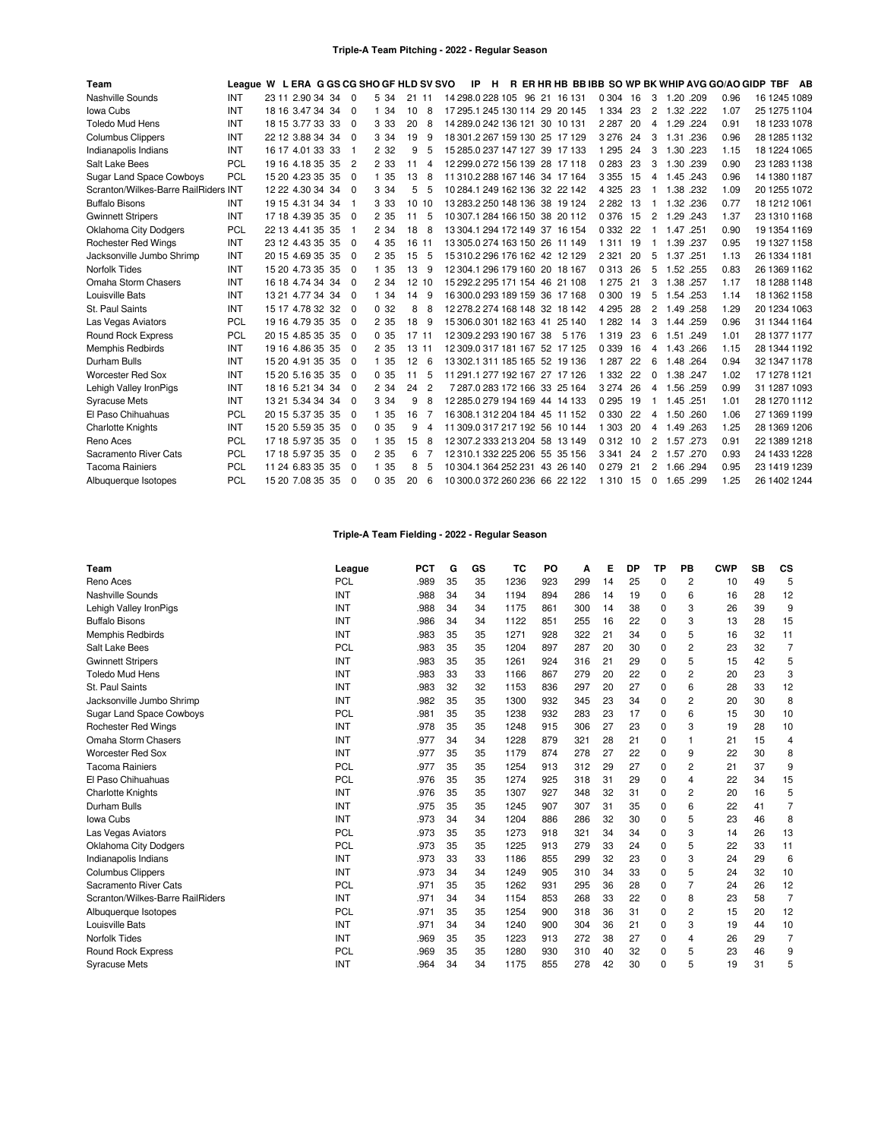## **Triple-A Team Pitching - 2022 - Regular Season**

| Team                                 | League W L ERA G GS CG SHO GF HLD SV SVO |                  |     |          |       |       |                |                         | IP | Н. |  |                                |         |     |                |           | R ER HR HB BB IBB SO WP BK WHIP AVG GO/AO GIDP TBF |              | AB |
|--------------------------------------|------------------------------------------|------------------|-----|----------|-------|-------|----------------|-------------------------|----|----|--|--------------------------------|---------|-----|----------------|-----------|----------------------------------------------------|--------------|----|
| Nashville Sounds                     | <b>INT</b>                               | 23 11 2.90 34 34 |     | $\Omega$ | 5 34  | 21 11 |                |                         |    |    |  | 14 298 0 228 105 96 21 16 131  | 0 304   | 16  | 3              | 1.20 .209 | 0.96                                               | 16 1245 1089 |    |
| Iowa Cubs                            | <b>INT</b>                               | 18 16 3.47 34 34 |     | $\Omega$ | 1 34  | 10    | 8              |                         |    |    |  | 17 295.1 245 130 114 29 20 145 | 1 3 3 4 | 23  | 2              | 1.32 .222 | 1.07                                               | 25 1275 1104 |    |
| <b>Toledo Mud Hens</b>               | <b>INT</b>                               | 18 15 3.77 33 33 |     | $\Omega$ | 3 3 3 | 20    | 8              |                         |    |    |  | 14 289 0 242 136 121 30 10 131 | 2 2 8 7 | 20  | 4              | 1.29 .224 | 0.91                                               | 18 1233 1078 |    |
| <b>Columbus Clippers</b>             | INT                                      | 22 12 3.88 34 34 |     | $\Omega$ | 3 3 4 | 19    | 9              |                         |    |    |  | 18 301.2 267 159 130 25 17 129 | 3 2 7 6 | 24  | 3              | 1.31 .236 | 0.96                                               | 28 1285 1132 |    |
| Indianapolis Indians                 | INT                                      | 16 17 4.01 33 33 |     | -1       | 2 3 2 | 9     | 5              |                         |    |    |  | 15 285.0 237 147 127 39 17 133 | 1 2 9 5 | 24  | 3              | 1.30 .223 | 1.15                                               | 18 1224 1065 |    |
| Salt Lake Bees                       | <b>PCL</b>                               | 19 16 4.18 35 35 |     | 2        | 2 3 3 | 11    | 4              |                         |    |    |  | 12 299.0 272 156 139 28 17 118 | 0 2 8 3 | 23  | 3              | 1.30 .239 | 0.90                                               | 23 1283 1138 |    |
| <b>Sugar Land Space Cowboys</b>      | PCL                                      | 15 20 4.23 35 35 |     | $\Omega$ | 1 35  | 13    | 8              |                         |    |    |  | 11 310.2 288 167 146 34 17 164 | 3 3 5 5 | 15  | 4              | 1.45 .243 | 0.96                                               | 14 1380 1187 |    |
| Scranton/Wilkes-Barre RailRiders INT |                                          | 12 22 4.30 34 34 |     | $\Omega$ | 3 3 4 | 5     | 5              |                         |    |    |  | 10 284.1 249 162 136 32 22 142 | 4 3 2 5 | 23  | -1             | 1.38 .232 | 1.09                                               | 20 1255 1072 |    |
| <b>Buffalo Bisons</b>                | <b>INT</b>                               | 19 15 4.31 34 34 |     | -1       | 3 3 3 | 10 10 |                |                         |    |    |  | 13 283 2 250 148 136 38 19 124 | 2 2 8 2 | 13  | 1              | 1.32 .236 | 0.77                                               | 18 1212 1061 |    |
| <b>Gwinnett Stripers</b>             | INT                                      | 17 18 4.39 35 35 |     | $\Omega$ | 2 35  | 11    | 5              |                         |    |    |  | 10 307 1 284 166 150 38 20 112 | 0 3 7 6 | 15  | $\overline{2}$ | 1.29 .243 | 1.37                                               | 23 1310 1168 |    |
| <b>Oklahoma City Dodgers</b>         | <b>PCL</b>                               | 22 13 4.41 35    | -35 | -1       | 2 3 4 | 18    | 8              |                         |    |    |  | 13 304 1 294 172 149 37 16 154 | 0 3 3 2 | 22  | -1             | 1.47 .251 | 0.90                                               | 19 1354 1169 |    |
| <b>Rochester Red Wings</b>           | INT                                      | 23 12 4.43 35 35 |     | $\Omega$ | 4 3 5 | 16 11 |                |                         |    |    |  | 13 305 0 274 163 150 26 11 149 | 1311    | 19  | 1              | 1.39 .237 | 0.95                                               | 19 1327 1158 |    |
| Jacksonville Jumbo Shrimp            | INT                                      | 20 15 4.69 35 35 |     | $\Omega$ | 2 3 5 | 15    | 5              |                         |    |    |  | 15 310 2 296 176 162 42 12 129 | 2 3 2 1 | 20  | 5              | 1.37 .251 | 1.13                                               | 26 1334 1181 |    |
| Norfolk Tides                        | <b>INT</b>                               | 15 20 4.73 35 35 |     | $\Omega$ | 1 35  | 13    | 9              |                         |    |    |  | 12 304 1 296 179 160 20 18 167 | 0 3 1 3 | 26  | 5              | 1.52 .255 | 0.83                                               | 26 1369 1162 |    |
| Omaha Storm Chasers                  | INT                                      | 16 18 4.74 34 34 |     | $\Omega$ | 2 3 4 | 12 10 |                |                         |    |    |  | 15 292 2 295 171 154 46 21 108 | 1 2 7 5 | 21  | 3              | 1.38.257  | 1.17                                               | 18 1288 1148 |    |
| Louisville Bats                      | INT                                      | 13 21 4.77 34 34 |     | $\Omega$ | 1 34  | 14    | 9              |                         |    |    |  | 16 300 0 293 189 159 36 17 168 | 0 300   | 19  | 5              | 1.54 .253 | 1.14                                               | 18 1362 1158 |    |
| St. Paul Saints                      | INT                                      | 15 17 4.78 32 32 |     | $\Omega$ | 0.32  | 8     | 8              |                         |    |    |  | 12 278 2 274 168 148 32 18 142 | 4 2 9 5 | 28  | 2              | 1.49 .258 | 1.29                                               | 20 1234 1063 |    |
| Las Vegas Aviators                   | <b>PCL</b>                               | 19 16 4.79 35 35 |     | $\Omega$ | 2 35  | 18    | 9              |                         |    |    |  | 15 306 0 301 182 163 41 25 140 | 1 2 8 2 | 14  | 3              | 1.44 .259 | 0.96                                               | 31 1344 1164 |    |
| <b>Round Rock Express</b>            | <b>PCL</b>                               | 20 15 4.85 35 35 |     | $\Omega$ | 0.35  | 17 11 |                | 12 309 2 293 190 167 38 |    |    |  | 5 1 7 6                        | 1319    | 23  | 6              | 1.51 .249 | 1.01                                               | 28 1377 1177 |    |
| <b>Memphis Redbirds</b>              | INT                                      | 19 16 4.86 35 35 |     | $\Omega$ | 2 3 5 | 13 11 |                |                         |    |    |  | 12 309.0 317 181 167 52 17 125 | 0 3 3 9 | 16  | 4              | 1.43 .266 | 1.15                                               | 28 1344 1192 |    |
| Durham Bulls                         | INT                                      | 15 20 4.91 35 35 |     | $\Omega$ | 1 35  | 12    | 6              |                         |    |    |  | 13 302.1 311 185 165 52 19 136 | 1 2 8 7 | 22  | 6              | 1.48 .264 | 0.94                                               | 32 1347 1178 |    |
| <b>Worcester Red Sox</b>             | <b>INT</b>                               | 15 20 5.16 35 35 |     | $\Omega$ | 0.35  | 11    | 5              |                         |    |    |  | 11 291.1 277 192 167 27 17 126 | 1 3 3 2 | 22  | 0              | 1.38 .247 | 1.02                                               | 17 1278 1121 |    |
| Lehigh Valley IronPigs               | INT                                      | 18 16 5.21 34 34 |     | $\Omega$ | 2 3 4 | 24    | $\overline{c}$ |                         |    |    |  | 7 287.0 283 172 166 33 25 164  | 3 2 7 4 | -26 | 4              | 1.56 .259 | 0.99                                               | 31 1287 1093 |    |
| <b>Syracuse Mets</b>                 | INT                                      | 13 21 5.34 34 34 |     | $\Omega$ | 3 3 4 | 9     | 8              |                         |    |    |  | 12 285.0 279 194 169 44 14 133 | 0 2 9 5 | 19  | -1             | 1.45 .251 | 1.01                                               | 28 1270 1112 |    |
| El Paso Chihuahuas                   | <b>PCL</b>                               | 20 15 5.37 35 35 |     | $\Omega$ | 1 35  | 16    |                |                         |    |    |  | 16 308 1 312 204 184 45 11 152 | 0 3 3 0 | 22  | 4              | 1.50 .260 | 1.06                                               | 27 1369 1199 |    |
| <b>Charlotte Knights</b>             | INT                                      | 15 20 5.59 35 35 |     | $\Omega$ | 0.35  | 9     | 4              |                         |    |    |  | 11 309.0 317 217 192 56 10 144 | 1 3 0 3 | 20  | 4              | 1.49 .263 | 1.25                                               | 28 1369 1206 |    |
| Reno Aces                            | <b>PCL</b>                               | 17 18 5.97 35    | -35 | $\Omega$ | 1 35  | 15    | 8              |                         |    |    |  | 12 307 2 333 213 204 58 13 149 | 0312    | 10  | 2              | 1.57 .273 | 0.91                                               | 22 1389 1218 |    |
| Sacramento River Cats                | <b>PCL</b>                               | 17 18 5.97 35 35 |     | $\Omega$ | 2 3 5 | 6     |                |                         |    |    |  | 12 310.1 332 225 206 55 35 156 | 3 3 4 1 | 24  | 2              | 1.57 .270 | 0.93                                               | 24 1433 1228 |    |
| <b>Tacoma Rainiers</b>               | PCL                                      | 11 24 6.83 35 35 |     | $\Omega$ | 1 35  | 8     | 5              |                         |    |    |  | 10 304.1 364 252 231 43 26 140 | 0 2 7 9 | 21  | 2              | 1.66 .294 | 0.95                                               | 23 1419 1239 |    |
| Albuquerque Isotopes                 | <b>PCL</b>                               | 15 20 7.08 35 35 |     | $\Omega$ | 0.35  | 20    | 6              |                         |    |    |  | 10 300.0 372 260 236 66 22 122 | 1 3 1 0 | 15  | $\Omega$       | 1.65 .299 | 1.25                                               | 26 1402 1244 |    |

# **Triple-A Team Fielding - 2022 - Regular Season**

| Team                             | League     | <b>PCT</b> | G  | GS | тс   | PO  | А   | Е  | DP | ТP       | PВ             | <b>CWP</b> | SB | CS             |
|----------------------------------|------------|------------|----|----|------|-----|-----|----|----|----------|----------------|------------|----|----------------|
| Reno Aces                        | PCL        | .989       | 35 | 35 | 1236 | 923 | 299 | 14 | 25 | $\Omega$ | 2              | 10         | 49 | 5              |
| Nashville Sounds                 | <b>INT</b> | .988       | 34 | 34 | 1194 | 894 | 286 | 14 | 19 | 0        | 6              | 16         | 28 | 12             |
| Lehigh Valley IronPigs           | INT        | .988       | 34 | 34 | 1175 | 861 | 300 | 14 | 38 | 0        | 3              | 26         | 39 | 9              |
| <b>Buffalo Bisons</b>            | INT        | .986       | 34 | 34 | 1122 | 851 | 255 | 16 | 22 | $\Omega$ | 3              | 13         | 28 | 15             |
| Memphis Redbirds                 | <b>INT</b> | .983       | 35 | 35 | 1271 | 928 | 322 | 21 | 34 | 0        | 5              | 16         | 32 | 11             |
| Salt Lake Bees                   | <b>PCL</b> | .983       | 35 | 35 | 1204 | 897 | 287 | 20 | 30 | 0        | 2              | 23         | 32 | $\overline{7}$ |
| <b>Gwinnett Stripers</b>         | INT        | .983       | 35 | 35 | 1261 | 924 | 316 | 21 | 29 | $\Omega$ | 5              | 15         | 42 | 5              |
| <b>Toledo Mud Hens</b>           | INT        | .983       | 33 | 33 | 1166 | 867 | 279 | 20 | 22 | 0        | 2              | 20         | 23 | 3              |
| St. Paul Saints                  | <b>INT</b> | .983       | 32 | 32 | 1153 | 836 | 297 | 20 | 27 | $\Omega$ | 6              | 28         | 33 | 12             |
| Jacksonville Jumbo Shrimp        | <b>INT</b> | .982       | 35 | 35 | 1300 | 932 | 345 | 23 | 34 | 0        | $\overline{c}$ | 20         | 30 | 8              |
| <b>Sugar Land Space Cowboys</b>  | <b>PCL</b> | .981       | 35 | 35 | 1238 | 932 | 283 | 23 | 17 | $\Omega$ | 6              | 15         | 30 | 10             |
| <b>Rochester Red Wings</b>       | INT        | .978       | 35 | 35 | 1248 | 915 | 306 | 27 | 23 | $\Omega$ | 3              | 19         | 28 | 10             |
| Omaha Storm Chasers              | <b>INT</b> | .977       | 34 | 34 | 1228 | 879 | 321 | 28 | 21 | 0        | 1              | 21         | 15 | 4              |
| <b>Worcester Red Sox</b>         | <b>INT</b> | .977       | 35 | 35 | 1179 | 874 | 278 | 27 | 22 | $\Omega$ | 9              | 22         | 30 | 8              |
| <b>Tacoma Rainiers</b>           | PCL        | .977       | 35 | 35 | 1254 | 913 | 312 | 29 | 27 | $\Omega$ | 2              | 21         | 37 | 9              |
| El Paso Chihuahuas               | <b>PCL</b> | .976       | 35 | 35 | 1274 | 925 | 318 | 31 | 29 | $\Omega$ | 4              | 22         | 34 | 15             |
| <b>Charlotte Knights</b>         | INT        | .976       | 35 | 35 | 1307 | 927 | 348 | 32 | 31 | $\Omega$ | 2              | 20         | 16 | 5              |
| Durham Bulls                     | <b>INT</b> | .975       | 35 | 35 | 1245 | 907 | 307 | 31 | 35 | $\Omega$ | 6              | 22         | 41 | $\overline{7}$ |
| Iowa Cubs                        | INT        | .973       | 34 | 34 | 1204 | 886 | 286 | 32 | 30 | 0        | 5              | 23         | 46 | 8              |
| Las Vegas Aviators               | PCL        | .973       | 35 | 35 | 1273 | 918 | 321 | 34 | 34 | 0        | 3              | 14         | 26 | 13             |
| Oklahoma City Dodgers            | <b>PCL</b> | .973       | 35 | 35 | 1225 | 913 | 279 | 33 | 24 | 0        | 5              | 22         | 33 | 11             |
| Indianapolis Indians             | <b>INT</b> | .973       | 33 | 33 | 1186 | 855 | 299 | 32 | 23 | $\Omega$ | 3              | 24         | 29 | 6              |
| <b>Columbus Clippers</b>         | INT        | .973       | 34 | 34 | 1249 | 905 | 310 | 34 | 33 | 0        | 5              | 24         | 32 | 10             |
| Sacramento River Cats            | PCL        | .971       | 35 | 35 | 1262 | 931 | 295 | 36 | 28 | $\Omega$ | 7              | 24         | 26 | 12             |
| Scranton/Wilkes-Barre RailRiders | <b>INT</b> | .971       | 34 | 34 | 1154 | 853 | 268 | 33 | 22 | $\Omega$ | 8              | 23         | 58 | $\overline{7}$ |
| Albuquerque Isotopes             | <b>PCL</b> | .971       | 35 | 35 | 1254 | 900 | 318 | 36 | 31 | 0        | 2              | 15         | 20 | 12             |
| Louisville Bats                  | INT        | .971       | 34 | 34 | 1240 | 900 | 304 | 36 | 21 | $\Omega$ | 3              | 19         | 44 | 10             |
| <b>Norfolk Tides</b>             | <b>INT</b> | .969       | 35 | 35 | 1223 | 913 | 272 | 38 | 27 | $\Omega$ | 4              | 26         | 29 | $\overline{7}$ |
| <b>Round Rock Express</b>        | <b>PCL</b> | .969       | 35 | 35 | 1280 | 930 | 310 | 40 | 32 | $\Omega$ | 5              | 23         | 46 | 9              |
| <b>Syracuse Mets</b>             | INT        | .964       | 34 | 34 | 1175 | 855 | 278 | 42 | 30 | $\Omega$ | 5              | 19         | 31 | 5              |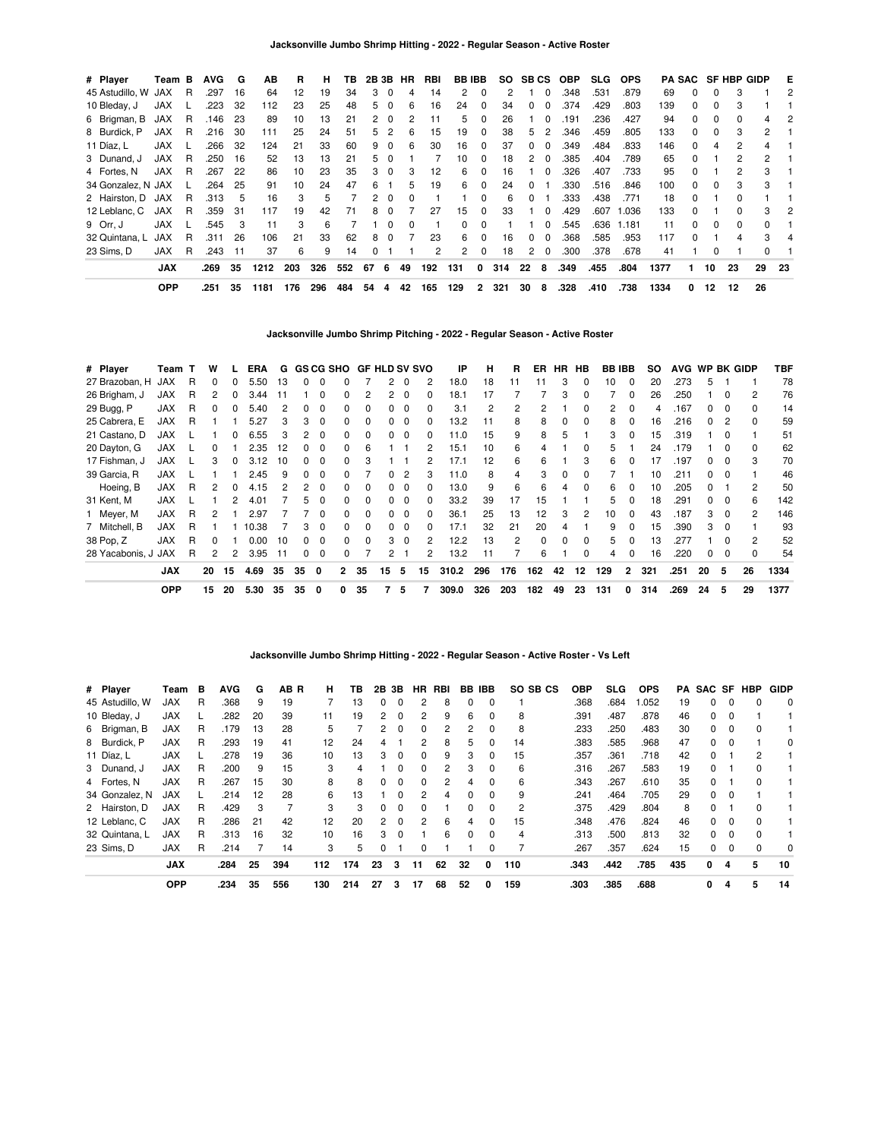| # Player           | Team B     |    | <b>AVG</b> | G   | ΑВ   | R   | н   | ΤВ  | 2B 3B |          | HR            | RBI | <b>BBIBB</b> |          |     | SO SBCS      |             | OBP  | <b>SLG</b> | <b>OPS</b> |      |              |              | <b>PA SAC SF HBP GIDP</b> |                | E   |
|--------------------|------------|----|------------|-----|------|-----|-----|-----|-------|----------|---------------|-----|--------------|----------|-----|--------------|-------------|------|------------|------------|------|--------------|--------------|---------------------------|----------------|-----|
| 45 Astudillo, W    | JAX        | R  | .297       | 16  | 64   | 12  | 19  | 34  | 3     | 0        | 4             | 14  | 2            | $\Omega$ | 2   |              | $\Omega$    | .348 | .531       | .879       | 69   | $\Omega$     | 0            | 3                         |                | 2   |
| 10 Bleday, J       | <b>JAX</b> |    | .223       | 32  | 112  | 23  | 25  | 48  | 5.    | 0        | 6             | 16  | 24           | 0        | 34  | <sup>0</sup> |             | .374 | .429       | .803       | 139  | $\Omega$     | <sup>0</sup> |                           |                |     |
| 6 Brigman, B       | JAX        | R  | .146       | -23 | 89   | 10  | 13  | 21  |       | - 0      | $\mathcal{P}$ | 11  | 5            | 0        | 26  |              | $\Omega$    | .191 | .236       | .427       | 94   | $\Omega$     | 0            |                           |                | 2   |
| 8 Burdick, P       | JAX        | R  | .216       | 30  | 111  | 25  | 24  | 51  | 5     | 2        | 6             | 15  | 19           | $\Omega$ | 38  | 5.           | 2           | .346 | .459       | .805       | 133  | $\Omega$     | 0            | 3                         | 2              |     |
| 11 Díaz, L         | JAX        |    | .266       | 32  | 124  | 21  | 33  | 60  | 9     | $\Omega$ | 6             | 30  | 16           | $\Omega$ | 37  | 0            | $\Omega$    | .349 | .484       | .833       | 146  | $\Omega$     | 4            | 2                         | 4              |     |
| 3 Dunand, J        | <b>JAX</b> | R  | .250       | 16  | 52   | 13  | 13  | 21  | 5     | $\Omega$ |               |     | 10           | 0        | 18  | 2            | $\Omega$    | .385 | .404       | .789       | 65   | $\Omega$     |              | 2                         | $\overline{2}$ |     |
| 4 Fortes, N        | <b>JAX</b> | -R | .267       | 22  | 86   | 10  | 23  | 35  | 3     | $\Omega$ | 3             | 12  | 6.           | 0        | 16  |              | $\Omega$    | .326 | .407       | .733       | 95   | <sup>0</sup> |              |                           | 3              |     |
| 34 Gonzalez, N JAX |            |    | .264       | 25  | 91   | 10  | 24  | 47  | 6     |          | 5             | 19  | 6.           | $\Omega$ | 24  | $\Omega$     |             | .330 | .516       | .846       | 100  | $\Omega$     | 0            |                           | 3              |     |
| 2 Hairston, D JAX  |            | -R | .313       | -5  | 16   | 3   | 5   |     | 2     | $\Omega$ | 0             |     |              | $\Omega$ | 6   | 0            |             | .333 | .438       | .771       | 18   | $\Omega$     |              |                           |                |     |
| 12 Leblanc, C      | JAX        | -R | .359       | 31  | 117  | 19  | 42  | 71  | 8     | $\Omega$ |               | 27  | 15           | $\Omega$ | 33  |              | $\Omega$    | .429 | .607       | 1.036      | 133  | $\Omega$     |              | O.                        | 3              | 2   |
| 9 Orr. J           | <b>JAX</b> |    | .545       | 3   | 11   | 3   | 6   |     |       | $\Omega$ | $\Omega$      |     | 0            | 0        |     |              | $\Omega$    | .545 | .636       | 1.181      | 11   | $\Omega$     | <sup>0</sup> | $\Omega$                  | $\Omega$       |     |
| 32 Quintana, L     | <b>JAX</b> | R  | .311       | 26  | 106  | 21  | 33  | 62  | 8     | 0        |               | 23  | 6            | $\Omega$ | 16  | 0            | $\Omega$    | .368 | .585       | .953       | 117  | <sup>0</sup> |              |                           | 3              |     |
| 23 Sims. D         | <b>JAX</b> | R  | .243       | 11  | 37   | 6   | 9   | 14  |       |          |               | 2   | $\mathbf{2}$ | 0        | 18  | 2            | $\mathbf 0$ | .300 | .378       | .678       | 41   |              | 0            |                           |                |     |
|                    | <b>JAX</b> |    | .269       | 35  | 1212 | 203 | 326 | 552 | 67    | 6        | 49            | 192 | 131          | 0        | 314 | 22           | 8           | .349 | .455       | .804       | 1377 |              | 10           | 23                        | 29             | -23 |
|                    | <b>OPP</b> |    | .251       | 35  | 1181 | 176 | 296 | 484 | 54    | 4        | 42            | 165 | 129          | 2        | 321 | 30           | 8           | .328 | .410       | .738       | 1334 | 0            | 12           | 12                        | 26             |     |

**Jacksonville Jumbo Shrimp Pitching - 2022 - Regular Season - Active Roster**

| # Player            | Team T     |   | w            |    | <b>ERA</b> |     |    |          |                | G GS CG SHO GF HLD SV SVO |                       |          |              | IP    | н   | R   | ER       |    | HR HB         | <b>BB IBB</b> |                | SO. | <b>AVG</b> | WP BK GIDP |          |                | TBF  |
|---------------------|------------|---|--------------|----|------------|-----|----|----------|----------------|---------------------------|-----------------------|----------|--------------|-------|-----|-----|----------|----|---------------|---------------|----------------|-----|------------|------------|----------|----------------|------|
| 27 Brazoban, H      | <b>JAX</b> | R | $\Omega$     |    | 5.50       | 13  | 0  | 0        | ŋ              |                           | $\overline{2}$        | $\Omega$ | 2            | 18.0  | 18  | 11  | 11       | 3  | $\Omega$      | 10            | $\Omega$       | 20  | .273       | 5          |          |                | 78   |
| 26 Brigham, J       | <b>JAX</b> | R | 2            |    | 3.44       | 11  |    | 0        | 0              |                           | 2                     | $\Omega$ | $\Omega$     | 18.1  | 17  |     |          | 3  | 0             |               | <sup>0</sup>   | 26  | .250       |            | n        | $\overline{c}$ | 76   |
| 29 Bugg, P          | <b>JAX</b> | R |              |    | 5.40       | 2   |    | 0        |                |                           |                       |          | <sup>0</sup> | 3.1   | 2   | 2   | 2        |    |               | 2             | <sup>0</sup>   | 4   | .167       |            | $\Omega$ | $\Omega$       | 14   |
| 25 Cabrera, E       | <b>JAX</b> | R |              |    | 5.27       | 3   |    | $\Omega$ | ŋ              |                           | 0                     |          | 0            | 13.2  | 11  | 8   | 8        | 0  | $\Omega$      | 8             |                | 16  | .216       |            | 2        | $\Omega$       | 59   |
| 21 Castano, D       | <b>JAX</b> |   |              |    | 6.55       | 3   |    | $\Omega$ |                |                           | 0                     |          | 0            | 11.0  | 15  | 9   | 8        | 5  |               | 3             |                | 15  | .319       |            |          |                | 51   |
| 20 Dayton, G        | <b>JAX</b> |   | $\Omega$     |    | 2.35       | 12  |    | $\Omega$ |                | 6                         |                       |          |              | 15.1  | 10  | 6   | 4        |    |               | 5             |                | 24  | .179       |            |          | $\Omega$       | 62   |
| 17 Fishman, J       | <b>JAX</b> |   | 3            | 0  | 3.12       | 10  | 0  | $\Omega$ | <sup>0</sup>   |                           |                       |          |              | 17.1  | 12  | 6   | 6        |    |               | 6             | <sup>0</sup>   | 17  | .197       |            |          | 3              | 70   |
| 39 Garcia, R        | <b>JAX</b> |   |              |    | 2.45       | 9   | 0  | $\Omega$ | 0              |                           | $\Omega$              | 2        | 3            | 11.0  | 8   | 4   | 3        | 0  |               |               |                | 10  | .211       | $\Omega$   | 0        |                | 46   |
| Hoeing, B           | <b>JAX</b> | R | 2            | 0  | 4.15       | 2   | 2  | $\Omega$ | 0              | <sup>0</sup>              | 0                     | 0        | 0            | 13.0  | 9   | 6   | 6        | 4  | $\Omega$      | 6             | <sup>0</sup>   | 10  | .205       | 0          |          | 2              | 50   |
| 31 Kent, M          | <b>JAX</b> |   |              | 2  | 4.01       |     | 5  | $\Omega$ | <sup>0</sup>   | $\Omega$                  | $\Omega$              | $\Omega$ | $\Omega$     | 33.2  | 39  | 17  | 15       |    |               | 5             | $\Omega$       | 18  | .291       | $^{\circ}$ | $\Omega$ | 6              | 142  |
| 1 Meyer, M          | <b>JAX</b> | R | 2            |    | 2.97       |     |    | $\Omega$ | <sup>0</sup>   | $\Omega$                  | $\Omega$              | $\Omega$ | $\Omega$     | 36.1  | 25  | 13  | 12       | з  | $\mathcal{P}$ | 10            | $\Omega$       | 43  | .187       | 3          | $\Omega$ | 2              | 146  |
| 7 Mitchell, B       | <b>JAX</b> | R |              |    | 10.38      |     | 3  | $\Omega$ | <sup>0</sup>   | $\Omega$                  | $\Omega$              | $\Omega$ | $\Omega$     | 17.1  | 32  | 21  | 20       | 4  |               | 9             | <sup>n</sup>   | 15  | .390       | 3          | $\Omega$ |                | 93   |
| 38 Pop, Z           | <b>JAX</b> | R | $\Omega$     |    | 0.00       | 10  | O. | $\Omega$ | <sup>0</sup>   | $\Omega$                  | 3                     | $\Omega$ | 2            | 12.2  | 13  | 2   | $\Omega$ | 0  | $\Omega$      | 5             | n              | 13  | 277        |            |          | 2              | 52   |
| 28 Yacabonis, J JAX |            | R | $\mathbf{2}$ | 2  | 3.95       | -11 | 0  | 0        | 0              |                           | $\mathbf{2}^{\prime}$ |          | 2            | 13.2  | 11  |     | 6        |    | $\Omega$      | 4             |                | 16  | .220       | $\Omega$   | $\Omega$ | $\Omega$       | 54   |
|                     | <b>JAX</b> |   | 20           | 15 | 4.69       | 35  | 35 | 0        | $\overline{2}$ | 35                        | 15                    | 5        | 15           | 310.2 | 296 | 176 | 162      | 42 | 12            | 129           | $\overline{2}$ | 321 | .251       | 20         | 5        | 26             | 1334 |
|                     | <b>OPP</b> |   | 15           | 20 | 5.30       | 35  | 35 | 0        | 0              | 35                        |                       | 5        |              | 309.0 | 326 | 203 | 182      | 49 | 23            | 131           | 0              | 314 | .269       | 24         | 5        | 29             | 1377 |

**Jacksonville Jumbo Shrimp Hitting - 2022 - Regular Season - Active Roster - Vs Left**

| # Player        | Team       | в | <b>AVG</b> | G  | AB R | н   | ΤВ  | 2В             | 3В       | HR       | RBI | BB           | IBB      | SO SB CS | <b>OBP</b> | <b>SLG</b> | <b>OPS</b> | PA  |          |          | SAC SF HBP   | <b>GIDP</b> |
|-----------------|------------|---|------------|----|------|-----|-----|----------------|----------|----------|-----|--------------|----------|----------|------------|------------|------------|-----|----------|----------|--------------|-------------|
| 45 Astudillo, W | JAX        | R | .368       | 9  | 19   |     | 13  | 0              | $\Omega$ | 2        | 8   | 0            | 0        |          | .368       | .684       | .052       | 19  | 0        | 0        | 0            | $\Omega$    |
| 10 Bleday, J    | <b>JAX</b> |   | .282       | 20 | 39   | 11  | 19  | 2              | $\Omega$ | 2        | 9   | 6            | $\Omega$ | 8        | .391       | .487       | .878       | 46  | 0        | $\Omega$ |              |             |
| 6 Brigman, B    | <b>JAX</b> | R | .179       | 13 | 28   | 5   |     | 2              | $\Omega$ | 0        | 2   | 2            |          | 8        | .233       | .250       | .483       | 30  | 0        | 0        |              |             |
| 8 Burdick, P    | <b>JAX</b> | R | .293       | 19 | 41   | 12  | 24  | 4              |          | 2        | 8   | 5            | $\Omega$ | 14       | .383       | .585       | .968       | 47  | $\Omega$ | $\Omega$ |              | $\Omega$    |
| 11 Díaz, L      | <b>JAX</b> |   | .278       | 19 | 36   | 10  | 13  | 3              | $\Omega$ | $\Omega$ | 9   | 3            | $\Omega$ | 15       | .357       | .361       | .718       | 42  | 0        |          | 2            |             |
| 3 Dunand, J     | <b>JAX</b> | R | .200       | 9  | 15   | 3   | 4   |                | $\Omega$ | $\Omega$ | 2   | 3            |          | 6        | .316       | .267       | .583       | 19  | 0        |          |              |             |
| 4 Fortes, N     | <b>JAX</b> | R | .267       | 15 | 30   | 8   | 8   | 0              | $\Omega$ | $\Omega$ | 2   | 4            | $\Omega$ | 6        | .343       | .267       | .610       | 35  | 0        |          | $\Omega$     |             |
| 34 Gonzalez, N  | <b>JAX</b> |   | .214       | 12 | 28   | 6   | 13  |                | 0        | 2        | 4   |              |          | 9        | .241       | .464       | .705       | 29  | 0        | $\Omega$ |              |             |
| 2 Hairston, D   | <b>JAX</b> | R | .429       | 3  |      | 3   | 3   | 0              | $\Omega$ | 0        |     | 0            |          | 2        | .375       | .429       | .804       | 8   | 0        |          |              |             |
| 12 Leblanc, C   | <b>JAX</b> | R | .286       | 21 | 42   | 12  | 20  | $\overline{2}$ | $\Omega$ | 2        | 6   | 4            | $\Omega$ | 15       | .348       | .476       | .824       | 46  | 0        | 0        | $\Omega$     |             |
| 32 Quintana, L  | <b>JAX</b> | R | .313       | 16 | 32   | 10  | 16  | 3              | $\Omega$ |          | 6   | <sup>n</sup> | $\Omega$ | 4        | .313       | .500       | .813       | 32  | 0        | 0        | <sup>0</sup> |             |
| 23 Sims, D      | JAX        | R | .214       |    | 14   | 3   | 5   | 0              |          | 0        |     |              |          |          | .267       | .357       | .624       | 15  | 0        | 0        | 0            | 0           |
|                 | <b>JAX</b> |   | .284       | 25 | 394  | 112 | 174 | 23             | 3        | 11       | 62  | 32           | 0        | 110      | .343       | .442       | .785       | 435 | 0        | 4        | 5            | 10          |
|                 | <b>OPP</b> |   | .234       | 35 | 556  | 130 | 214 | 27             | з        | 17       | 68  | 52           | 0        | 159      | .303       | .385       | .688       |     | 0        | 4        | 5            | 14          |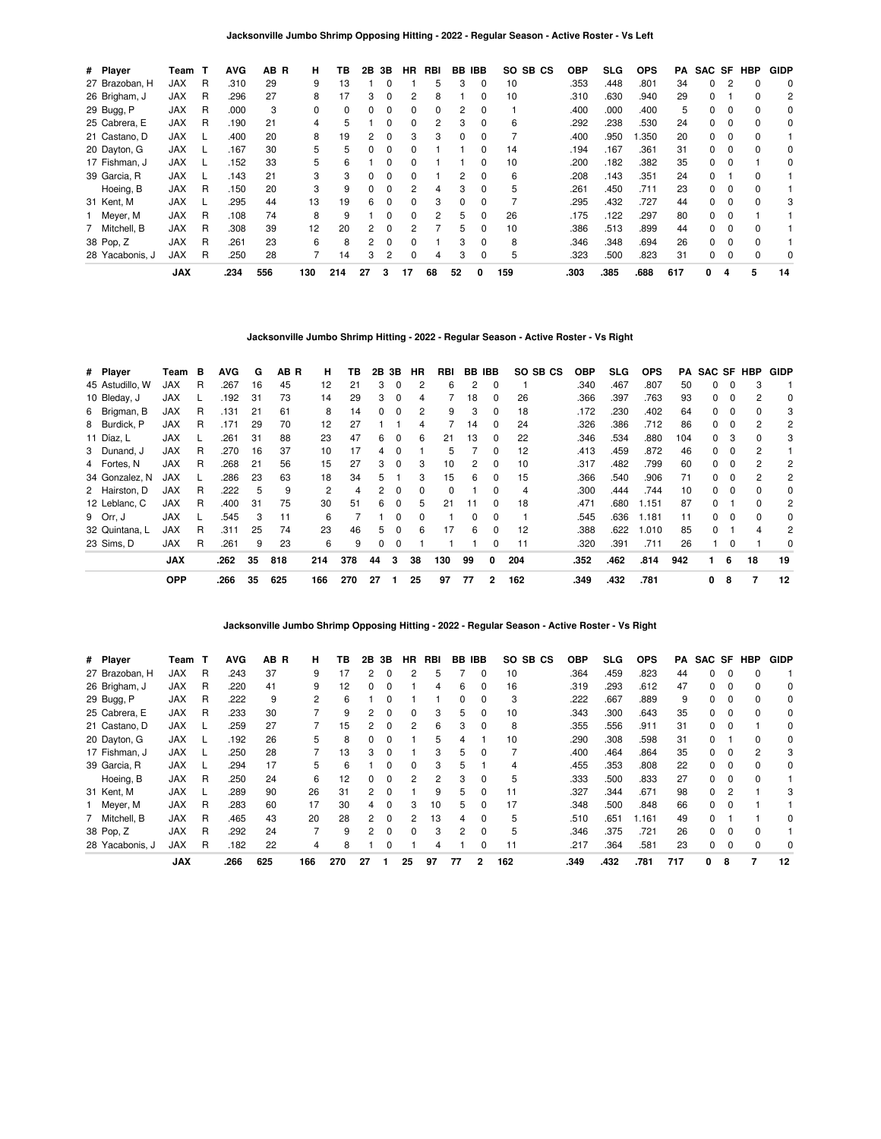**Jacksonville Jumbo Shrimp Opposing Hitting - 2022 - Regular Season - Active Roster - Vs Left**

| # Player        | Team       | т | <b>AVG</b> | AB R | н        | ΤВ  | 2В | 3В           | <b>HR</b> | RBI | BB | <b>IBB</b>   | SO SB CS | <b>OBP</b> | SLG  | <b>OPS</b> | PA  | SAC SF |   | <b>HBP</b> | <b>GIDP</b> |
|-----------------|------------|---|------------|------|----------|-----|----|--------------|-----------|-----|----|--------------|----------|------------|------|------------|-----|--------|---|------------|-------------|
| 27 Brazoban, H  | JAX        | R | .310       | 29   | 9        | 13  |    |              |           | 5   | 3  | 0            | 10       | .353       | .448 | .801       | 34  | 0      |   |            | 0           |
| 26 Brigham, J   | <b>JAX</b> | R | .296       | 27   | 8        | 17  | 3  | 0            | 2         | 8   |    |              | 10       | .310       | .630 | .940       | 29  | 0      |   | 0          | 2           |
| 29 Bugg, P      | <b>JAX</b> | R | .000       | 3    | $\Omega$ | 0   | 0  | 0            | 0         | 0   | 2  | 0            |          | .400       | .000 | .400       | 5   | 0      |   | $\Omega$   | 0           |
| 25 Cabrera, E   | <b>JAX</b> | R | .190       | 21   | 4        | 5   |    | <sup>0</sup> | 0         | 2   | 3  | <sup>0</sup> | 6        | .292       | .238 | .530       | 24  | 0      |   | $\Omega$   | 0           |
| 21 Castano, D   | <b>JAX</b> |   | .400       | 20   | 8        | 19  |    | 0            | 3         | 3   | 0  |              |          | .400       | .950 | .350       | 20  | 0      |   |            |             |
| 20 Dayton, G    | <b>JAX</b> |   | .167       | 30   | 5.       | 5   | 0  | 0            | 0         |     |    |              | 14       | .194       | .167 | .361       | 31  | 0      | 0 | $\Omega$   | $\Omega$    |
| 17 Fishman, J   | <b>JAX</b> |   | .152       | 33   | 5        | 6   |    | 0            | 0         |     |    | n            | 10       | .200       | .182 | .382       | 35  | 0      |   |            | 0           |
| 39 Garcia, R    | <b>JAX</b> |   | .143       | 21   | 3        | 3   | 0  | 0            | 0         |     | 2  |              | 6        | .208       | .143 | .351       | 24  | O.     |   |            |             |
| Hoeing, B       | <b>JAX</b> | R | .150       | 20   | 3        | 9   | 0  | 0            | 2         | 4   | 3  | 0            | 5        | .261       | .450 | .711       | 23  | 0      |   |            |             |
| 31 Kent, M      | <b>JAX</b> |   | .295       | 44   | 13       | 19  | 6  | $\Omega$     | $\Omega$  | 3   | 0  | $\Omega$     |          | .295       | .432 | .727       | 44  | 0      |   | $\Omega$   | 3           |
| 1 Meyer, M      | <b>JAX</b> | R | .108       | 74   | 8        | 9   |    | 0            | 0         | 2   | 5  | 0            | 26       | .175       | .122 | .297       | 80  | 0      |   |            |             |
| 7 Mitchell, B   | <b>JAX</b> | R | .308       | 39   | 12       | 20  | 2  | 0            |           |     | 5  |              | 10       | .386       | .513 | .899       | 44  | 0      |   |            |             |
| 38 Pop, Z       | <b>JAX</b> | R | .261       | 23   | 6        | 8   | 2  | 0            | $\Omega$  |     | 3  | <sup>0</sup> | 8        | .346       | .348 | .694       | 26  | 0      |   | $\Omega$   |             |
| 28 Yacabonis, J | <b>JAX</b> | R | .250       | 28   |          | 14  | 3  | 2            | $\Omega$  | 4   | 3  |              | 5        | .323       | .500 | .823       | 31  | 0      |   | $\Omega$   | 0           |
|                 | <b>JAX</b> |   | .234       | 556  | 130      | 214 | 27 | 3            | 17        | 68  | 52 | 0            | 159      | .303       | .385 | .688       | 617 | 0      | 4 | 5          | 14          |

**Jacksonville Jumbo Shrimp Hitting - 2022 - Regular Season - Active Roster - Vs Right**

| # Player        | Team       | в | <b>AVG</b> | G   | AB R | н   | ΤВ  |    | 2B 3B        | HR             | RBI |    | BB IBB   | SO SB CS | <b>OBP</b> | <b>SLG</b> | <b>OPS</b> | PA  | SAC SF HBP   |          |              | <b>GIDP</b>    |
|-----------------|------------|---|------------|-----|------|-----|-----|----|--------------|----------------|-----|----|----------|----------|------------|------------|------------|-----|--------------|----------|--------------|----------------|
| 45 Astudillo, W | <b>JAX</b> | R | .267       | 16  | 45   | 12  | 21  | 3  | 0            | 2              | 6   | 2  | 0        |          | .340       | .467       | .807       | 50  | 0            | 0        | 3            |                |
| 10 Bleday, J    | <b>JAX</b> |   | .192       | 31  | 73   | 14  | 29  | 3  | $\Omega$     | 4              |     | 18 | $\Omega$ | 26       | .366       | .397       | .763       | 93  | 0            | $\Omega$ | 2            | 0              |
| 6 Brigman, B    | <b>JAX</b> | R | .131       | 21  | 61   | 8   | 14  | 0  | 0            | $\overline{2}$ | 9   | 3  | 0        | 18       | .172       | .230       | .402       | 64  | 0            | $\Omega$ |              | 3              |
| 8 Burdick, P    | <b>JAX</b> | R | .171       | 29  | 70   | 12  | 27  |    |              | 4              |     | 14 | 0        | 24       | .326       | .386       | .712       | 86  | 0            | 0        |              | 2              |
| 11 Díaz, L      | <b>JAX</b> |   | .261       | -31 | 88   | 23  | 47  | 6  | 0            | 6              | 21  | 13 | 0        | 22       | .346       | .534       | .880       | 104 | 0            | 3        | 0            | 3              |
| 3 Dunand, J     | <b>JAX</b> | R | .270       | 16  | 37   | 10  | 17  | 4  | $\Omega$     |                | 5   |    | $\Omega$ | 12       | .413       | .459       | .872       | 46  | 0            | $\Omega$ | 2            |                |
| 4 Fortes, N     | <b>JAX</b> | R | .268       | 21  | 56   | 15  | 27  | 3  | $\Omega$     | 3              | 10  | 2  | $\Omega$ | 10       | .317       | .482       | .799       | 60  | O.           | $\Omega$ | 2            | 2              |
| 34 Gonzalez, N  | <b>JAX</b> |   | .286       | 23  | 63   | 18  | 34  | 5  |              | 3              | 15  | 6  | $\Omega$ | 15       | .366       | .540       | .906       | 71  | 0            | $\Omega$ | 2            | $\overline{c}$ |
| 2 Hairston, D   | <b>JAX</b> | R | .222       | 5   | 9    | 2   | 4   | 2  | $\Omega$     | 0              | 0   |    | 0        | 4        | .300       | .444       | .744       | 10  | 0            | $\Omega$ |              | 0              |
| 12 Leblanc, C   | <b>JAX</b> | R | .400       | 31  | 75   | 30  | 51  | 6  | $\Omega$     | 5              | 21  | 11 | $\Omega$ | 18       | .471       | .680       | 1.151      | 87  | 0            |          | 0            | 2              |
| 9 Orr. J        | <b>JAX</b> |   | .545       | 3   | 11   | 6   |     |    | <sup>0</sup> | 0              |     | 0  | $\Omega$ |          | .545       | .636       | 1.181      | 11  | 0            | $\Omega$ | <sup>0</sup> | 0              |
| 32 Quintana, L  | <b>JAX</b> | R | .311       | 25  | 74   | 23  | 46  | 5  | $\Omega$     | 6              | 17  | 6  | $\Omega$ | 12       | .388       | .622       | .010       | 85  | <sup>0</sup> |          |              | 2              |
| 23 Sims. D      | <b>JAX</b> | R | .261       | 9   | 23   | 6   | 9   | 0  | 0            |                |     |    | 0        | 11       | .320       | .391       | .711       | 26  |              | $\Omega$ |              | 0              |
|                 | <b>JAX</b> |   | .262       | 35  | 818  | 214 | 378 | 44 | 3            | 38             | 130 | 99 | 0        | 204      | .352       | .462       | .814       | 942 |              | 6        | 18           | 19             |
|                 | <b>OPP</b> |   | .266       | 35  | 625  | 166 | 270 | 27 |              | 25             | 97  | 77 | 2        | 162      | .349       | .432       | .781       |     | 0            | 8        | 7            | 12             |

**Jacksonville Jumbo Shrimp Opposing Hitting - 2022 - Regular Season - Active Roster - Vs Right**

| # Player        | Team       | т | <b>AVG</b> | AB R | н   | ΤВ  | 2Β | 3В       | ΗR           | RBI | BB | IBB          | SO SB CS | <b>OBP</b> | SLG  | <b>OPS</b> | PA  | SAC SF |          | HBP | <b>GIDP</b> |
|-----------------|------------|---|------------|------|-----|-----|----|----------|--------------|-----|----|--------------|----------|------------|------|------------|-----|--------|----------|-----|-------------|
| 27 Brazoban, H  | JAX        | R | .243       | 37   | 9   | 17  | 2  | 0        | 2            | 5   |    | 0            | 10       | .364       | .459 | .823       | 44  | 0      |          |     |             |
| 26 Brigham, J   | <b>JAX</b> | R | .220       | 41   | 9   | 12  | 0  | 0        |              | 4   | 6  | 0            | 16       | .319       | .293 | .612       | 47  | 0      |          |     | 0           |
| 29 Bugg, P      | <b>JAX</b> | R | 222        | 9    | 2   | 6   |    | 0        |              |     | 0  | 0            | 3        | .222       | .667 | .889       | 9   | 0      |          |     | 0           |
| 25 Cabrera, E   | <b>JAX</b> | R | .233       | 30   |     | 9   |    | 0        |              | 3   | 5  | 0            | 10       | .343       | .300 | .643       | 35  | 0      |          |     | 0           |
| 21 Castano, D   | <b>JAX</b> |   | .259       | 27   |     | 15  | 2  | 0        | 2            | 6   | 3  | 0            | 8        | .355       | .556 | .911       | 31  | 0      |          |     | 0           |
| 20 Dayton, G    | <b>JAX</b> |   | .192       | 26   | 5   | 8   | 0  | 0        |              | 5   | 4  |              | 10       | .290       | .308 | .598       | 31  | 0      |          | U   | 0           |
| 17 Fishman, J   | <b>JAX</b> |   | .250       | 28   |     | 13  | 3  | ŋ        |              | 3   | 5  | <sup>0</sup> |          | .400       | .464 | .864       | 35  | 0      |          | 2   | 3           |
| 39 Garcia, R    | <b>JAX</b> |   | .294       | 17   | 5   | 6   |    | 0        |              | 3   |    |              |          | .455       | .353 | .808       | 22  | 0      |          |     | 0           |
| Hoeing, B       | <b>JAX</b> | R | .250       | 24   | 6   | 12  | 0  | 0        |              | 2   | 3  | 0            | 5        | .333       | .500 | .833       | 27  | 0      | $\Omega$ |     |             |
| 31 Kent, M      | <b>JAX</b> |   | .289       | 90   | 26  | 31  | 2  | 0        |              | 9   | 5  | 0            | 11       | .327       | .344 | .671       | 98  | 0      | 2        |     |             |
| Meyer, M        | <b>JAX</b> | R | .283       | 60   | 17  | 30  | 4  | 0        | з            | 10  | 5. | <sup>0</sup> | 17       | .348       | .500 | .848       | 66  | 0      |          |     |             |
| 7 Mitchell, B   | <b>JAX</b> | R | .465       | 43   | 20  | 28  | 2  | 0        | 2            | 13  | 4  | 0            | 5        | .510       | .651 | 1.161      | 49  | 0      |          |     | 0           |
| 38 Pop, Z       | <b>JAX</b> | R | .292       | 24   |     | 9   | 2  | $\Omega$ | <sup>0</sup> | 3   | 2  | <sup>0</sup> | 5        | .346       | .375 | .721       | 26  | 0      |          |     |             |
| 28 Yacabonis, J | <b>JAX</b> | R | .182       | 22   | 4   | 8   |    | 0        |              |     |    |              |          | .217       | .364 | .581       | 23  | 0      |          |     | 0           |
|                 | <b>JAX</b> |   | .266       | 625  | 166 | 270 | 27 |          | 25           | 97  | 77 | 2            | 162      | .349       | .432 | .781       | 717 | 0      | 8        |     | 12          |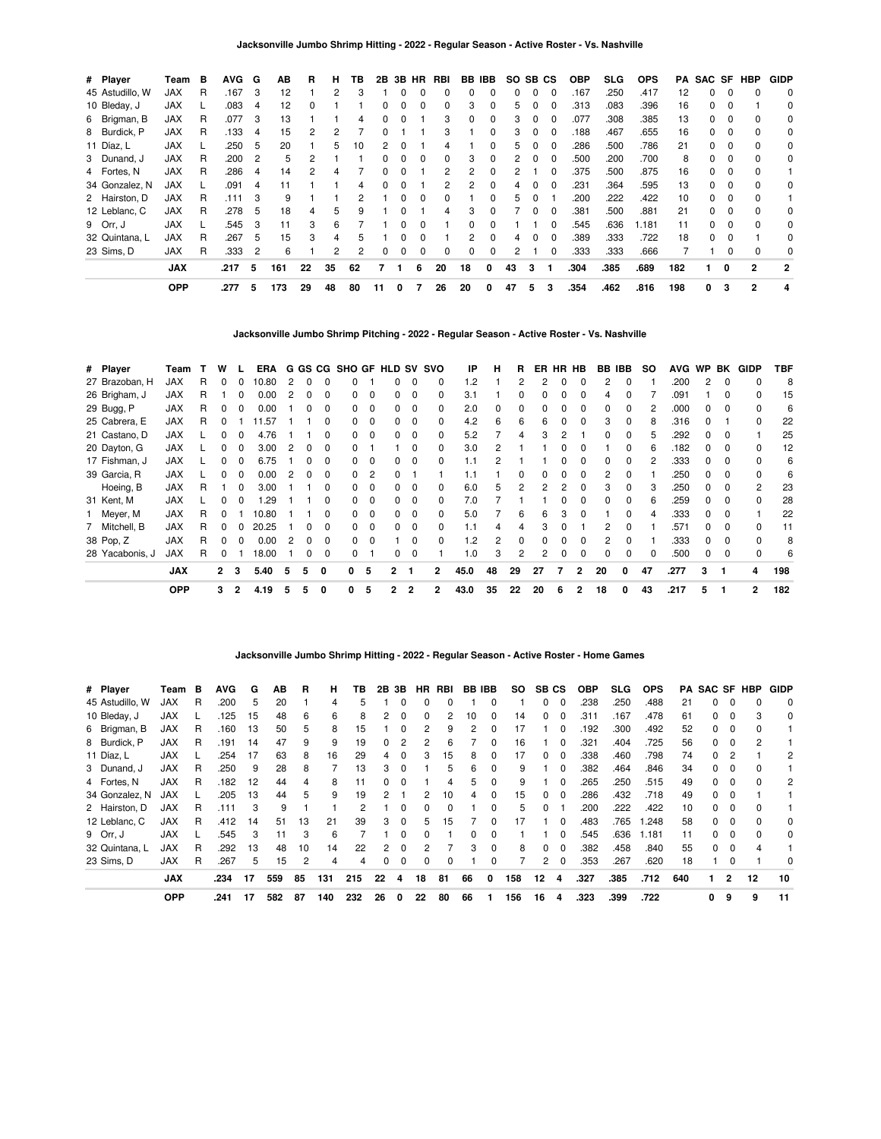| # Player        | Team       | в | AVG. | G              | AВ  | R  | н  | ΤВ | 2B           |   | 3B HR | RBI | BB IBB   |              | SO. | SB CS |              | <b>OBP</b> | SLG. | <b>OPS</b> | PA  | SAC SF |              | HBP            | <b>GIDP</b>    |
|-----------------|------------|---|------|----------------|-----|----|----|----|--------------|---|-------|-----|----------|--------------|-----|-------|--------------|------------|------|------------|-----|--------|--------------|----------------|----------------|
| 45 Astudillo, W | <b>JAX</b> | R | .167 | 3              | 12  |    | 2  | 3  |              | O | ŋ     |     |          | 0            | 0   | 0     | $\Omega$     | .167       | .250 | .417       | 12  | 0      | $\Omega$     |                | $\mathbf 0$    |
| 10 Bleday, J    | <b>JAX</b> |   | .083 | 4              | 12  |    |    |    |              |   |       | 0   | 3        | 0            | 5.  |       |              | .313       | .083 | .396       | 16  | 0      |              |                | 0              |
| 6 Brigman, B    | <b>JAX</b> | R | .077 | 3              | 13  |    |    | 4  |              | 0 |       | 3   | 0        | 0            | 3   |       | 0            | .077       | .308 | .385       | 13  | 0      |              |                | 0              |
| 8 Burdick, P    | <b>JAX</b> | R | .133 | 4              | 15  | 2  |    |    |              |   |       | 3   |          | 0            | 3   | 0     | 0            | .188       | .467 | .655       | 16  | 0      | 0            | 0              | 0              |
| 11 Díaz, L      | <b>JAX</b> |   | .250 | 5              | 20  |    | 5  | 10 | 2            | 0 |       | 4   |          | 0            | 5.  | 0     | $\Omega$     | 286        | .500 | .786       | 21  | 0      | $\Omega$     | $\Omega$       | 0              |
| 3 Dunand, J     | <b>JAX</b> | R | .200 | $\overline{2}$ | 5   | 2  |    |    | <sup>0</sup> | O | 0     | 0   | 3        | $\Omega$     | 2   | 0     | $\Omega$     | 500        | .200 | .700       | 8   | 0      | $\Omega$     | $\Omega$       | 0              |
| 4 Fortes, N     | <b>JAX</b> | R | .286 | 4              | 14  | 2  |    |    |              |   |       | 2   |          | 0            |     |       |              | .375       | .500 | .875       | 16  | O.     | $\Omega$     | $\Omega$       |                |
| 34 Gonzalez, N  | <b>JAX</b> |   | .091 | 4              |     |    |    | 4  |              |   |       |     | 2        | O.           | 4   |       | <sup>0</sup> | .231       | .364 | .595       | 13  | 0      | 0            | $\Omega$       | 0              |
| 2 Hairston, D   | <b>JAX</b> | R | .111 | 3              | 9   |    |    |    |              |   | 0     | 0   |          | 0            | 5   | 0     |              | .200       | .222 | .422       | 10  | 0      | 0            |                |                |
| 12 Leblanc, C   | JAX        | R | .278 | 5              | 18  | 4  | 5  | 9  |              | ŋ |       | 4   | 3        | $\Omega$     |     | 0     | $\Omega$     | .381       | .500 | .881       | 21  | 0      | $\Omega$     | 0              | 0              |
| 9 Orr, J        | <b>JAX</b> |   | .545 | 3              | 11  | 3  | 6  |    |              | O | ŋ     |     | $\Omega$ | 0            |     |       | $\Omega$     | .545       | .636 | 1.181      | 11  | 0      | <sup>0</sup> | $\Omega$       | 0              |
| 32 Quintana, L  | <b>JAX</b> | R | .267 | 5              | 15  | 3  | 4  | 5  |              | n | ŋ     |     | 2        | <sup>0</sup> | 4   | ŋ     | $\Omega$     | .389       | .333 | .722       | 18  | 0      | $\Omega$     |                | 0              |
| 23 Sims, D      | <b>JAX</b> | R | .333 | $\overline{2}$ | 6   |    | 2  | 2  | <sup>0</sup> | 0 | 0     | 0   | 0        | 0            | 2   |       | 0            | .333       | .333 | .666       |     |        |              | $\Omega$       | 0              |
|                 | <b>JAX</b> |   | .217 | 5              | 161 | 22 | 35 | 62 |              |   | 6     | 20  | 18       | 0            | 43  | 3     |              | .304       | .385 | .689       | 182 |        | 0            | $\mathbf{2}$   | $\overline{2}$ |
|                 | <b>OPP</b> |   | .277 | 5              | 173 | 29 | 48 | 80 | 11           | 0 |       | 26  | 20       | 0            | 47  | 5     | 3            | .354       | .462 | .816       | 198 | 0      | 3            | $\overline{2}$ | 4              |

**Jacksonville Jumbo Shrimp Pitching - 2022 - Regular Season - Active Roster - Vs. Nashville**

| # Player        | Team       |   | w              |                | ERA   |   |   |              | G GS CG SHO GF HLD SV SVO |          |    |                         |              | IP   | н  | R. | ER | HR HB |              | BB IBB       |              | so | <b>AVG</b> |              | WP BK    | GIDP           | TBF |
|-----------------|------------|---|----------------|----------------|-------|---|---|--------------|---------------------------|----------|----|-------------------------|--------------|------|----|----|----|-------|--------------|--------------|--------------|----|------------|--------------|----------|----------------|-----|
| 27 Brazoban, H  | <b>JAX</b> | R | <sup>0</sup>   | 0              | 10.80 | 2 |   | <sup>0</sup> |                           |          |    | 0                       | 0            | 1.2  |    | 2  | 2  |       |              | 2            | $\Omega$     |    | .200       | 2            | $\Omega$ |                | 8   |
| 26 Brigham, J   | <b>JAX</b> | R |                | 0              | 0.00  | 2 | O | 0            |                           | $\Omega$ |    | 0                       | 0            | 3.1  |    | 0  |    |       | 0            | 4            |              |    | .091       |              | $\Omega$ | 0              | 15  |
| 29 Bugg, P      | <b>JAX</b> | R |                |                | 0.00  |   |   | <sup>0</sup> |                           | $\Omega$ |    | $\Omega$                | 0            | 2.0  | 0  | n  |    |       |              | 0            | 0            |    | .000       |              | $\Omega$ | <sup>0</sup>   | 6   |
| 25 Cabrera, E   | <b>JAX</b> | R |                |                | .57   |   |   | ŋ            |                           |          |    | $\Omega$                | 0            | 4.2  | 6  | 6  |    |       |              | 3            |              |    | .316       |              |          |                | 22  |
| 21 Castano, D   | <b>JAX</b> |   |                |                | 4.76  |   |   |              |                           |          |    | $\Omega$                | 0            | 5.2  |    |    |    |       |              | 0            | <sup>0</sup> |    | .292       |              |          |                | 25  |
| 20 Dayton, G    | <b>JAX</b> |   |                |                | 3.00  |   |   |              |                           |          |    | $\Omega$                | <sup>0</sup> | 3.0  |    |    |    |       |              |              |              |    | .182       |              |          |                | 12  |
| 17 Fishman, J   | <b>JAX</b> |   |                |                | 6.75  |   |   |              |                           |          |    | 0                       | 0            | 1.1  |    |    |    |       |              | 0            | 0            |    | .333       |              |          |                | 6   |
| 39 Garcia, R    | <b>JAX</b> |   |                |                | 0.00  | 2 |   | 0            |                           | 2        |    |                         |              | 1.1  |    |    |    |       |              | 2            | 0            |    | .250       |              |          |                | 6   |
| Hoeing, B       | <b>JAX</b> | R |                | 0              | 3.00  |   |   | ŋ            |                           | $\Omega$ | O. | $\overline{\mathbf{0}}$ | $\Omega$     | 6.0  | 5  | 2  |    |       |              | 3            | 0            | З  | .250       | <sup>0</sup> | 0        | 2              | 23  |
| 31 Kent, M      | <b>JAX</b> |   |                | 0              | .29   |   |   | ŋ            | 0                         | 0        | 0  | $\overline{\mathbf{0}}$ | $\Omega$     | 7.0  |    |    |    |       | <sup>0</sup> | <sup>0</sup> | $\Omega$     | 6  | .259       | <sup>0</sup> | $\Omega$ | $\Omega$       | 28  |
| Meyer, M        | <b>JAX</b> | R | n              |                | 10.80 |   |   | ŋ            | 0                         | $\Omega$ | 0  | $\Omega$                | $\Omega$     | 5.0  |    | 6  | 6  | 3     | <sup>0</sup> |              | <sup>0</sup> |    | .333       | <sup>0</sup> | $\Omega$ |                | 22  |
| 7 Mitchell, B   | <b>JAX</b> | R | <sup>n</sup>   |                | 20.25 |   | n | <sup>0</sup> | n.                        | $\Omega$ | 0  | $\mathbf{0}$            | 0            | 1.1  | 4  | Δ  |    |       |              | 2            | <sup>0</sup> |    | .571       | <sup>n</sup> | $\Omega$ | <sup>0</sup>   | 11  |
| 38 Pop, Z       | <b>JAX</b> | R |                |                | 0.00  | 2 |   | <sup>0</sup> |                           | $\Omega$ |    | - 0                     | $\Omega$     | 1.2  | 2  | n  |    |       |              | 2            |              |    | .333       |              | $\Omega$ | <sup>0</sup>   | 8   |
| 28 Yacabonis, J | <b>JAX</b> | R |                |                | 18.00 |   |   | 0            | 0                         |          | 0  | $\mathbf{0}$            |              | 1.0  | 3  | 2  | 2  | 0     | 0            | 0            | 0            |    | .500       |              | $\Omega$ | 0              | 6   |
|                 | <b>JAX</b> |   | $\overline{2}$ | 3              | 5.40  | 5 | 5 | 0            | 0                         | 5        | 2  |                         | 2            | 45.0 | 48 | 29 | 27 | 7     | 2            | 20           | 0            | 47 | .277       | 3            |          | 4              | 198 |
|                 | <b>OPP</b> |   | 3              | $\overline{2}$ | 4.19  | 5 | 5 | $\Omega$     | 0                         | 5        | 2  | $\overline{2}$          | 2            | 43.0 | 35 | 22 | 20 | 6     | 2            | 18           | 0            | 43 | .217       | 5            |          | $\overline{2}$ | 182 |

**Jacksonville Jumbo Shrimp Hitting - 2022 - Regular Season - Active Roster - Home Games**

| # Player        | Team       | в | AVG  | G  | AВ  | R  | н   | гв  | 2Β           | 3В           | HR | RBI |    | BB IBB       | <b>SO</b> | SB | СS       | <b>OBP</b> | <b>SLG</b> | <b>OPS</b> | PA. | SAC SF HBP |              |    | <b>GIDP</b> |
|-----------------|------------|---|------|----|-----|----|-----|-----|--------------|--------------|----|-----|----|--------------|-----------|----|----------|------------|------------|------------|-----|------------|--------------|----|-------------|
| 45 Astudillo, W | JAX        | R | .200 | 5  | 20  |    | 4   |     |              |              | 0  |     |    | 0            |           | 0  | $\Omega$ | .238       | .250       | .488       | 21  | 0          | 0            |    | 0           |
| 10 Bleday, J    | JAX        |   | .125 | 15 | 48  | 6  | 6   | 8   | 2            | 0            | 0  | 2   | 10 | 0            | 14        | 0  | $\Omega$ | .311       | .167       | .478       | 61  | 0          | 0            | 3  | 0           |
| 6 Brigman, B    | <b>JAX</b> | R | .160 | 13 | 50  | 5  | 8   | 15  |              | O            | 2  | 9   | 2  | 0            | 17        |    | $\Omega$ | .192       | .300       | .492       | 52  | 0          | $\Omega$     |    |             |
| 8 Burdick, P    | <b>JAX</b> | R | .191 | 14 | 47  | 9  | 9   | 19  |              |              | 2  | 6   |    | 0            | 16        |    |          | .321       | .404       | .725       | 56  |            | 0            | 2  |             |
| 11 Díaz, L      | <b>JAX</b> |   | .254 | 17 | 63  | 8  | 16  | 29  |              |              | 3  | 15  | 8  | 0            | 17        | ŋ  |          | .338       | .460       | .798       | 74  |            | 2            |    | 2           |
| 3 Dunand, J     | <b>JAX</b> | R | .250 | 9  | 28  | 8  |     | 13  | з            | 0            |    | 5   | 6  | 0            | 9         |    | 0        | .382       | .464       | .846       | 34  | 0          | $\Omega$     |    |             |
| 4 Fortes, N     | <b>JAX</b> | R | .182 | 12 | 44  | 4  | 8   | 11  | <sup>0</sup> | <sup>0</sup> |    | 4   | 5  | 0            | 9         |    | $\Omega$ | .265       | .250       | .515       | 49  | 0          | $\Omega$     |    | 2           |
| 34 Gonzalez, N  | <b>JAX</b> |   | .205 | 13 | 44  | 5  | 9   | 19  | 2            |              | 2  | 10  | 4  | 0            | 15        | ŋ  | $\Omega$ | .286       | .432       | .718       | 49  |            |              |    |             |
| 2 Hairston, D   | <b>JAX</b> | R | .111 | 3  | 9   |    |     |     |              |              | 0  | ŋ   |    | <sup>0</sup> | 5         |    |          | .200       | .222       | .422       | 10  |            |              |    |             |
| 12 Leblanc, C   | <b>JAX</b> | R | .412 | 14 | 51  | 13 | 21  | 39  | З            | $\Omega$     | 5. | 15  |    | 0            | 17        |    | 0        | .483       | .765       | 1.248      | 58  | 0          | $\Omega$     |    | 0           |
| 9 Orr, J        | <b>JAX</b> |   | .545 | 3  | 11  | 3  | 6   |     |              | O            | 0  |     | O. | 0            |           |    | $\Omega$ | 545.       | .636       | 1.181      | 11  | 0          | $\Omega$     |    | 0           |
| 32 Quintana, L  | <b>JAX</b> | R | .292 | 13 | 48  | 10 | 14  | 22  | 2            | 0            | 2  |     | з  | 0            | 8         | 0  | $\Omega$ | .382       | .458       | .840       | 55  | 0          | $\Omega$     | Δ  |             |
| 23 Sims, D      | <b>JAX</b> | R | .267 | 5  | 15  | 2  | 4   | 4   | 0            | 0            | 0  | 0   |    | 0            |           | 2  | 0        | .353       | .267       | .620       | 18  |            |              |    | 0           |
|                 | <b>JAX</b> |   | .234 | 17 | 559 | 85 | 131 | 215 | 22           | 4            | 18 | 81  | 66 | 0            | 158       | 12 | 4        | .327       | .385       | .712       | 640 |            | $\mathbf{c}$ | 12 | 10          |
|                 | <b>OPP</b> |   | .241 | 17 | 582 | 87 | 140 | 232 | 26           | 0            | 22 | 80  | 66 |              | 156       | 16 | 4        | .323       | .399       | .722       |     | 0          | 9            | 9  | 11          |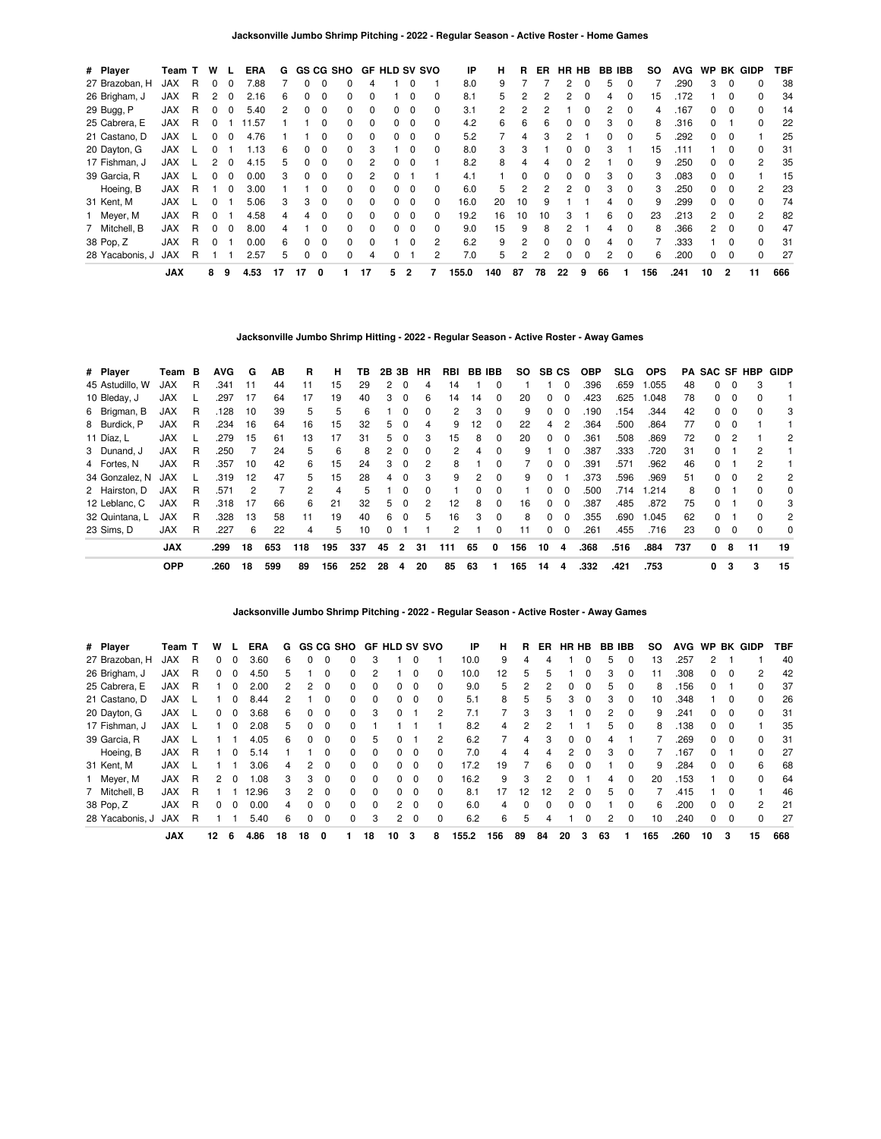| # Player        | Team T     |   | W |   | <b>ERA</b> | G  |    |          | GS CG SHO | <b>GF HLD SV SVO</b> |              |          |   | ΙP    | н   | R. | ER           | HR HB |              | <b>BB IBB</b> |              | SO  | <b>AVG</b> | <b>WP</b>    |              | <b>BK GIDP</b> | TBF |
|-----------------|------------|---|---|---|------------|----|----|----------|-----------|----------------------|--------------|----------|---|-------|-----|----|--------------|-------|--------------|---------------|--------------|-----|------------|--------------|--------------|----------------|-----|
| 27 Brazoban, H  | JAX        | R | 0 |   | 7.88       |    |    |          |           | 4                    |              | 0        |   | 8.0   | 9   |    |              | 2     |              | 5             |              |     | .290       | 3            | $\Omega$     | 0              | 38  |
| 26 Brigham, J   | <b>JAX</b> | R | 2 |   | 2.16       | 6  |    |          |           |                      |              |          |   | 8.1   | 5.  |    |              | 2     |              | 4             |              | 15  | 172        |              | O            | <sup>0</sup>   | 34  |
| 29 Bugg, P      | JAX        | R |   |   | 5.40       | 2  |    | C        |           | 0                    |              | 0        | 0 | 3.1   | 2   |    |              |       |              | 2             | 0            | 4   | .167       | 0            | 0            | 0              | 14  |
| 25 Cabrera, E   | JAX        | R |   |   | .57<br>1   |    |    |          |           | $\Omega$             | O.           | $\Omega$ | 0 | 4.2   | 6   | 6  | 6            | 0     | 0            | 3             | 0            | 8   | .316       | 0            |              | $\Omega$       | 22  |
| 21 Castano, D   | <b>JAX</b> |   |   |   | 4.76       |    |    |          |           | <sup>0</sup>         |              | 0        |   | 5.2   |     | 4  |              |       |              |               |              | 5   | .292       | 0            |              |                | 25  |
| 20 Dayton, G    | <b>JAX</b> |   |   |   | 1.13       | 6  |    | 0        |           | 3                    |              | 0        | 0 | 8.0   | 3   | 3  |              |       | 0            | 3             |              | 15  | .111       |              | 0            | 0              | 31  |
| 17 Fishman, J   | JAX        |   | 2 |   | 4.15       | 5  |    | 0        |           | 2                    | <sup>0</sup> | $\Omega$ |   | 8.2   | 8   | Δ  |              | 0     |              |               | <sup>0</sup> | 9   | .250       | 0            | 0            | $\mathcal{P}$  | 35  |
| 39 Garcia, R    | JAX        |   |   |   | 0.00       | 3  |    | O        |           | 2                    |              |          |   | 4.1   |     | 0  |              |       |              | 3             |              | 3   | .083       | <sup>o</sup> |              |                | 15  |
| Hoeing, B       | <b>JAX</b> | R |   |   | 3.00       |    |    |          |           | 0                    | 0            | 0        | o | 6.0   | 5.  | 2  |              | 2     | 0            | 3             | 0            | 3   | .250       | 0            | 0            | 2              | 23  |
| 31 Kent, M      | JAX        |   |   |   | 5.06       | 3  | з  | $\Omega$ |           | $\Omega$             | <sup>0</sup> | $\Omega$ | 0 | 16.0  | 20  | 10 | 9            |       |              | 4             | $\Omega$     | 9   | .299       | 0            | $\Omega$     | <sup>0</sup>   | 74  |
| Meyer, M        | <b>JAX</b> | R |   |   | 4.58       | 4  |    | O        |           | $\Omega$             |              | $\Omega$ | U | 19.2  | 16  | 10 | 10           | 3     |              | 6             |              | 23  | .213       | 2            | O            | 2              | 82  |
| 7 Mitchell, B   | JAX        | R |   |   | 8.00       |    |    |          |           | 0                    | 0            | 0        | o | 9.0   | 15  | 9  | 8            |       |              | 4             |              | 8   | .366       | 2            | $\Omega$     | <sup>0</sup>   | 47  |
| 38 Pop, Z       | <b>JAX</b> | R |   |   | 0.00       | 6  |    | $\Omega$ |           | $\Omega$             |              | $\Omega$ | 2 | 6.2   | 9   | 2  | <sup>0</sup> | 0     | <sup>0</sup> | 4             | $\Omega$     |     | .333       |              | <sup>0</sup> | $\Omega$       | 31  |
| 28 Yacabonis, J | <b>JAX</b> | R |   |   | 2.57       | 5. |    | 0        |           | 4                    |              |          | 2 | 7.0   | 5   | 2  | 2            | 0     | 0            | 2             | 0            | 6   | .200       | 0            | 0            | $\Omega$       | 27  |
|                 | <b>JAX</b> |   | 8 | 9 | 4.53       | 17 | 17 | 0        |           | 17                   | 5            | 2        |   | 155.0 | 140 | 87 | 78           | 22    | 9            | 66            |              | 156 | .241       | 10           | 2            | 11             | 666 |

**Jacksonville Jumbo Shrimp Hitting - 2022 - Regular Season - Active Roster - Away Games**

| # Player        | Team       | в | <b>AVG</b> | G  | AВ  | R   | н   | тв  |    | 2B 3B          | HR | RBI | <b>BB IBB</b> |   | SO. | SB CS        |          | <b>OBP</b> | SLG. | <b>OPS</b> |     |              |          | <b>PA SAC SF HBP</b> | GIDP |
|-----------------|------------|---|------------|----|-----|-----|-----|-----|----|----------------|----|-----|---------------|---|-----|--------------|----------|------------|------|------------|-----|--------------|----------|----------------------|------|
| 45 Astudillo, W | <b>JAX</b> | R | .341       | 11 | 44  | 11  | 15  | 29  | 2  | 0              | 4  | 14  |               | 0 |     |              | $\Omega$ | .396       | .659 | 1.055      | 48  | 0            | $\Omega$ | 3                    |      |
| 10 Bleday, J    | <b>JAX</b> |   | .297       | 17 | 64  | 17  | 19  | 40  | 3  | 0              | 6  | 14  | 14            | 0 | 20  | 0            | $\Omega$ | .423       | .625 | 1.048      | 78  | 0            | $\Omega$ |                      |      |
| 6 Brigman, B    | <b>JAX</b> | R | .128       | 10 | 39  | 5   | 5   | 6   |    | $\Omega$       | 0  | 2   | 3             | 0 | 9   | 0            | $\Omega$ | .190       | .154 | .344       | 42  | 0            | $\Omega$ | 0                    | 3    |
| 8 Burdick, P    | <b>JAX</b> | R | .234       | 16 | 64  | 16  | 15  | 32  | 5  | 0              | 4  | 9   | 12            | 0 | 22  | 4            | 2        | .364       | .500 | .864       | 77  | 0            |          |                      |      |
| 11 Díaz, L      | <b>JAX</b> |   | .279       | 15 | 61  | 13  | 17  | 31  | 5. | $\Omega$       | 3  | 15  | 8             | 0 | 20  | $\Omega$     | $\Omega$ | .361       | .508 | .869       | 72  | 0            | 2        |                      | 2    |
| 3 Dunand, J     | <b>JAX</b> | R | .250       |    | 24  | 5   | 6   | 8   | 2  | $\Omega$       | 0  | 2   | 4             | 0 | 9   |              | $\Omega$ | .387       | .333 | .720       | 31  | 0            |          | 2                    |      |
| 4 Fortes, N     | <b>JAX</b> | R | .357       | 10 | 42  | 6   | 15  | 24  | 3  | 0              | 2  | 8   |               | 0 |     | 0            | $\Omega$ | .391       | .571 | .962       | 46  | 0            |          |                      |      |
| 34 Gonzalez, N  | <b>JAX</b> |   | .319       | 12 | 47  | 5   | 15  | 28  | 4  | $\Omega$       | 3  | 9   | 2             | 0 | 9   | <sup>0</sup> |          | .373       | .596 | .969       | 51  | 0            | $\Omega$ | 2                    | 2    |
| 2 Hairston, D   | <b>JAX</b> | R | .571       | 2  |     | 2   | 4   | 5   |    |                | 0  |     |               | 0 |     | <sup>0</sup> | $\Omega$ | .500       | .714 | 1.214      | 8   | 0            |          |                      | 0    |
| 12 Leblanc, C   | <b>JAX</b> | R | .318       | 17 | 66  | 6   | 21  | 32  | 5. | $\Omega$       | 2  | 12  | 8             | 0 | 16  | $\Omega$     | $\Omega$ | .387       | .485 | .872       | 75  | 0            |          | <sup>0</sup>         | 3    |
| 32 Quintana, L  | <b>JAX</b> | R | .328       | 13 | 58  | 11  | 19  | 40  | 6  | $\Omega$       | 5  | 16  | 3             | 0 | 8   | <sup>0</sup> | $\Omega$ | .355       | .690 | 1.045      | 62  | 0            |          |                      | 2    |
| 23 Sims. D      | <b>JAX</b> | R | .227       | 6  | 22  | 4   | 5   | 10  | 0  |                |    | 2   |               | 0 | 11  | 0            | 0        | .261       | .455 | .716       | 23  | 0            | $\Omega$ | 0                    | 0    |
|                 | <b>JAX</b> |   | .299       | 18 | 653 | 118 | 195 | 337 | 45 | $\overline{2}$ | 31 | 111 | 65            | 0 | 156 | 10           | 4        | .368       | .516 | .884       | 737 | $\mathbf{0}$ | 8        | 11                   | 19   |
|                 | <b>OPP</b> |   | .260       | 18 | 599 | 89  | 156 | 252 | 28 | 4              | 20 | 85  | 63            |   | 165 | 14           | 4        | .332       | .421 | .753       |     | 0            | 3        | 3                    | 15   |

**Jacksonville Jumbo Shrimp Pitching - 2022 - Regular Season - Active Roster - Away Games**

| # Player        | Team T     |   | w  |              | ERA   | G  |              |              | <b>GS CG SHO</b> |          | <b>GF HLD SV SVO</b> |             |              | ΙP    | н   | R  | ER. | HR HB          |              | <b>BB IBB</b> |          | so  | <b>AVG</b> | <b>WP</b> | BK       | GIDP           | TBF |
|-----------------|------------|---|----|--------------|-------|----|--------------|--------------|------------------|----------|----------------------|-------------|--------------|-------|-----|----|-----|----------------|--------------|---------------|----------|-----|------------|-----------|----------|----------------|-----|
| 27 Brazoban, H  | <b>JAX</b> | R | 0  | 0            | 3.60  | 6  | 0            | 0            | 0                | 3        |                      |             |              | 10.0  | 9   |    |     |                | 0            | h             |          | 13  | .257       |           |          |                | 40  |
| 26 Brigham, J   | JAX        | R | 0  | 0            | 4.50  | 5  |              | 0            | 0                | 2        |                      | $\Omega$    | 0            | 10.0  | 12  | 5  |     |                | 0            | 3             | 0        | 11  | .308       | 0         | 0        | 2              | 42  |
| 25 Cabrera, E   | <b>JAX</b> | R |    | 0            | 2.00  |    | 2            | 0            | 0                | 0        |                      | $\Omega$    |              | 9.0   | 5   |    |     | 0              | 0            | 'n.           | 0        | 8   | 156        | 0         |          | 0              | 37  |
| 21 Castano, D   | JAX        |   |    | <sup>0</sup> | 8.44  | 2  |              | 0            | $\Omega$         | 0        | 0                    | $\Omega$    | 0            | 5.1   | 8   | 5  | 5   | 3              | $\Omega$     | 3             | $\Omega$ | 10  | .348       |           | 0        | <sup>0</sup>   | 26  |
| 20 Dayton, G    | JAX        |   | 0  | $\Omega$     | 3.68  | 6  | 0            | 0            | 0                | 3        | <sup>0</sup>         |             | 2            | 7.1   |     | 3  | 3   |                | ŋ            | 2             | $\Omega$ | 9   | .241       | 0         | 0        | $\Omega$       | 31  |
| 17 Fishman, J   | JAX        |   |    | $\Omega$     | 2.08  | 5. | $\Omega$     | 0            | $\Omega$         |          |                      |             |              | 8.2   | 4   | 2  |     |                |              | 5             | $\Omega$ | 8   | .138       | 0         | $\Omega$ |                | 35  |
| 39 Garcia, R    | <b>JAX</b> |   |    |              | 4.05  | 6  | <sup>0</sup> | <sup>0</sup> | 0                | 5        |                      |             | 2            | 6.2   |     | 4  |     | 0              | <sup>0</sup> | 4             |          |     | .269       | 0         | $\Omega$ | <sup>0</sup>   | 31  |
| Hoeing, B       | <b>JAX</b> | R |    | <sup>0</sup> | 5.14  |    |              | <sup>0</sup> | $\Omega$         | 0        | 0                    | $\Omega$    | <sup>0</sup> | 7.0   | 4   | 4  | 4   | 2              | $\Omega$     | з             | $\Omega$ |     | 167        | 0         |          | <sup>0</sup>   | 27  |
| 31 Kent, M      | <b>JAX</b> |   |    |              | 3.06  | 4  | 2            | 0            | $\Omega$         | 0        | 0                    | $\Omega$    | <sup>0</sup> | 17.2  | 19  |    | 6   | 0              | 0            |               | $\Omega$ | 9   | .284       | 0         | $\Omega$ | 6              | 68  |
| Meyer, M        | JAX        | R | 2  | $\Omega$     | 0.1   | 3  | 3            | 0            | 0                | 0        | 0                    | $\Omega$    | 0            | 16.2  | 9   | 3  |     | 0              |              | 4             | $\Omega$ | 20  | .153       |           | 0        | 0              | 64  |
| 7 Mitchell, B   | JAX        | R |    |              | 12.96 | 3  | 2            | 0            | $\Omega$         | $\Omega$ | 0                    | $\Omega$    | 0            | 8.1   | 17  | 12 | 12  | $\mathfrak{p}$ | 0            | 5             | $\Omega$ |     | .415       |           | 0        |                | 46  |
| 38 Pop, Z       | <b>JAX</b> | R | 0  | 0            | 0.00  | 4  | 0            | 0            | 0                | 0        |                      | $2 \quad 0$ | 0            | 6.0   | 4   | 0  |     | 0              | 0            |               | 0        | 6   | .200       | 0         | 0        | $\overline{2}$ | 21  |
| 28 Yacabonis, J | <b>JAX</b> | R |    |              | 5.40  | 6  | 0            | $\Omega$     | 0                | 3        | $\overline{2}$       | $\Omega$    | $\Omega$     | 6.2   | 6   | 5  |     |                | 0            | 2             | $\Omega$ | 10  | .240       | 0         | $\Omega$ | 0              | 27  |
|                 | <b>JAX</b> |   | 12 | 6            | 4.86  | 18 | 18           | 0            |                  | 18       | 10                   | 3           | 8            | 155.2 | 156 | 89 | 84  | 20             | 3            | 63            |          | 165 | .260       | 10        | 3        | 15             | 668 |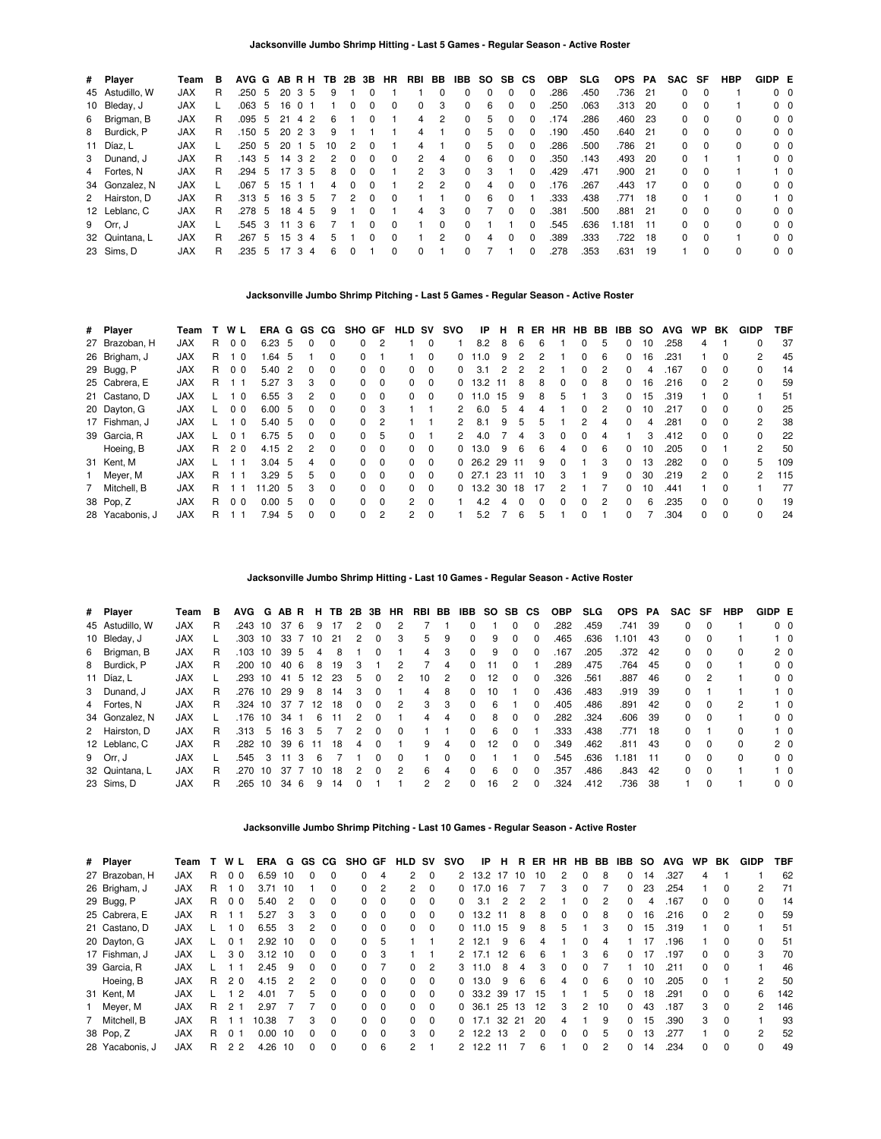| # Player        | Team       | в  |        |    |                 |          | AVG G AB R H TB | 2B            | 3B       | HR       | RBI | BB            | IBB          | SO. | SB. | СS           | <b>OBP</b> | <b>SLG</b> | <b>OPS</b> | PA   | SAC SF       |          | <b>HBP</b> | GIDP E         |            |
|-----------------|------------|----|--------|----|-----------------|----------|-----------------|---------------|----------|----------|-----|---------------|--------------|-----|-----|--------------|------------|------------|------------|------|--------------|----------|------------|----------------|------------|
| 45 Astudillo, W | <b>JAX</b> | R  | .250   | -5 | 20 <sub>3</sub> |          | -5<br>9         |               | 0        |          |     | 0             | 0            | 0   | 0   | 0            | .286       | .450       | .736       | 21   | 0            | $\Omega$ |            | $0\quad 0$     |            |
| 10 Bleday, J    | <b>JAX</b> |    | .063 5 |    | 16              | $\Omega$ |                 | 0             | $\Omega$ | $\Omega$ | 0   | 3             | 0            | 6   |     | 0            | .250       | .063       | .313       | -20  | 0            | $\Omega$ |            | $0\quad 0$     |            |
| 6 Brigman, B    | <b>JAX</b> | R. | .095   | -5 | 21              | 4 2      | 6               |               | $\Omega$ |          | 4   | 2             | 0            | 5   | 0   | 0            | 174        | .286       | .460       | -23  | 0            | $\Omega$ | $\Omega$   | $0\quad 0$     |            |
| 8 Burdick, P    | <b>JAX</b> | R. | .150   | -5 | $20\ 2\ 3$      |          | 9               |               |          |          | 4   |               | $\Omega$     | 5   | 0   | 0            | .190       | .450       | .640       | - 21 | 0            | $\Omega$ | $\Omega$   | 0 <sub>0</sub> |            |
| 11 Díaz, L      | <b>JAX</b> |    | .250   | -5 | 20              |          | 10<br>-5        | 2             | 0        |          | 4   |               | 0            | 5   |     | 0            | .286       | .500       | .786       | - 21 | 0            | $\Omega$ | $\Omega$   | $0\quad 0$     |            |
| 3 Dunand, J     | <b>JAX</b> | R. | .143   | -5 | 14              | 3        | 2<br>2          | $\Omega$      | $\Omega$ | $\Omega$ | 2   | 4             | 0            | 6   | 0   | 0            | .350       | .143       | .493       | -20  | 0            |          |            | $0\quad 0$     |            |
| 4 Fortes, N     | <b>JAX</b> | R. | .294   | -5 | 1735            |          | 8               | $\Omega$      | $\Omega$ |          | 2   | 3             | $\Omega$     | 3   |     | 0            | .429       | .471       | .900       | 21   | 0            | $\Omega$ |            |                | $1\quad$ 0 |
| 34 Gonzalez, N  | <b>JAX</b> |    | .067 5 |    | 15              |          | 4               | $\Omega$      | $\Omega$ |          | 2   | $\mathcal{P}$ | <sup>0</sup> | 4   | 0   | <sup>0</sup> | .176       | .267       | .443       | -17  | $\Omega$     | $\Omega$ | $\Omega$   | $0\quad 0$     |            |
| 2 Hairston, D   | <b>JAX</b> | R. | .313   | 5  | 16              | 3        | 5               | $\mathcal{P}$ | $\Omega$ | $\Omega$ |     |               | <sup>0</sup> | 6   |     |              | .333       | .438       | .771       | -18  | <sup>0</sup> |          | $\Omega$   |                | $1\quad$ 0 |
| 12 Leblanc, C   | <b>JAX</b> | R. | .278   | -5 | 18              | 4        | 5<br>9          |               | $\Omega$ |          | 4   | 3             | 0            |     | 0   | 0            | .381       | .500       | .881       | -21  | 0            | $\Omega$ | $\Omega$   | $0\quad 0$     |            |
| 9 Orr, J        | <b>JAX</b> |    | .545   | 3  | 11              | 3        | 6               |               | $\Omega$ | $\Omega$ |     | $\Omega$      | <sup>0</sup> |     |     | O            | .545       | .636       | 1.181      | 11   | 0            | $\Omega$ | $\Omega$   | $0\quad 0$     |            |
| 32 Quintana, L  | <b>JAX</b> | R  | .267   | 5  | 15              | -3       | 5<br>4          |               | $\Omega$ | $\Omega$ |     | $\mathcal{P}$ | $\Omega$     | 4   | 0   | $\Omega$     | .389       | .333       | .722       | 18   | 0            | $\Omega$ |            | $0\quad 0$     |            |
| 23 Sims, D      | <b>JAX</b> | R  | .235   | 5  |                 | 3        | 6<br>4          |               |          |          | 0   |               | 0            |     |     | 0            | .278       | .353       | .631       | 19   |              |          | $\Omega$   | $0\quad 0$     |            |

## **Jacksonville Jumbo Shrimp Pitching - Last 5 Games - Regular Season - Active Roster**

| # Player        | Team       |    | WL             | ERA G GS |                |              | CG.      | SHO GF   |                | <b>HLD</b>     | sv       | svo          | IP     | н   | R   | ER           | <b>HR</b>    | <b>HB</b>    | BB            | IBB.     | so | <b>AVG</b> | WP.           | BK           | <b>GIDP</b> | TBF |
|-----------------|------------|----|----------------|----------|----------------|--------------|----------|----------|----------------|----------------|----------|--------------|--------|-----|-----|--------------|--------------|--------------|---------------|----------|----|------------|---------------|--------------|-------------|-----|
| 27 Brazoban, H  | <b>JAX</b> | R. | 0 <sub>0</sub> | 6.23     | -5             | $\Omega$     | $\Omega$ | $\Omega$ | 2              |                | 0        |              | 8.2    | 8   | 6   | 6            |              | 0            | 5             | 0        | 10 | .258       | 4             |              | 0           | 37  |
| 26 Brigham, J   | <b>JAX</b> | R  | - 0            | 64. ا    | 5              |              | 0        | $\Omega$ |                |                | $\Omega$ | 0            | 11.0   | 9   |     | 2            |              | 0            | 6             | $\Omega$ | 16 | .231       |               | <sup>0</sup> | 2           | 45  |
| 29 Bugg, P      | <b>JAX</b> | R  | 0 <sub>0</sub> | 5.40     | $\overline{2}$ | $\Omega$     | 0        | 0        | $\Omega$       | 0              | 0        | 0            | 3.1    | 2   | 2   | 2            |              | 0            | $\mathcal{P}$ | $\Omega$ | 4  | .167       | 0             |              | 0           | 14  |
| 25 Cabrera, E   | <b>JAX</b> | R. |                | 5.27     | -3             | 3            | $\Omega$ | $\Omega$ | 0              | 0              | $\Omega$ | 0            | 13.2   | -11 | 8   | 8            | $\Omega$     | 0            | 8             | 0        | 16 | .216       | 0             | 2            | 0           | 59  |
| 21 Castano, D   | <b>JAX</b> |    | - 0            | 6.55 3   |                | 2            | $\Omega$ | 0        | $\Omega$       | 0              | $\Omega$ | 0            | 11.0   | 15  | 9   | 8            | 5            |              | 3             | 0        | 15 | .319       |               |              |             | 51  |
| 20 Dayton, G    | <b>JAX</b> |    | 0 <sub>0</sub> | 6.00     | -5             | $\Omega$     | $\Omega$ | $\Omega$ | 3              |                |          | 2            | 6.0    | 5   | 4   | 4            |              | $\Omega$     | 2             | $\Omega$ | 10 | .217       | 0             | $\Omega$     | 0           | 25  |
| 17 Fishman, J   | <b>JAX</b> |    | - 0            | 5.40     | - 5            | $\Omega$     | $\Omega$ | 0        | $\overline{2}$ |                |          |              | 8.1    | 9   | 5   | 5            |              | 2            |               | $\Omega$ | 4  | .281       | 0             |              | 2           | 38  |
| 39 Garcia, R    | <b>JAX</b> |    | 0              | 6.75 5   |                | $\Omega$     | $\Omega$ | $\Omega$ | 5              | 0              |          | 2            | 4.0    |     | 4   | 3            | $\Omega$     | 0            | 4             |          | 3  | .412       | 0             | $\Omega$     | 0           | 22  |
| Hoeing, B       | <b>JAX</b> | R. | 20             | 4.15     | -2             |              | 0        | 0        | $\Omega$       | 0              | 0        | 0            | 13.0   | 9   | 6   | 6            | Δ            | 0            | 6             | $\Omega$ | 10 | .205       | <sup>0</sup>  |              | 2           | 50  |
| 31 Kent, M      | <b>JAX</b> |    |                | 3.04     | 5              | 4            | $\Omega$ | $\Omega$ | $\Omega$       | 0              | $\Omega$ | 0            | 26.2   | 29  | -11 | 9            | $\Omega$     |              | 3             | $\Omega$ | 13 | .282       | <sup>0</sup>  | 0            | 5           | 109 |
| Meyer, M        | <b>JAX</b> | R. |                | 3.29     | - 5            | 5.           | $\Omega$ | $\Omega$ | $\Omega$       | 0              | $\Omega$ | 0            | - 27.1 | 23  | 11  | 10           | 3            |              | 9             | $\Omega$ | 30 | .219       | $\mathcal{P}$ | $\Omega$     | 2           | 115 |
| 7 Mitchell, B   | <b>JAX</b> | R. |                | 1.20     | -5             | 3            | $\Omega$ | $\Omega$ | $\Omega$       | 0              | $\Omega$ | <sup>0</sup> | 13.2   | 30  | 18  | 17           | 2            |              |               | $\Omega$ | 10 | .441       |               | $\Omega$     |             | 77  |
| 38 Pop, Z       | <b>JAX</b> | R  | 0 <sub>0</sub> | 0.00     | -5             | <sup>0</sup> | $\Omega$ | $\Omega$ | $\Omega$       | $\overline{2}$ | $\Omega$ |              | 4.2    | Δ   |     | <sup>0</sup> | <sup>0</sup> | <sup>0</sup> | 2             | $\Omega$ | 6  | .235       | 0             |              | 0           | 19  |
| 28 Yacabonis, J | <b>JAX</b> | R  |                | 7.94     | 5              | 0            | $\Omega$ | $\Omega$ | 2              | 2              | 0        |              | 5.2    |     | 6   | 5            |              | 0            |               | 0        |    | .304       | 0             |              | 0           | 24  |

**Jacksonville Jumbo Shrimp Hitting - Last 10 Games - Regular Season - Active Roster**

| # Player        | Team       | в  | AVG     |               | G ABR           |     | н                 | TB. | 2B       | 3В       | HR            | RBI | BB | IBB          | SO SB CS        |              |              | <b>OBP</b> | <b>SLG</b> | <b>OPS</b> | PA   | SAC          | SF       | HBP          | GIDP E |                |
|-----------------|------------|----|---------|---------------|-----------------|-----|-------------------|-----|----------|----------|---------------|-----|----|--------------|-----------------|--------------|--------------|------------|------------|------------|------|--------------|----------|--------------|--------|----------------|
| 45 Astudillo, W | <b>JAX</b> | R. | .243    | 10            | 376             |     | 9                 | 17  |          | 0        | 2             |     |    | <sup>0</sup> |                 | <sup>0</sup> | $\Omega$     | .282       | .459       | .741       | -39  | 0            | $\Omega$ |              |        | 0 <sub>0</sub> |
| 10 Bleday, J    | <b>JAX</b> |    | .303    | 10            | 33              |     | 10                | 21  |          | 0        | 3             | 5.  | 9  | $\Omega$     | 9               | <sup>0</sup> | 0            | .465       | .636       | .101       | 43   | 0            | $\Omega$ |              |        | $1\quad$ 0     |
| 6 Brigman, B    | <b>JAX</b> | R  | .103    | 10            | 39 5            |     | 4                 | 8   |          |          |               | 4   | 3  | $\Omega$     | 9               | <sup>0</sup> | $\Omega$     | 167        | .205       | .372       | - 42 | 0            | 0        | 0            |        | 2 <sub>0</sub> |
| 8 Burdick, P    | <b>JAX</b> | R. | .200    | 10            | 40 6            |     | 8                 | 19  |          |          | 2             |     | 4  | $^{(1)}$     |                 |              |              | .289       | .475       | .764 45    |      | 0            | $\Omega$ |              |        | 0 <sub>0</sub> |
| 11 Díaz, L      | <b>JAX</b> |    | .293    | 10            | 41              | - 5 | $12 \overline{ }$ | 23  | 5        | 0        | 2             | 10  | 2  | $\Omega$     | 12              | <sup>0</sup> | $\Omega$     | .326       | .561       | .887       | 46   | 0            | 2        |              |        | 0 <sub>0</sub> |
| 3 Dunand, J     | <b>JAX</b> | R. | .276    | 10            | 29 9            |     | 8                 | 14  |          |          |               | 4   | 8  | $\Omega$     | 10              |              | <sup>0</sup> | .436       | .483       | .919       | -39  | 0            |          |              |        | $1\quad$ 0     |
| 4 Fortes, N     | <b>JAX</b> | R. | .324 10 |               | 37 7            |     | 12                | 18  | $\Omega$ | $\Omega$ | 2             | 3   | 3  | 0            | 6               |              | 0            | .405       | .486       | .891       | 42   | 0            | 0        | 2            |        | $1\quad 0$     |
| 34 Gonzalez, N  | <b>JAX</b> |    | .176    | 10            | 34              |     | 6                 | 11  | 2        |          |               | 4   | 4  | $\Omega$     | 8               | $\Omega$     | $\Omega$     | .282       | .324       | .606       | -39  | 0            | $\Omega$ |              |        | 0 <sub>0</sub> |
| 2 Hairston, D   | <b>JAX</b> | R. | .313    | -5            | 16 <sub>3</sub> |     | 5                 |     |          | $\Omega$ | $\Omega$      |     |    | $\Omega$     | 6               | $\Omega$     |              | .333       | .438       | .771       | - 18 | <sup>0</sup> |          | <sup>0</sup> |        | $1\quad$ 0     |
| 12 Leblanc, C   | <b>JAX</b> | R. | .282    | 10            | 396             |     | 11                | 18  | 4        | $\Omega$ |               | 9   | 4  | $\Omega$     | 12 <sup>2</sup> | <sup>0</sup> | $\Omega$     | .349       | .462       | .811       | -43  | 0            | $\Omega$ | <sup>0</sup> |        | 2 <sub>0</sub> |
| 9 Orr, J        | <b>JAX</b> |    | .545    | $\mathcal{B}$ |                 | 3   | 6                 |     |          |          | $\Omega$      |     | 0  |              |                 |              | O            | .545       | .636       | .181       | 11   | 0            | $\Omega$ | <sup>0</sup> |        | 0 <sub>0</sub> |
| 32 Quintana, L  | <b>JAX</b> | R. | .270    | 10            | -37             |     | 7 10              | 18  | 2        | $\Omega$ | $\mathcal{P}$ | 6   | 4  | $\Omega$     | 6               | $\Omega$     | $\Omega$     | .357       | .486       | .843       | 42   | 0            | - 0      |              |        | $1\quad$ 0     |
| 23 Sims, D      | <b>JAX</b> |    | .265    | 10            | 34 6            |     | 9                 | 14  |          |          |               | 2.  | 2  | <sup>0</sup> | 16              | 2            | <sup>0</sup> | .324       | .412       | .736       | -38  |              | $\Omega$ |              |        | 0 <sub>0</sub> |

**Jacksonville Jumbo Shrimp Pitching - Last 10 Games - Regular Season - Active Roster**

| # Player        | Team       |   | WL             | ERA   | G              | GS.      | CG.      | <b>SHO</b>   | GF             | HLD      | sv       | svo          | IP       | н   | R   | ER. | HR | HB.          | BB. | IBB.         | so | <b>AVG</b> | <b>WP</b>    | BK           | <b>GIDP</b>    | TBF |
|-----------------|------------|---|----------------|-------|----------------|----------|----------|--------------|----------------|----------|----------|--------------|----------|-----|-----|-----|----|--------------|-----|--------------|----|------------|--------------|--------------|----------------|-----|
| 27 Brazoban, H  | <b>JAX</b> | R | 0 <sub>0</sub> | 6.59  | 10             | 0        | 0        |              | 4              | 2        | 0        |              | 2 13.2   | 17  | 10  | 10  | 2  | $\Omega$     | 8   | 0            | 14 | .327       | 4            |              |                | 62  |
| 26 Brigham, J   | <b>JAX</b> | R | 0              | 3.71  | 10             |          | 0        | 0            | $\overline{2}$ | 2        | 0        |              | 17.0     | 16  |     |     | 3  | $\Omega$     |     | 0            | 23 | .254       |              | $\Omega$     | 2              | 71  |
| 29 Bugg, P      | <b>JAX</b> | R | 0 <sub>0</sub> | 5.40  | $\overline{2}$ | $\Omega$ | $\Omega$ | $\Omega$     | 0              | 0        | 0        | <sup>o</sup> | 3.1      | 2   | 2   | 2   |    | $\Omega$     | 2   | <sup>0</sup> | 4  | .167       | 0            | $\Omega$     | 0              | 14  |
| 25 Cabrera, E   | <b>JAX</b> | R |                | 5.27  | 3              | 3        | 0        | 0            | $\Omega$       | 0        | 0        |              | $0$ 13.2 | 11  | 8   | 8   | 0  | 0            | 8   | 0            | 16 | .216       | 0            | 2            | 0              | 59  |
| 21 Castano, D   | <b>JAX</b> |   | $\Omega$       | 6.55  | 3              | 2        | $\Omega$ | $\Omega$     | 0              | $\Omega$ | $\Omega$ |              | 0, 11.0  | 15  | 9   | 8   | 5  |              | 3   | 0            | 15 | .319       |              | $\Omega$     |                | 51  |
| 20 Dayton, G    | <b>JAX</b> |   | 0 1            | 2.92  | 10             | 0        | $\Omega$ | <sup>n</sup> | 5              |          |          |              | 2, 12.1  | 9   | 6   | 4   |    | 0            | 4   |              | 17 | .196       |              | <sup>0</sup> | 0              | 51  |
| 17 Fishman, J   | <b>JAX</b> |   | 30             | 3.12  | 10             | $\Omega$ | $\Omega$ | $\Omega$     | 3              |          |          | 2            | 17.1     | 12  | 6   | 6   |    | 3            | 6   | <sup>0</sup> | 17 | .197       | <sup>0</sup> | $\Omega$     | 3              | 70  |
| 39 Garcia, R    | <b>JAX</b> |   |                | 2.45  | 9              | 0        | $\Omega$ | $\Omega$     |                | 0        | 2        |              | 3, 11.0  | 8   | 4   | 3   | 0  | 0            |     |              | 10 | .211       | 0            | $\Omega$     |                | 46  |
| Hoeing, B       | <b>JAX</b> | R | 2 <sub>0</sub> | 4.15  | 2              | 2        | $\Omega$ | $\Omega$     | $\Omega$       | $\Omega$ | $\Omega$ |              | 0, 13.0  | 9   | 6   | 6   | 4  | <sup>0</sup> | 6   | <sup>0</sup> | 10 | .205       | <sup>0</sup> |              | 2              | 50  |
| 31 Kent, M      | <b>JAX</b> |   | $\overline{2}$ | 4.01  |                | 5.       | $\Omega$ | $\Omega$     | $\Omega$       | 0        | $\Omega$ |              | 0, 33.2  | -39 | 17  | 15  |    |              | 5   | 0            | 18 | .291       | 0            | $\Omega$     | 6              | 142 |
| 1 Meyer, M      | <b>JAX</b> | R | 2 <sub>1</sub> | 2.97  |                |          | $\Omega$ | $\Omega$     | $\Omega$       | $\Omega$ | $\Omega$ |              | 0, 36.1  | 25  | -13 | 12  | 3  | 2            | 10  | 0            | 43 | .187       | 3            | $\Omega$     | 2              | 146 |
| 7 Mitchell, B   | <b>JAX</b> | R |                | 10.38 |                | 3        | $\Omega$ | $\Omega$     | $\Omega$       | 0        | $\Omega$ |              | 0, 17.1  | 32  | 21  | 20  | 4  |              | 9   | $\Omega$     | 15 | .390       | 3            | $\Omega$     |                | 93  |
| 38 Pop, Z       | <b>JAX</b> | R | 01             | 0.00  | 10             | 0        | $\Omega$ | $\Omega$     | $\Omega$       | 3        | $\Omega$ |              | 2, 12.2  | 13  | 2   | 0   | 0  | $\Omega$     | 5   | <sup>0</sup> | 13 | 277        |              | $\Omega$     | $\mathfrak{p}$ | 52  |
| 28 Yacabonis, J | <b>JAX</b> | R | 2 <sub>2</sub> | 4.26  | 10             | 0        | $\Omega$ | 0            | 6              | 2        |          |              | 12.2     | 11  |     | 6   |    | $\Omega$     |     | $\Omega$     | 14 | .234       | 0            | $\Omega$     | 0              | 49  |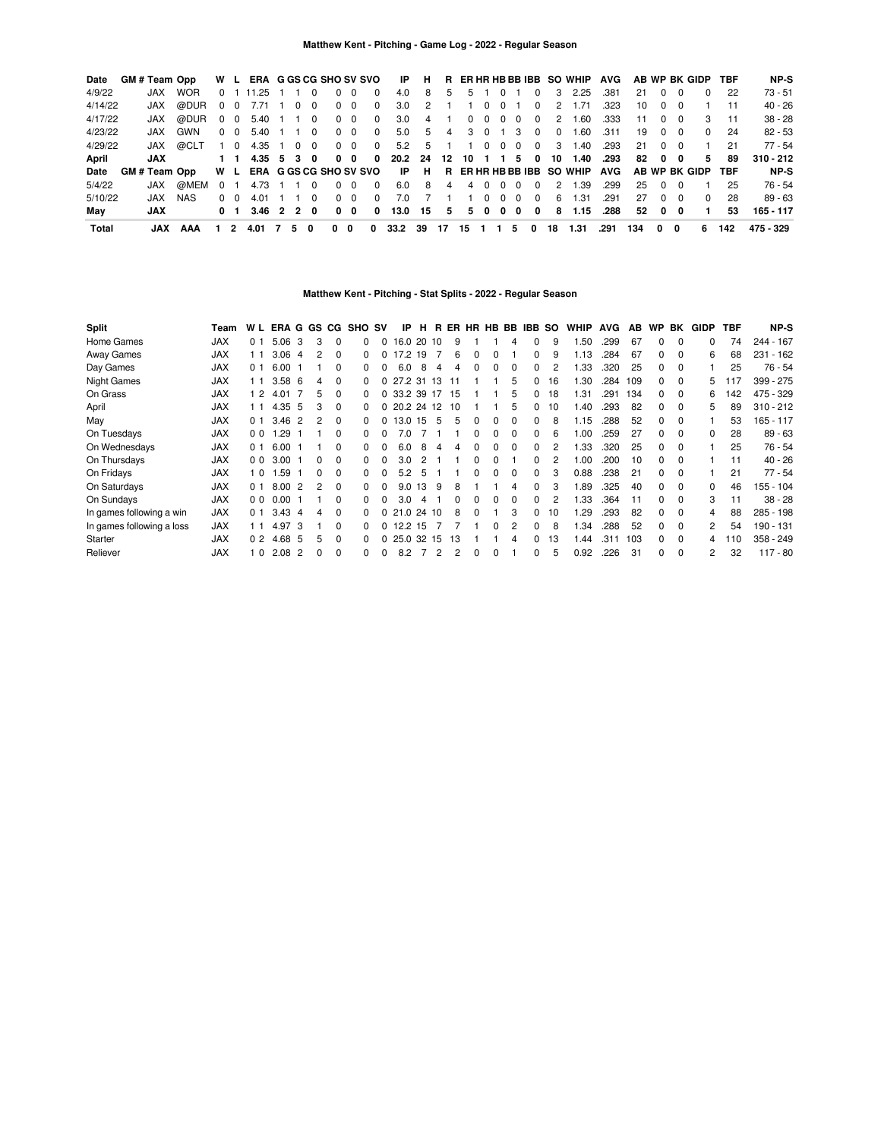| Date    | <b>GM#Team Opp</b>   |            |            | W L            |          | ERA G GS CG SHO SV SVO |          |                |          |            |            | IP.        | Н.   |    |            |          |          |          |          |          | R ER HR HB BB IBB SO WHIP     | AVG  |     |          |                | AB WP BK GIDP | <b>TBF</b> | NP-S        |
|---------|----------------------|------------|------------|----------------|----------|------------------------|----------|----------------|----------|------------|------------|------------|------|----|------------|----------|----------|----------|----------|----------|-------------------------------|------|-----|----------|----------------|---------------|------------|-------------|
| 4/9/22  |                      | <b>JAX</b> | <b>WOR</b> | 0 <sub>1</sub> |          | 11.25                  |          | $\Omega$       | $\Omega$ | $\Omega$   | $\Omega$   | 4.0        | 8    | 5  | 5          |          | $\Omega$ |          | $\Omega$ | 3        | 2.25                          | .381 | 21  | $\Omega$ | - 0            | $\Omega$      | 22         | 73 - 51     |
| 4/14/22 |                      | JAX.       | @DUR       | $\Omega$       | $\Omega$ | 7.71                   | $\Omega$ | $\Omega$       |          | $0\quad 0$ | $\Omega$   | 3.0        | 2    |    |            | $\Omega$ | $\Omega$ |          | $\Omega$ | 2        | 1.71                          | .323 | 10  | $\Omega$ | - 0            |               | 11         | $40 - 26$   |
| 4/17/22 |                      | JAX        | @DUR       | $0\quad 0$     |          | 5.40                   |          | $\cdot$ 0      |          | $0\quad 0$ | $^{\circ}$ | 3.0        | 4    |    | $^{\circ}$ | $\Omega$ | $\Omega$ | $\Omega$ | $\Omega$ | 2        | 60. ا                         | .333 | 11  | $\Omega$ | - 0            | 3             | 11         | $38 - 28$   |
| 4/23/22 |                      | JAX.       | GWN        | $0\quad 0$     |          | 5.40                   |          | $\overline{0}$ |          | $0\quad 0$ | $^{\circ}$ | 5.0        | 5    | 4  | 3          | $\Omega$ |          | - 3      | $\Omega$ | $\Omega$ | 1.60                          | .311 | 19  | $\Omega$ | $\Omega$       | $\Omega$      | 24         | $82 - 53$   |
| 4/29/22 |                      | JAX        | @CLT       |                | 1 0      | 4.35 1                 | $\Omega$ | $\Omega$       |          | $0\quad 0$ | $^{\circ}$ | 5.2        | 5    |    |            | $\Omega$ | $\Omega$ | $\Omega$ | $\Omega$ | 3        | 1.40                          | .293 | 21  | $\Omega$ | $\overline{0}$ |               | 21         | 77 - 54     |
| April   |                      | <b>JAX</b> |            |                |          | 4.35 5                 | 3        | 0              |          | $0\quad 0$ | 0          | 20.2 24 12 |      |    | 10         |          | 1 1      | 5.       | 0        | 10       | 1.40                          | .293 | 82  | 0        | 0              | 5             | 89         | $310 - 212$ |
| Date    | <b>GM # Team Opp</b> |            |            | W L            |          | ERA G GS CG SHO SV SVO |          |                |          |            |            |            | IP H |    |            |          |          |          |          |          | R ER HR HB BB IBB SO WHIP AVG |      |     |          |                | AB WP BK GIDP | <b>TBF</b> | NP-S        |
| 5/4/22  |                      | JAX        | @MEM       | <sup>0</sup>   |          | 4.73                   |          | $\Omega$       |          | $0\quad 0$ | $\Omega$   | 6.0        | 8    | 4  | 4          | $\Omega$ | 0        | <u>n</u> | $\Omega$ | 2        | 1.39                          | .299 | 25  | റ        |                |               | 25         | 76 - 54     |
| 5/10/22 |                      | JAX.       | NAS        | 0              | - 0      | 4.01                   |          | $\Omega$       |          | 0 O        | $\Omega$   | 7.0        |      |    |            | $\Omega$ | $\Omega$ | റ        | $\Omega$ | 6        | 1.31                          | .291 | 27  | $\Omega$ | - 0            | $^{\circ}$    | 28         | $89 - 63$   |
| May     |                      | <b>JAX</b> |            | 0              |          | $3.46$ 2 2 0           |          |                |          | $0\quad 0$ | 0          | 13.0 15    |      | 5  | 5          | 0        | 0        | - 0      | 0        | 8        | 1.15                          | .288 | 52  |          | $0\quad 0$     |               | 53         | 165 - 117   |
| Total   |                      | JAX        | AAA        |                | 2        | 4.01                   | 5.       | 0              | 0        | 0          | 0          | 33.2       | 39   | 17 | 15         |          |          | -5       | 0        | 18       | 1.31                          | .291 | 134 | 0        | 0              | 6             | 142        | 475 - 329   |

# **Matthew Kent - Pitching - Stat Splits - 2022 - Regular Season**

| <b>Split</b>              | Геаm       | W L            | ERA G GS CG       |    |              |          | SHO          | S٧ | ΙP         | н          | R.  |     | ER HR HB BB  |              |   | IBB | <b>SO</b> | <b>WHIP</b> | <b>AVG</b> | AB  | <b>WP</b> | BK       | <b>GIDP</b> | <b>TBF</b> | NP-S        |
|---------------------------|------------|----------------|-------------------|----|--------------|----------|--------------|----|------------|------------|-----|-----|--------------|--------------|---|-----|-----------|-------------|------------|-----|-----------|----------|-------------|------------|-------------|
|                           |            |                |                   |    |              |          |              |    |            |            |     |     |              |              |   |     |           |             |            |     |           |          |             |            |             |
| Home Games                | <b>JAX</b> | 0 <sub>1</sub> | 5.06              | 3  | 3            | $\Omega$ | 0            |    |            | 16.0 20    | 10  | 9   |              |              | 4 | 0   | 9         | .50         | .299       | 67  | 0         | $\Omega$ | 0           | 74         | 244 - 167   |
| <b>Away Games</b>         | <b>JAX</b> | 11             | 3.06              | -4 |              | $\Omega$ | 0            |    |            | 17.2 19    |     | 6   | $\Omega$     | 0            |   | 0   | 9         | 1.13        | .284       | 67  | 0         | $\Omega$ | 6           | 68         | $231 - 162$ |
| Day Games                 | <b>JAX</b> | 0 <sub>1</sub> | 6.00              |    |              | $\Omega$ | 0            |    | 6.0        | 8          | 4   |     | $\Omega$     | 0            | 0 | 0   | 2         | .33         | .320       | 25  | 0         | $\Omega$ |             | 25         | $76 - 54$   |
| <b>Night Games</b>        | <b>JAX</b> | 11             | 3.586             |    |              | $\Omega$ | $\Omega$     |    | 27.2 31 13 |            |     | -11 |              |              | 5 | 0   | 16        | .30         | .284       | 109 | 0         | $\Omega$ | 5           | 117        | 399 - 275   |
| On Grass                  | <b>JAX</b> | $\sqrt{2}$     | 4.01              | -7 | 5            | $\Omega$ | 0            |    |            | 33.2 39 17 |     | 15  |              |              | 5 | 0   | 18        | l 31        | .291       | 134 | 0         | $\Omega$ | 6           | 142        | 475 - 329   |
| April                     | <b>JAX</b> | 11             | 4.35 5            |    | 3            | $\Omega$ | $\Omega$     |    |            | 20.2 24 12 |     | 10  |              |              | 5 | 0   | 10        | .40         | .293       | 82  | 0         | $\Omega$ | 5           | 89         | $310 - 212$ |
| May                       | <b>JAX</b> | 0 <sub>1</sub> | 3.46              | -2 |              | $\Omega$ | 0            |    |            | 13.0 15    | 5   | 5   | $\Omega$     | $\Omega$     | 0 | 0   | 8         | 1.15        | .288       | 52  | 0         | $\Omega$ |             | 53         | 165 - 117   |
| On Tuesdays               | <b>JAX</b> | 0 <sub>0</sub> | 1.29              | -1 |              | $\Omega$ | 0            |    | 7.0        |            |     |     | 0            | 0            | 0 | 0   | 6         | .00         | .259       | 27  | $\Omega$  | $\Omega$ | 0           | 28         | $89 - 63$   |
| On Wednesdays             | <b>JAX</b> | 0 <sub>1</sub> | 6.00              | -1 |              | $\Omega$ | 0            | 0  | 6.0        | 8          | 4   | 4   | 0            | 0            | 0 | 0   | 2         | .33         | .320       | 25  | $\Omega$  | $\Omega$ |             | 25         | 76 - 54     |
| On Thursdays              | <b>JAX</b> | 0 <sub>0</sub> | 3.00              |    | <sup>0</sup> | $\Omega$ | 0            | 0  | 3.0        | 2          |     |     | <sup>0</sup> | <sup>0</sup> |   | ŋ   | 2         | .00         | .200       | 10  | $\Omega$  | $\Omega$ |             | 11         | $40 - 26$   |
| On Fridays                | <b>JAX</b> | 0              | .59               |    | <sup>n</sup> | $\Omega$ | 0            |    | 5.2        | 5          |     |     | <sup>0</sup> | <sup>0</sup> | 0 | 0   | 3         | 0.88        | .238       | 21  | $\Omega$  | $\Omega$ |             | 21         | $77 - 54$   |
| On Saturdays              | <b>JAX</b> | 0 <sub>1</sub> | 8.00              | -2 |              | $\Omega$ | 0            |    | 9.0        | 13         | 9   | 8   |              |              | 4 | ŋ   | 3         | .89         | .325       | 40  | $\Omega$  | $\Omega$ | 0           | 46         | 155 - 104   |
| On Sundays                | <b>JAX</b> | 0 <sub>0</sub> | 0.00              |    |              | $\Omega$ | 0            |    | 3.0        | Δ          |     |     |              |              | 0 | O   | 2         | .33         | .364       | 11  | O.        | $\Omega$ | 3           | 11         | $38 - 28$   |
| In games following a win  | <b>JAX</b> | 0 <sub>1</sub> | 3.43              | -4 |              | $\Omega$ | 0            |    | 21         | .024       | -10 | 8   |              |              | 3 | 0   | 10        | .29         | .293       | 82  | 0         | $\Omega$ | 4           | 88         | $285 - 198$ |
| In games following a loss | <b>JAX</b> | 11             | 4.97              | 3  |              | $\Omega$ | 0            |    |            | 12.2 15    |     |     |              | 0            | 2 | n   | 8         | .34         | .288       | 52  | 0         | $\Omega$ | 2           | 54         | 190 - 131   |
| Starter                   | <b>JAX</b> | 0 <sub>2</sub> | 4.68              | -5 | 5            | $\Omega$ | 0            |    |            | 25.0 32    | 15  | 13  |              |              |   | 0   | 13        | .44         | .311       | 103 | 0         | $\Omega$ | 4           | 110        | 358 - 249   |
| Reliever                  | <b>JAX</b> | 10             | 2.08 <sub>2</sub> |    |              | $\Omega$ | <sup>0</sup> | 0  | 8.2        |            | 2   | 2   | 0            | $\Omega$     |   | 0   | 5         | 0.92        | .226       | 31  | 0         | $\Omega$ | 2           | 32         | $117 - 80$  |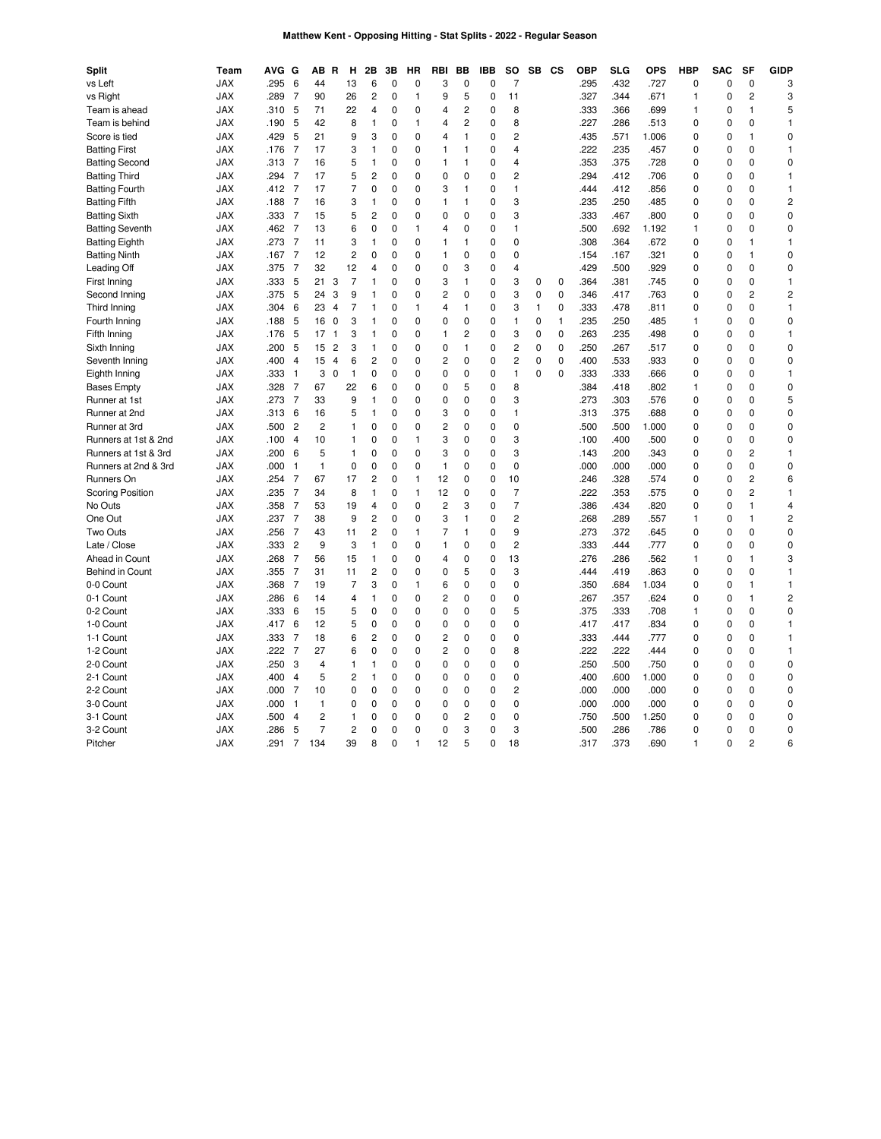# **Matthew Kent - Opposing Hitting - Stat Splits - 2022 - Regular Season**

| <b>Split</b>                   | Team       | <b>AVG</b> | G              | AB R           |                | н                  | 2Β             | 3В          | ΗR           | RBI            | ВB             | IBB         | so                      | SB           | <b>CS</b>    | <b>OBP</b>   | <b>SLG</b> | <b>OPS</b>   | <b>HBP</b>       | <b>SAC</b>  | SF             | <b>GIDP</b>             |
|--------------------------------|------------|------------|----------------|----------------|----------------|--------------------|----------------|-------------|--------------|----------------|----------------|-------------|-------------------------|--------------|--------------|--------------|------------|--------------|------------------|-------------|----------------|-------------------------|
| vs Left                        | <b>JAX</b> | .295       | 6              | 44             |                | 13                 | 6              | $\mathbf 0$ | 0            | 3              | $\mathbf 0$    | $\mathbf 0$ | $\overline{7}$          |              |              | .295         | .432       | .727         | $\mathbf 0$      | $\mathbf 0$ | $\mathbf 0$    | 3                       |
| vs Right                       | <b>JAX</b> | .289       | 7              | 90             |                | 26                 | 2              | 0           | 1            | 9              | 5              | 0           | 11                      |              |              | .327         | .344       | .671         | 1                | $\mathbf 0$ | $\overline{c}$ | 3                       |
| Team is ahead                  | <b>JAX</b> | .310       | 5              | 71             |                | 22                 | 4              | $\mathbf 0$ | 0            | $\overline{4}$ | $\overline{c}$ | $\Omega$    | 8                       |              |              | .333         | .366       | .699         | 1                | $\mathbf 0$ | $\mathbf{1}$   | 5                       |
| Team is behind                 | <b>JAX</b> | .190       | 5              | 42             |                | 8                  | $\mathbf{1}$   | 0           | 1            | 4              | $\overline{c}$ | 0           | 8                       |              |              | .227         | .286       | .513         | $\mathbf 0$      | $\mathbf 0$ | $\mathbf 0$    | $\mathbf{1}$            |
| Score is tied                  | <b>JAX</b> | .429       | 5              | 21             |                | 9                  | 3              | $\mathbf 0$ | 0            | 4              | $\mathbf{1}$   | 0           | $\overline{2}$          |              |              | .435         | .571       | 1.006        | $\mathbf 0$      | $\mathbf 0$ | 1              | $\mathbf 0$             |
| <b>Batting First</b>           | <b>JAX</b> | .176       | 7              | 17             |                | 3                  | 1              | 0           | 0            | $\mathbf{1}$   | 1              | 0           | 4                       |              |              | .222         | .235       | .457         | 0                | 0           | $\mathbf 0$    | $\mathbf{1}$            |
| <b>Batting Second</b>          | <b>JAX</b> | .313       | 7              | 16             |                | 5                  | 1              | 0           | 0            | 1              | 1              | 0           | 4                       |              |              | .353         | .375       | .728         | $\mathbf 0$      | $\mathbf 0$ | $\mathbf 0$    | 0                       |
| <b>Batting Third</b>           | <b>JAX</b> | .294       | $\overline{7}$ | 17             |                | 5                  | $\overline{c}$ | 0           | 0            | 0              | 0              | 0           | $\overline{2}$          |              |              | .294         | .412       | .706         | $\mathbf 0$      | $\mathbf 0$ | $\mathbf 0$    | $\mathbf{1}$            |
| <b>Batting Fourth</b>          | <b>JAX</b> | .412       | 7              | 17             |                | 7                  | 0              | 0           | 0            | 3              | 1              | 0           | 1                       |              |              | .444         | .412       | .856         | 0                | 0           | $\Omega$       | $\mathbf{1}$            |
| <b>Batting Fifth</b>           | <b>JAX</b> | .188       | 7              | 16             |                | 3                  | $\mathbf{1}$   | 0           | 0            | $\mathbf{1}$   | 1              | 0           | 3                       |              |              | .235         | .250       | .485         | $\mathbf 0$      | $\mathbf 0$ | $\Omega$       | $\overline{\mathbf{c}}$ |
| <b>Batting Sixth</b>           | <b>JAX</b> | .333       | 7              | 15             |                | 5                  | $\overline{c}$ | 0           | 0            | $\mathbf 0$    | 0              | 0           | 3                       |              |              | .333         | .467       | .800         | $\mathbf 0$      | $\mathbf 0$ | $\mathbf 0$    | 0                       |
| <b>Batting Seventh</b>         | <b>JAX</b> | .462       | $\overline{7}$ | 13             |                | 6                  | 0              | $\mathbf 0$ | $\mathbf{1}$ | $\overline{4}$ | $\mathbf 0$    | 0           | 1                       |              |              | .500         | .692       | 1.192        | $\mathbf{1}$     | $\mathbf 0$ | $\mathbf 0$    | $\mathbf 0$             |
| <b>Batting Eighth</b>          | <b>JAX</b> | .273       | 7              | 11             |                | 3                  | 1              | 0           | 0            | $\mathbf{1}$   | 1              | 0           | 0                       |              |              | .308         | .364       | .672         | 0                | 0           | 1              | 1                       |
| <b>Batting Ninth</b>           | <b>JAX</b> | .167       | $\overline{7}$ | 12             |                | 2                  | 0              | 0           | 0            | $\mathbf{1}$   | 0              | 0           | 0                       |              |              | .154         | .167       | .321         | $\mathbf 0$      | $\mathbf 0$ | $\mathbf{1}$   | 0                       |
| Leading Off                    | <b>JAX</b> | .375       | 7              | 32             |                | 12                 | 4              | 0           | 0            | $\mathbf 0$    | 3              | 0           | 4                       |              |              | .429         | .500       | .929         | $\mathbf 0$      | $\mathbf 0$ | $\mathbf 0$    | 0                       |
| First Inning                   | <b>JAX</b> | .333       | 5              | 21             | 3              | $\overline{7}$     | 1              | $\mathbf 0$ | 0            | 3              | $\mathbf{1}$   | 0           | 3                       | $\mathbf 0$  | $\mathbf 0$  | .364         | .381       | .745         | $\mathbf 0$      | $\mathbf 0$ | $\mathbf 0$    | $\mathbf{1}$            |
| Second Inning                  | <b>JAX</b> | .375       | 5              | 24             | 3              | 9                  | 1              | 0           | 0            | $\overline{c}$ | 0              | 0           | 3                       | 0            | $\mathbf 0$  | .346         | .417       | .763         | $\mathbf 0$      | 0           | $\overline{c}$ | $\overline{c}$          |
| Third Inning                   | <b>JAX</b> | .304       | 6              | 23             | $\overline{4}$ | 7                  | 1              | 0           | 1            | $\overline{4}$ | $\mathbf{1}$   | 0           | 3                       | $\mathbf{1}$ | 0            | .333         | .478       | .811         | $\mathbf 0$      | $\mathbf 0$ | $\Omega$       | $\mathbf{1}$            |
| Fourth Inning                  | <b>JAX</b> | .188       | 5              | 16             | $\mathbf 0$    | 3                  | 1              | $\Omega$    | 0            | $\mathbf 0$    | 0              | 0           | $\mathbf{1}$            | $\mathbf 0$  | $\mathbf{1}$ | .235         | .250       | .485         | 1                | $\mathbf 0$ | $\mathbf 0$    | $\mathbf 0$             |
| Fifth Inning                   | <b>JAX</b> | .176       | 5              | 17             | -1             | 3                  | 1              | $\mathbf 0$ | 0            | 1              | $\overline{c}$ | 0           | 3                       | $\mathbf 0$  | $\mathbf 0$  | .263         | .235       | .498         | $\mathbf 0$      | $\mathbf 0$ | $\mathbf 0$    | $\mathbf{1}$            |
|                                | <b>JAX</b> | .200       | 5              | 15             | $\overline{c}$ | 3                  | 1              | 0           | 0            | 0              | 1              | 0           | 2                       | $\mathbf 0$  | 0            | .250         | .267       | .517         | 0                | 0           | 0              | 0                       |
| Sixth Inning<br>Seventh Inning | <b>JAX</b> | .400       | $\overline{4}$ | 15             | $\overline{4}$ | 6                  | $\overline{c}$ | $\mathbf 0$ | 0            | $\overline{2}$ | $\mathbf 0$    | 0           | $\overline{2}$          | $\mathbf 0$  | $\mathbf 0$  | .400         | .533       | .933         | $\mathbf 0$      | $\mathbf 0$ | $\Omega$       | $\mathbf 0$             |
|                                |            |            | $\mathbf{1}$   | 3              |                |                    | 0              | $\mathbf 0$ | 0            | $\mathbf 0$    | $\mathbf 0$    | 0           | $\mathbf{1}$            | $\mathbf 0$  | $\mathbf 0$  |              | .333       |              | $\mathbf 0$      | $\mathbf 0$ | $\mathbf 0$    | $\mathbf{1}$            |
| Eighth Inning                  | <b>JAX</b> | .333       | $\overline{7}$ | 67             | $\mathbf 0$    | $\mathbf{1}$<br>22 | 6              | 0           | $\Omega$     | 0              | 5              | 0           | 8                       |              |              | .333<br>.384 | .418       | .666<br>.802 |                  | $\mathbf 0$ | $\Omega$       | 0                       |
| <b>Bases Empty</b>             | <b>JAX</b> | .328       | $\overline{7}$ | 33             |                |                    |                | $\mathbf 0$ | 0            | $\mathbf 0$    | 0              | 0           |                         |              |              |              |            |              | 1<br>$\mathbf 0$ | $\mathbf 0$ | $\mathbf 0$    | 5                       |
| Runner at 1st                  | <b>JAX</b> | .273       |                |                |                | 9                  | 1              |             |              |                |                |             | 3                       |              |              | .273         | .303       | .576         |                  |             |                |                         |
| Runner at 2nd                  | <b>JAX</b> | .313       | 6              | 16             |                | 5                  | 1              | $\Omega$    | 0            | 3              | $\Omega$       | $\Omega$    | 1                       |              |              | .313         | .375       | .688         | $\Omega$         | $\Omega$    | $\Omega$       | 0                       |
| Runner at 3rd                  | <b>JAX</b> | .500       | $\overline{2}$ | $\overline{c}$ |                | 1                  | 0              | $\mathbf 0$ | 0            | $\overline{c}$ | $\mathbf 0$    | 0           | $\mathbf 0$             |              |              | .500         | .500       | 1.000        | $\mathbf 0$      | $\mathbf 0$ | $\mathbf 0$    | $\mathbf 0$             |
| Runners at 1st & 2nd           | <b>JAX</b> | .100       | $\overline{4}$ | 10             |                | 1                  | 0              | 0           | 1            | 3              | 0              | 0           | 3                       |              |              | .100         | .400       | .500         | 0                | 0           | 0              | 0                       |
| Runners at 1st & 3rd           | <b>JAX</b> | .200       | 6              | 5              |                | 1                  | 0              | 0           | 0            | 3              | $\mathbf 0$    | 0           | 3                       |              |              | .143         | .200       | .343         | $\mathbf 0$      | $\mathbf 0$ | $\overline{c}$ | $\mathbf{1}$            |
| Runners at 2nd & 3rd           | <b>JAX</b> | .000       | $\mathbf{1}$   | $\mathbf{1}$   |                | 0                  | 0              | 0           | 0            | $\mathbf{1}$   | $\mathbf 0$    | 0           | 0                       |              |              | .000         | .000       | .000         | 0                | $\mathbf 0$ | $\mathbf 0$    | 0                       |
| Runners On                     | <b>JAX</b> | .254       | 7              | 67             |                | 17                 | $\overline{c}$ | $\mathbf 0$ | $\mathbf{1}$ | 12             | $\mathbf 0$    | 0           | 10                      |              |              | .246         | .328       | .574         | $\mathbf 0$      | $\mathbf 0$ | $\overline{2}$ | 6                       |
| <b>Scoring Position</b>        | <b>JAX</b> | .235       | 7              | 34             |                | 8                  | 1              | 0           | 1            | 12             | 0              | 0           | 7                       |              |              | .222         | .353       | .575         | 0                | 0           | $\overline{c}$ | $\mathbf{1}$            |
| No Outs                        | <b>JAX</b> | .358       | 7              | 53             |                | 19                 | $\overline{4}$ | 0           | 0            | $\overline{c}$ | 3              | 0           | $\overline{7}$          |              |              | .386         | .434       | .820         | $\mathbf 0$      | $\mathbf 0$ | $\mathbf{1}$   | 4                       |
| One Out                        | <b>JAX</b> | .237       | 7              | 38             |                | 9                  | $\overline{c}$ | 0           | 0            | 3              | $\mathbf{1}$   | 0           | $\overline{\mathbf{c}}$ |              |              | .268         | .289       | .557         | 1                | $\mathbf 0$ | $\mathbf{1}$   | $\overline{\mathbf{c}}$ |
| Two Outs                       | <b>JAX</b> | .256       | $\overline{7}$ | 43             |                | 11                 | $\overline{c}$ | $\mathbf 0$ | $\mathbf{1}$ | $\overline{7}$ | $\mathbf{1}$   | 0           | 9                       |              |              | .273         | .372       | .645         | $\mathbf 0$      | $\mathbf 0$ | $\mathbf 0$    | $\mathbf 0$             |
| Late / Close                   | <b>JAX</b> | .333       | $\overline{c}$ | 9              |                | 3                  | 1              | 0           | 0            | $\mathbf{1}$   | 0              | 0           | $\overline{c}$          |              |              | .333         | .444       | .777         | 0                | 0           | $\mathbf 0$    | 0                       |
| Ahead in Count                 | <b>JAX</b> | .268       | $\overline{7}$ | 56             |                | 15                 | $\mathbf{1}$   | 0           | 0            | 4              | $\mathbf 0$    | 0           | 13                      |              |              | .276         | .286       | .562         | $\mathbf{1}$     | $\mathbf 0$ | $\mathbf{1}$   | 3                       |
| Behind in Count                | <b>JAX</b> | .355       | 7              | 31             |                | 11                 | $\overline{c}$ | 0           | 0            | 0              | 5              | 0           | 3                       |              |              | .444         | .419       | .863         | $\mathbf 0$      | $\mathbf 0$ | $\mathbf 0$    | $\mathbf{1}$            |
| 0-0 Count                      | <b>JAX</b> | .368       | $\overline{7}$ | 19             |                | $\overline{7}$     | 3              | $\mathbf 0$ | $\mathbf{1}$ | 6              | $\mathbf 0$    | 0           | $\mathbf 0$             |              |              | .350         | .684       | 1.034        | $\mathbf 0$      | $\mathbf 0$ | 1              | 1                       |
| 0-1 Count                      | <b>JAX</b> | .286       | 6              | 14             |                | 4                  | 1              | 0           | 0            | $\overline{c}$ | 0              | 0           | 0                       |              |              | .267         | .357       | .624         | $\mathbf 0$      | $\mathbf 0$ | 1              | $\overline{\mathbf{c}}$ |
| 0-2 Count                      | <b>JAX</b> | .333       | 6              | 15             |                | 5                  | $\mathbf 0$    | 0           | 0            | $\Omega$       | $\Omega$       | $\Omega$    | 5                       |              |              | .375         | .333       | .708         | 1                | $\mathbf 0$ | $\Omega$       | 0                       |
| 1-0 Count                      | <b>JAX</b> | .417       | 6              | 12             |                | 5                  | 0              | $\mathbf 0$ | 0            | 0              | 0              | 0           | 0                       |              |              | .417         | .417       | .834         | $\mathbf 0$      | $\mathbf 0$ | $\mathbf 0$    | 1                       |
| 1-1 Count                      | <b>JAX</b> | .333       | 7              | 18             |                | 6                  | 2              | 0           | 0            | $\overline{c}$ | 0              | 0           | 0                       |              |              | .333         | .444       | .777         | 0                | 0           | 0              | 1                       |
| 1-2 Count                      | <b>JAX</b> | .222       | $\overline{7}$ | 27             |                | 6                  | 0              | 0           | 0            | $\overline{c}$ | $\mathbf 0$    | 0           | 8                       |              |              | .222         | .222       | .444         | 0                | $\mathbf 0$ | $\mathbf 0$    | $\mathbf{1}$            |
| 2-0 Count                      | <b>JAX</b> | .250       | 3              | 4              |                | 1                  | 1              | 0           | 0            | 0              | 0              | 0           | 0                       |              |              | .250         | .500       | .750         | $\mathbf 0$      | 0           | $\mathbf 0$    | 0                       |
| 2-1 Count                      | <b>JAX</b> | .400       | $\overline{4}$ | 5              |                | $\overline{c}$     | 1              | $\mathbf 0$ | 0            | 0              | $\mathbf 0$    | 0           | $\mathbf 0$             |              |              | .400         | .600       | 1.000        | $\mathbf 0$      | $\mathbf 0$ | $\mathbf 0$    | $\mathbf 0$             |
| 2-2 Count                      | <b>JAX</b> | .000       | 7              | 10             |                | 0                  | $\mathbf 0$    | 0           | 0            | $\mathbf 0$    | 0              | 0           | 2                       |              |              | .000         | .000       | .000         | 0                | 0           | $\mathbf 0$    | 0                       |
| 3-0 Count                      | <b>JAX</b> | .000       | $\mathbf{1}$   | 1              |                | 0                  | 0              | $\mathbf 0$ | 0            | $\Omega$       | 0              | 0           | 0                       |              |              | .000         | .000       | .000         | $\mathbf 0$      | $\mathbf 0$ | $\Omega$       | 0                       |
| 3-1 Count                      | <b>JAX</b> | .500       | $\overline{4}$ | $\overline{c}$ |                | 1                  | 0              | $\mathbf 0$ | 0            | 0              | $\overline{2}$ | 0           | 0                       |              |              | .750         | .500       | 1.250        | $\mathbf 0$      | $\mathbf 0$ | $\mathbf 0$    | 0                       |
| 3-2 Count                      | <b>JAX</b> | .286       | 5              | 7              |                | $\overline{c}$     | 0              | $\mathbf 0$ | 0            | $\mathbf 0$    | 3              | 0           | 3                       |              |              | .500         | .286       | .786         | $\mathbf 0$      | $\mathbf 0$ | $\mathbf 0$    | $\mathbf 0$             |
| Pitcher                        | <b>JAX</b> | .291       | 7              | 134            |                | 39                 | 8              | 0           | 1            | 12             | 5              | 0           | 18                      |              |              | .317         | .373       | .690         | $\mathbf{1}$     | $\mathbf 0$ | $\overline{c}$ | 6                       |
|                                |            |            |                |                |                |                    |                |             |              |                |                |             |                         |              |              |              |            |              |                  |             |                |                         |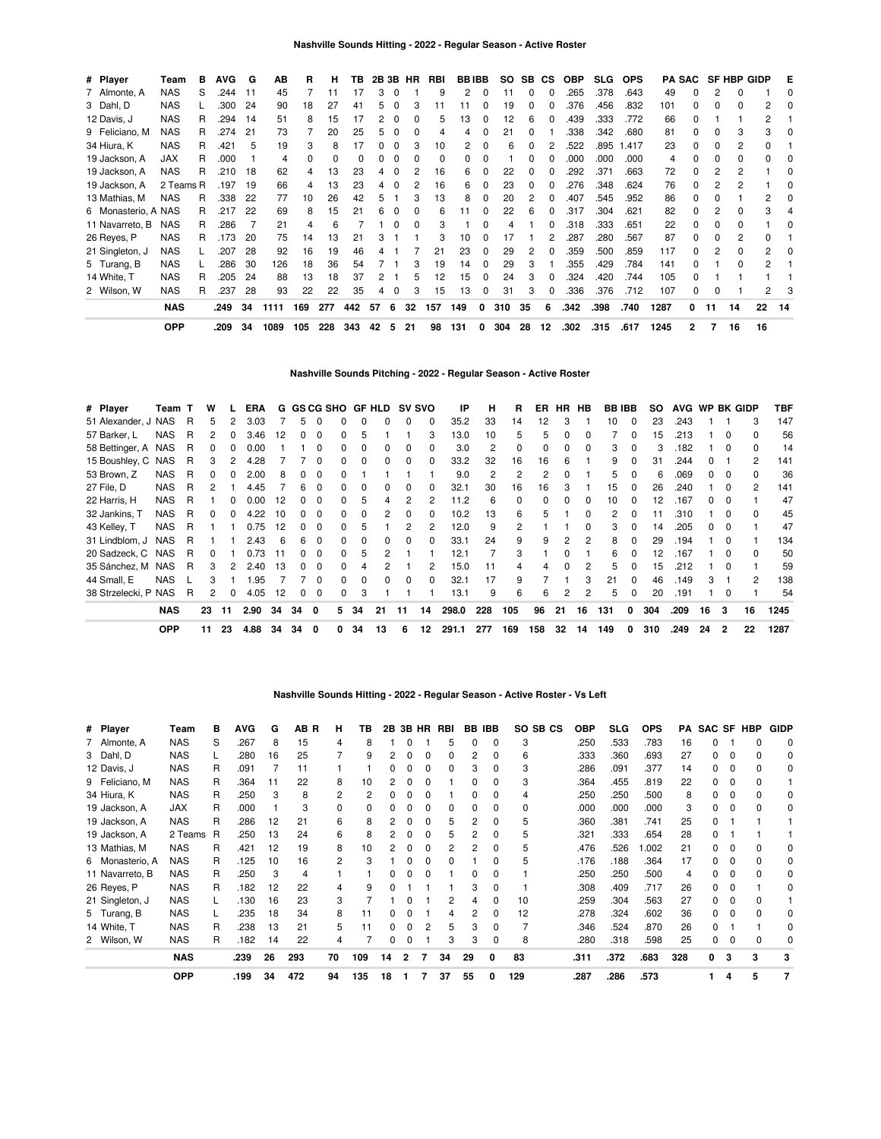| # Player            | Team       | в | <b>AVG</b> | G  | АB   | R   | н   | TВ  |    | 2B 3B    | HR | RBI | <b>BBIBB</b> |          | SO. | SB. | <b>CS</b>    | <b>OBP</b> | <b>SLG</b> | <b>OPS</b> |      | <b>PA SAC</b> |    | <b>SF HBP GIDP</b> |    | Е  |
|---------------------|------------|---|------------|----|------|-----|-----|-----|----|----------|----|-----|--------------|----------|-----|-----|--------------|------------|------------|------------|------|---------------|----|--------------------|----|----|
| 7 Almonte, A        | NAS        | S | .244       | 11 | 45   |     | 11  | 17  | 3  |          |    | 9   | 2            | 0        | 11  | 0   | 0            | .265       | .378       | .643       | 49   |               |    | O                  |    |    |
| 3 Dahl, D           | <b>NAS</b> |   | .300       | 24 | 90   | 18  | 27  | 41  | 5  | 0        |    | 11  |              | 0        | 19  | 0   | 0            | .376       | .456       | .832       | 101  |               | O  | ŋ                  | 2  |    |
| 12 Davis, J         | NAS        | R | .294       | 14 | 51   | 8   | 15  |     | 2  | $\Omega$ |    | 5   | 13           | 0        | 12  | 6   | 0            | .439       | .333       | .772       | 66   |               |    |                    | 2  |    |
| 9 Feliciano, M      | <b>NAS</b> | R | .274       | 21 | 73   |     | 20  | 25  | 5  | 0        | 0  | 4   | 4            | O        | 21  | 0   |              | .338       | .342       | .680       | 81   |               | Ω  | 3                  | 3  |    |
| 34 Hiura, K         | <b>NAS</b> | R | .421       | 5  | 19   | 3   | 8   | 17  |    |          | 3  | 10  | 2            |          |     | 0   |              | .522       | .895       | 1.417      | 23   |               | 0  | 2                  | 0  |    |
| 19 Jackson, A       | <b>JAX</b> | R | .000       |    | 4    | 0   |     |     | 0  |          |    | 0   |              | 0        |     |     |              | .000       | .000       | .000       | 4    |               | 0  | 0                  | 0  |    |
| 19 Jackson, A       | <b>NAS</b> | R | .210       | 18 | 62   | 4   | 13  | 23  | 4  | 0        | 2  | 16  | 6            | $\Omega$ | 22  | 0   | <sup>0</sup> | .292       | .371       | .663       | 72   |               | 2  |                    |    |    |
| 19 Jackson, A       | 2 Teams R  |   | .197       | 19 | 66   | 4   | 13  | 23  | 4  | $\Omega$ | 2  | 16  | 6            | 0        | 23  | 0   | 0            | .276       | .348       | .624       | 76   | 0             |    |                    |    |    |
| 13 Mathias, M       | <b>NAS</b> | R | .338       | 22 | 77   | 10  | 26  | 42  | 5  |          | 3  | 13  | 8            | 0        | 20  | 2   | 0            | .407       | .545       | .952       | 86   |               | O  |                    | 2  |    |
| 6 Monasterio, A NAS |            | R | .217       | 22 | 69   | 8   | 15  | 21  | 6  |          |    | 6   |              | 0        | 22  | 6   | 0            | .317       | .304       | .621       | 82   |               |    |                    | 3  |    |
| 11 Navarreto, B     | <b>NAS</b> | R | .286       |    | 21   | 4   | 6   |     |    |          |    | 3   |              |          |     |     | 0            | .318       | .333       | .651       | 22   |               | 0  |                    |    |    |
| 26 Reyes, P         | <b>NAS</b> | R | .173       | 20 | 75   | 14  | 13  | 21  | З  |          |    | З   | 10           | 0        | 17  |     | 2            | .287       | .280       | .567       | 87   |               | 0  | 2                  | 0  |    |
| 21 Singleton, J     | <b>NAS</b> |   | .207       | 28 | 92   | 16  | 19  | 46  |    |          |    | 21  | 23           | 0        | 29  | 2   | 0            | .359       | .500       | .859       | 117  |               | 2  | 0                  | 2  |    |
| 5 Turang, B         | <b>NAS</b> |   | .286       | 30 | 126  | 18  | 36  | 54  |    |          |    | 19  | 14           | 0        | 29  | 3   |              | .355       | .429       | .784       | 141  |               |    | ŋ                  | 2  |    |
| 14 White, T         | <b>NAS</b> | R | .205       | 24 | 88   | 13  | 18  | 37  | 2  |          | 5  | 12  | 15           | $\Omega$ | 24  | 3   | 0            | .324       | .420       | .744       | 105  | <sup>0</sup>  |    |                    |    |    |
| 2 Wilson, W         | <b>NAS</b> | R | .237       | 28 | 93   | 22  | 22  | 35  | 4  | 0        | 3  | 15  | 13           | 0        | 31  | 3   | $\Omega$     | .336       | .376       | .712       | 107  | 0             | 0  |                    | 2  |    |
|                     | <b>NAS</b> |   | .249       | 34 | 1111 | 169 | 277 | 442 | 57 | 6        | 32 | 157 | 149          | 0        | 310 | 35  | 6            | .342       | .398       | .740       | 1287 | 0             | 11 | 14                 | 22 | 14 |
|                     | <b>OPP</b> |   | .209       | 34 | 1089 | 105 | 228 | 343 | 42 | 5        | 21 | 98  | 131          | 0        | 304 | 28  | 12           | .302       | .315       | .617       | 1245 | 2             | 7  | 16                 | 16 |    |

# **Nashville Sounds Pitching - 2022 - Regular Season - Active Roster**

| # Player             | Team T     |   | w  |    | <b>ERA</b> |    |    | G GS CG SHO |              |    | GF HLD | <b>SV SVO</b> |                | ΙP    | н   | R              | ER       | <b>HR</b>    | HB       | <b>BB IBB</b> |              | SO. | AVG WP BK GIDP |    |          |                | TBF  |
|----------------------|------------|---|----|----|------------|----|----|-------------|--------------|----|--------|---------------|----------------|-------|-----|----------------|----------|--------------|----------|---------------|--------------|-----|----------------|----|----------|----------------|------|
| 51 Alexander, J NAS  |            | R | 5  | 2  | 3.03       |    | 5. | $\Omega$    | 0            |    |        | 0             | 0              | 35.2  | 33  | 14             | 12       | 3            |          | 10            | $\Omega$     | 23  | .243           |    |          | 3              | 147  |
| 57 Barker, L         | <b>NAS</b> | R | 2  | 0  | 3.46       | 12 | 0  | 0           | 0            | h  |        |               | 3              | 13.0  | 10  | 5              | 5        | $\Omega$     | 0        |               | <sup>0</sup> | 15  | .213           |    | $\Omega$ | $\Omega$       | 56   |
| 58 Bettinger, A NAS  |            | R |    |    | 0.00       |    |    | 0           | <sup>0</sup> |    |        | 0             | 0              | 3.0   | 2   | $\Omega$       | $\Omega$ | $\Omega$     | $\Omega$ | 3             | $\Omega$     | 3   | .182           |    | $\Omega$ | $\Omega$       | 14   |
| 15 Boushley, C NAS   |            | R | 3  |    | 4.28       |    |    | $\Omega$    | 0            |    |        | 0             | <sup>0</sup>   | 33.2  | 32  | 16             | 16       | 6            |          | 9             |              | 31  | 244.           |    |          | 2              | 141  |
| 53 Brown, Z          | <b>NAS</b> | R | 0  |    | 2.00       |    | 0  | $\Omega$    | <sup>0</sup> |    |        |               |                | 9.0   | 2   | $\mathfrak{p}$ | 2        |              |          | 5.            |              | 6   | .069           | n. |          | $\Omega$       | 36   |
| 27 File, D           | <b>NAS</b> | R | 2  |    | 4.45       |    | 6  | $\Omega$    | 0            |    |        |               | 0              | 32.1  | 30  | 16             | 16       |              |          | 15.           |              | 26  | .240           |    |          | $\mathcal{P}$  | 141  |
| 22 Harris, H         | <b>NAS</b> | R |    | 0  | 0.00       | 12 | n. | $\Omega$    | $\Omega$     | h  |        | 2             | $\overline{c}$ | 11.2  | 6   | 0              | $\Omega$ | $\Omega$     | $\Omega$ | 10            | 0            | 12  | .167           |    |          |                | 47   |
| 32 Jankins, T        | <b>NAS</b> | R | 0  | 0  | 4.22       | 10 | 0  | - 0         | 0            |    |        | $\Omega$      | 0              | 10.2  | 13  | 6              | 5        |              | 0        | 2             | $\Omega$     | 11  | .310           |    | $\Omega$ | $\Omega$       | 45   |
| 43 Kelley, T         | <b>NAS</b> | R |    |    | 0.75       | 12 | 0  | $\Omega$    | 0            | h  |        | 2             | 2              | 12.0  | 9   | 2              |          |              | 0        | 3             | $\Omega$     | 14  | .205           | 0  | - 0      |                | 47   |
| 31 Lindblom, J       | NAS        | R |    |    | 2.43       | 6  | 6  | $\Omega$    | $\Omega$     | n  | 0      | 0             | 0              | 33.1  | 24  | 9              | 9        | 2            | 2        | 8             | $\Omega$     | 29  | .194           |    | $\Omega$ |                | 134  |
| 20 Sadzeck, C        | NAS        | R | 0  |    | 0.73       | 11 | O. | $\Omega$    | $\Omega$     | 5  |        |               |                | 12.1  |     | 3              |          | $\Omega$     |          | 6             | $\Omega$     | 12  | .167           |    | $\Omega$ | $\Omega$       | 50   |
| 35 Sánchez, M        | <b>NAS</b> | R | 3  |    | 2.40       | 13 | 0  | $\Omega$    | U            |    |        |               | 2              | 15.0  | 11  | 4              | 4        | <sup>0</sup> | 2        | 5             |              | 15  | .212           |    | $\Omega$ |                | 59   |
| 44 Small, E          | <b>NAS</b> |   | 3  |    | .95        |    |    | 0           | 0            |    |        | 0             | O              | 32.1  | 17  | 9              |          |              | 3        | 21            | $\Omega$     | 46  | .149           | 3  |          | $\overline{2}$ | 138  |
| 38 Strzelecki, P NAS |            | R | 2  | 0  | 4.05       | 12 | 0  | 0           | 0            | 3  |        |               |                | 13.1  | 9   | 6              | 6        | 2            | 2        | 5.            | 0            | 20  | .191           |    | $\Omega$ |                | 54   |
|                      | <b>NAS</b> |   | 23 | 11 | 2.90       | 34 | 34 | 0           | 5.           | 34 | 21     | 11            | 14             | 298.0 | 228 | 105            | 96       | 21           | 16       | 131           | 0            | 304 | .209           | 16 | 3        | 16             | 1245 |
|                      | <b>OPP</b> |   | 11 | 23 | 4.88       | 34 | 34 | 0           |              | 34 | 13     | 6             | 12             | 291.1 | 277 | 169            | 158      | 32           | 14       | 149           | 0            | 310 | .249           | 24 | 2        | 22             | 1287 |

## **Nashville Sounds Hitting - 2022 - Regular Season - Active Roster - Vs Left**

| # Player        | Team       | в | <b>AVG</b> | G  | AB R | н        | ΤВ  | 2В |   |   | 3B HR RBI |    | <b>BB IBB</b> | SO SB CS | OBP  | <b>SLG</b> | <b>OPS</b> | PA  |   |   | SAC SF HBP | <b>GIDP</b> |
|-----------------|------------|---|------------|----|------|----------|-----|----|---|---|-----------|----|---------------|----------|------|------------|------------|-----|---|---|------------|-------------|
| 7 Almonte, A    | <b>NAS</b> | S | .267       | 8  | 15   | 4        | 8   |    |   |   | 5         | 0  | 0             | 3        | .250 | .533       | .783       | 16  |   |   |            |             |
| 3 Dahl, D       | <b>NAS</b> |   | .280       | 16 | 25   |          | 9   |    |   |   |           |    |               | 6        | .333 | .360       | .693       | 27  |   |   |            | 0           |
| 12 Davis, J     | <b>NAS</b> | R | .091       |    | 11   |          |     |    |   |   |           | 3  |               | 3        | .286 | .091       | .377       | 14  |   |   |            | 0           |
| 9 Feliciano, M  | <b>NAS</b> | R | .364       | 11 | 22   | 8        | 10  |    |   |   |           | O. |               | 3        | .364 | .455       | .819       | 22  |   |   |            |             |
| 34 Hiura, K     | <b>NAS</b> | R | .250       | 3  | 8    | 2        | 2   |    |   |   |           | 0  | O             | 4        | .250 | .250       | .500       | 8   |   | 0 |            | 0           |
| 19 Jackson, A   | <b>JAX</b> | R | .000       |    | 3    | $\Omega$ |     |    |   |   | Ω         | 0  |               | $\Omega$ | .000 | .000       | .000       | 3   |   |   |            |             |
| 19 Jackson, A   | <b>NAS</b> | R | .286       | 12 | 21   | 6        | 8   |    |   |   | 5         | 2  | 0             | 5        | .360 | .381       | .741       | 25  |   |   |            |             |
| 19 Jackson, A   | 2 Teams    | R | .250       | 13 | 24   | 6        | 8   |    |   | 0 | 5         | 2  | <sup>0</sup>  | 5        | .321 | .333       | .654       | 28  |   |   |            |             |
| 13 Mathias, M   | <b>NAS</b> | R | .421       | 12 | 19   | 8        | 10  |    |   | 0 | 2         | 2  | 0             | 5        | .476 | 526        | 1.002      | 21  |   |   |            |             |
| 6 Monasterio, A | <b>NAS</b> | R | .125       | 10 | 16   | 2        | 3   |    |   | 0 | ŋ         |    | 0             | 5        | .176 | .188       | .364       | 17  |   | 0 |            | 0           |
| 11 Navarreto, B | <b>NAS</b> | R | .250       | 3  | 4    |          |     |    |   |   |           |    |               |          | .250 | .250       | .500       | 4   |   |   |            |             |
| 26 Reyes, P     | <b>NAS</b> | R | .182       | 12 | 22   |          | 9   |    |   |   |           | 3  |               |          | .308 | .409       | .717       | 26  |   |   |            |             |
| 21 Singleton, J | <b>NAS</b> |   | .130       | 16 | 23   | 3        |     |    |   |   |           | 4  |               | 10       | .259 | .304       | .563       | 27  |   |   |            |             |
| 5 Turang, B     | <b>NAS</b> |   | 235        | 18 | 34   | 8        |     |    |   |   | 4         | 2  | <sup>0</sup>  | 12       | .278 | .324       | .602       | 36  |   |   |            | 0           |
| 14 White, T     | <b>NAS</b> | R | .238       | 13 | 21   | 5.       |     |    |   |   | 5         | 3  | O             |          | .346 | .524       | .870       | 26  |   |   |            | 0           |
| 2 Wilson, W     | <b>NAS</b> | R | .182       | 14 | 22   | 4        |     |    |   |   | 3         | 3  | 0             | 8        | .280 | .318       | .598       | 25  |   |   |            |             |
|                 | <b>NAS</b> |   | .239       | 26 | 293  | 70       | 109 | 14 | 2 |   | 34        | 29 | 0             | 83       | .311 | .372       | .683       | 328 | 0 | 3 | 3          | 3           |
|                 | <b>OPP</b> |   | .199       | 34 | 472  | 94       | 135 | 18 |   |   | 37        | 55 |               | 129      | .287 | .286       | .573       |     |   | 4 | 5          |             |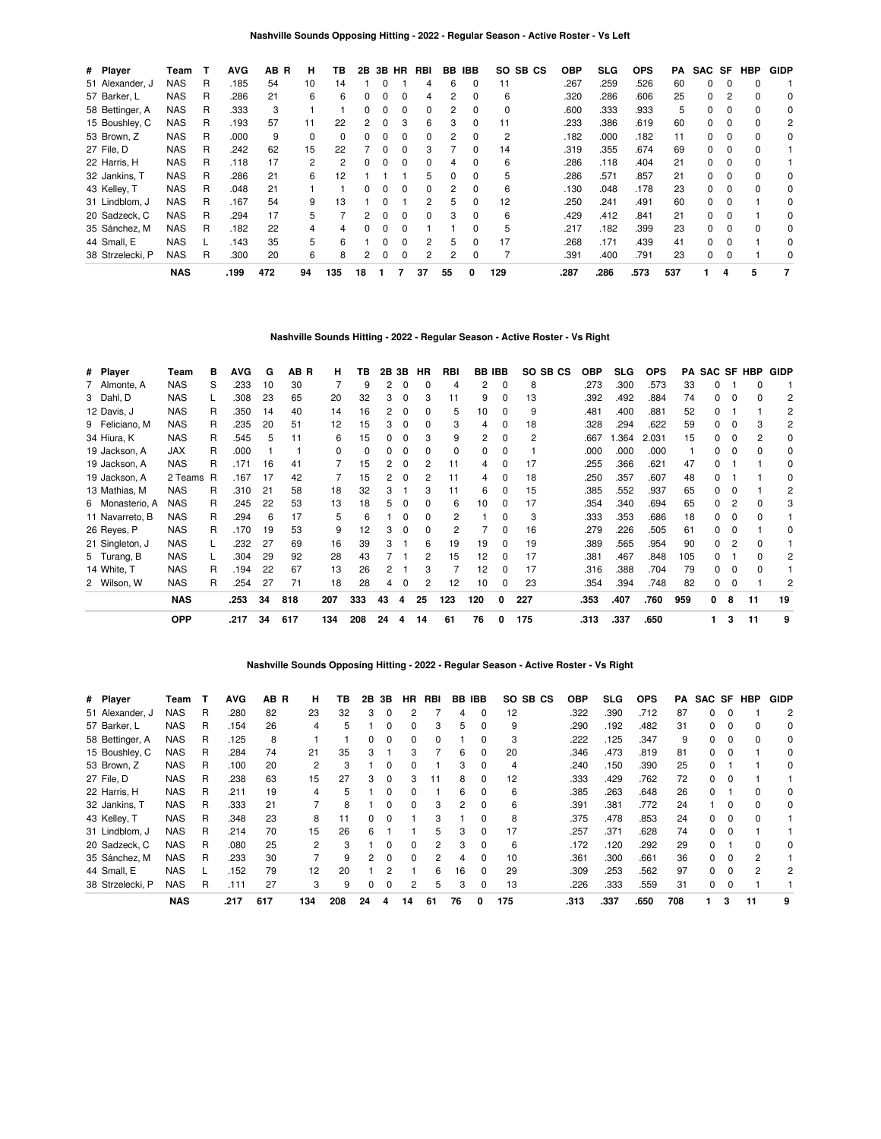| # Player         | Team       | т | <b>AVG</b> | AB<br>R | н  | ΤВ  | 2B           | 3B | <b>HR</b>    | RBI | BB | <b>IBB</b>   | SO.<br>SB CS | <b>OBP</b> | <b>SLG</b> | <b>OPS</b> | РA  | SAC SF |          | <b>HBP</b> | <b>GIDP</b> |
|------------------|------------|---|------------|---------|----|-----|--------------|----|--------------|-----|----|--------------|--------------|------------|------------|------------|-----|--------|----------|------------|-------------|
| 51 Alexander, J  | NAS        | R | .185       | 54      | 10 | 14  |              |    |              |     | 6  | 0            | 11           | .267       | .259       | .526       | 60  | 0      |          |            |             |
| 57 Barker, L     | NAS        | R | .286       | 21      | 6  | 6   | 0            | 0  | 0            | 4   | 2  | 0            | 6            | .320       | .286       | .606       | 25  | 0      |          |            | 0           |
| 58 Bettinger, A  | NAS        | R | .333       | 3       |    |     | 0            | 0  | 0            | 0   | 2  | 0            | 0            | .600       | .333       | .933       | 5   | 0      | 0        | $\Omega$   | 0           |
| 15 Boushley, C   | NAS        | R | .193       | 57      | 11 | 22  | 2            | ŋ  | з            | 6   | з  | 0            | 11           | .233       | .386       | .619       | 60  | O.     | $\Omega$ | $\Omega$   | 2           |
| 53 Brown, Z      | <b>NAS</b> | R | .000       | 9       | 0  | 0   |              | 0  |              | 0   |    | 0            | 2            | .182       | .000       | .182       | 11  | 0      |          |            | 0           |
| 27 File, D       | <b>NAS</b> | R | .242       | 62      | 15 | 22  |              | 0  | 0            | 3   |    | 0            | 14           | .319       | .355       | .674       | 69  | 0      | $\Omega$ | $\Omega$   |             |
| 22 Harris, H     | <b>NAS</b> | R | .118       | 17      | 2  | 2   | <sup>0</sup> | O  | 0            | 0   |    | 0            | 6            | .286       | .118       | .404       | 21  | 0      | $\Omega$ |            |             |
| 32 Jankins, T    | <b>NAS</b> | R | .286       | 21      | 6  | 12  |              |    |              | 5   |    | <sup>0</sup> | 5            | .286       | .571       | .857       | 21  | O.     | $\Omega$ | $\Omega$   | 0           |
| 43 Kelley, T     | <b>NAS</b> | R | .048       | 21      |    |     |              |    | 0            | 0   |    | 0            | 6            | .130       | .048       | .178       | 23  | 0      |          |            | 0           |
| 31 Lindblom, J   | NAS        | R | .167       | 54      | 9  | 13  |              | ŋ  |              | 2   | 5  | 0            | 12           | .250       | .241       | .491       | 60  | 0      | 0        |            | 0           |
| 20 Sadzeck, C    | NAS        | R | .294       | 17      | 5  |     | 2            | O  | <sup>0</sup> | 0   | 3  | <sup>0</sup> | 6            | .429       | .412       | .841       | 21  | 0      |          |            | $\Omega$    |
| 35 Sánchez, M    | <b>NAS</b> | R | .182       | 22      | 4  |     |              |    |              |     |    |              | 5            | .217       | .182       | .399       | 23  | O.     | $\Omega$ |            | 0           |
| 44 Small, E      | <b>NAS</b> |   | .143       | 35      | 5  | 6   |              | 0  | 0            | 2   | 5  | 0            | 17           | .268       | .171       | .439       | 41  | 0      | 0        |            | 0           |
| 38 Strzelecki, P | NAS        | R | .300       | 20      | 6  | 8   | 2            | 0  | 0            | 2   | 2  | 0            |              | .391       | .400       | .791       | 23  | 0      | $\Omega$ |            | $\Omega$    |
|                  | <b>NAS</b> |   | .199       | 472     | 94 | 135 | 18           |    |              | 37  | 55 | 0            | 129          | .287       | .286       | .573       | 537 |        | 4        | 5          | 7           |

# **Nashville Sounds Hitting - 2022 - Regular Season - Active Roster - Vs Right**

| # Player        | Team       | в | <b>AVG</b> | G  | AB R | н        | тв  | 2B | 3В       | ΗR | RBI | BB  | <b>IBB</b> | SO SB CS | OBP  | SLG. | <b>OPS</b> | PA  |    |   | <b>SAC SF HBP</b> | GIDP |
|-----------------|------------|---|------------|----|------|----------|-----|----|----------|----|-----|-----|------------|----------|------|------|------------|-----|----|---|-------------------|------|
| 7 Almonte, A    | <b>NAS</b> | S | .233       | 10 | 30   |          | 9   | 2  | 0        | 0  | 4   | 2   | 0          | 8        | .273 | .300 | .573       | 33  | n  |   | 0                 |      |
| 3 Dahl, D       | <b>NAS</b> |   | .308       | 23 | 65   | 20       | 32  | 3  | 0        | 3  | 11  | 9   | 0          | 13       | .392 | .492 | .884       | 74  | 0  |   | 0                 | 2    |
| 12 Davis, J     | <b>NAS</b> | R | .350       | 14 | 40   | 14       | 16  | 2  | 0        | 0  | 5   | 10  |            | 9        | .481 | .400 | .881       | 52  | 0  |   |                   | 2    |
| 9 Feliciano, M  | <b>NAS</b> | R | .235       | 20 | 51   | 12       | 15  | 3  | $\Omega$ | 0  | 3   | 4   | 0          | 18       | .328 | .294 | .622       | 59  | 0  |   | 3                 | 2    |
| 34 Hiura, K     | <b>NAS</b> | R | .545       | 5  | 11   | 6        | 15  | 0  |          | 3  | 9   | 2   | $\Omega$   | 2        | .667 | .364 | 2.031      | 15  | 0  | 0 | 2                 | 0    |
| 19 Jackson, A   | JAX        | R | .000       |    |      | $\Omega$ | 0   | 0  | $\Omega$ | 0  | 0   | 0   | 0          |          | .000 | .000 | .000       |     | 0  | 0 | 0                 | 0    |
| 19 Jackson, A   | <b>NAS</b> | R | .171       | 16 | 41   |          | 15  | 2  | $\Omega$ | 2  | 11  | 4   |            | 17       | .255 | .366 | .621       | 47  | 0  |   |                   | 0    |
| 19 Jackson, A   | 2 Teams    | R | .167       | 17 | 42   | 7        | 15  | 2  | $\Omega$ | 2  | 11  | 4   | 0          | 18       | .250 | .357 | .607       | 48  | 0  |   |                   | 0    |
| 13 Mathias, M   | <b>NAS</b> | R | .310       | 21 | 58   | 18       | 32  | 3  |          | 3  | 11  | 6   | 0          | 15       | .385 | .552 | .937       | 65  | 0  |   |                   | 2    |
| 6 Monasterio, A | <b>NAS</b> | R | .245       | 22 | 53   | 13       | 18  | 5  | $\Omega$ | 0  | 6   | 10  | 0          | 17       | .354 | .340 | .694       | 65  | 0  |   | 0                 | 3    |
| 11 Navarreto, B | <b>NAS</b> | R | .294       | 6  | 17   | 5        | 6   |    | 0        | 0  | 2   |     | 0          | 3        | .333 | .353 | .686       | 18  | 0  |   | ŋ                 |      |
| 26 Reyes, P     | <b>NAS</b> | R | .170       | 19 | 53   | 9        | 12  | 3  | 0        | 0  | 2   |     | 0          | 16       | .279 | .226 | .505       | 61  | 0  |   |                   | C    |
| 21 Singleton, J | <b>NAS</b> |   | .232       | 27 | 69   | 16       | 39  | 3  |          | 6  | 19  | 19  | 0          | 19       | .389 | .565 | .954       | 90  | 0  |   | n                 |      |
| 5 Turang, B     | <b>NAS</b> |   | .304       | 29 | 92   | 28       | 43  |    |          | 2  | 15  | 12  | 0          | 17       | .381 | .467 | .848       | 105 | ŋ  |   | n                 | 2    |
| 14 White, T     | <b>NAS</b> | R | .194       | 22 | 67   | 13       | 26  | 2  |          | 3  |     | 12  | 0          | 17       | .316 | .388 | .704       | 79  | 0  | 0 | o                 |      |
| 2 Wilson, W     | <b>NAS</b> | R | .254       | 27 | 71   | 18       | 28  | 4  | 0        | 2  | 12  | 10  |            | 23       | .354 | .394 | .748       | 82  | 0  |   |                   | 2    |
|                 | <b>NAS</b> |   | .253       | 34 | 818  | 207      | 333 | 43 | 4        | 25 | 123 | 120 | 0          | 227      | .353 | .407 | .760       | 959 | 0  | 8 | 11                | 19   |
|                 | <b>OPP</b> |   | .217       | 34 | 617  | 134      | 208 | 24 | 4        | 14 | 61  | 76  | 0          | 175      | .313 | .337 | .650       |     | 1. | 3 | 11                | 9    |

## **Nashville Sounds Opposing Hitting - 2022 - Regular Season - Active Roster - Vs Right**

| # Player         | Team       |   | <b>AVG</b> | AB R | н   | ΤВ  | 2B | 3В | HR           | RBI           | BB | IBB          | SO SB CS | <b>OBP</b> | SLG  | <b>OPS</b> | PA  |              |          | SAC SF HBP | <b>GIDP</b> |
|------------------|------------|---|------------|------|-----|-----|----|----|--------------|---------------|----|--------------|----------|------------|------|------------|-----|--------------|----------|------------|-------------|
| 51 Alexander, J  | NAS        | R | .280       | 82   | 23  | 32  | 3  | 0  |              |               | 4  | 0            | 12       | .322       | .390 | .712       | 87  | 0            |          |            | 2           |
| 57 Barker, L     | <b>NAS</b> | R | .154       | 26   | 4   | 5   |    | 0  | 0            | 3             | 5. | 0            | 9        | .290       | .192 | .482       | 31  | 0            |          |            | 0           |
| 58 Bettinger, A  | NAS        | R | .125       | 8    |     |     | 0  | 0  | <sup>0</sup> | 0             |    | 0            | 3        | .222       | .125 | .347       | 9   | 0            |          |            | 0           |
| 15 Boushley, C   | NAS        | R | .284       | 74   | 21  | 35  |    |    | з            |               | 6  | <sup>0</sup> | 20       | .346       | .473 | .819       | 81  | <sup>o</sup> |          |            | 0           |
| 53 Brown, Z      | <b>NAS</b> | R | .100       | 20   | 2   | 3   |    | 0  |              |               | 3  | 0            |          | .240       | .150 | .390       | 25  | 0            |          |            | 0           |
| 27 File, D       | NAS        | R | .238       | 63   | 15  | 27  | 3  | 0  | з            | 11            | 8  | $\Omega$     | 12       | .333       | .429 | .762       | 72  | 0            |          |            |             |
| 22 Harris, H     | <b>NAS</b> | R | .211       | 19   | 4   | 5   |    | 0  | <sup>0</sup> |               | 6  | 0            | 6        | .385       | .263 | .648       | 26  | 0            |          |            | 0           |
| 32 Jankins, T    | <b>NAS</b> | R | .333       | 21   |     | 8   |    | ŋ  | <sup>0</sup> | 3             | 2  | <sup>0</sup> | 6        | .391       | .381 | .772       | 24  |              |          |            | 0           |
| 43 Kelley, T     | <b>NAS</b> | R | .348       | 23   | 8   | 11  | 0  | 0  |              | 3             |    | 0            | 8        | .375       | .478 | .853       | 24  | 0            |          |            |             |
| 31 Lindblom, J   | <b>NAS</b> | R | .214       | 70   | 15  | 26  | 6  |    |              | 5             | 3  | 0            | 17       | 257        | .371 | .628       | 74  | 0            | $\Omega$ |            |             |
| 20 Sadzeck, C    | NAS        | R | .080       | 25   | 2   | 3   |    | 0  | <sup>n</sup> | $\mathcal{P}$ | з  | $\Omega$     | 6        | .172       | .120 | .292       | 29  | 0            |          |            | 0           |
| 35 Sánchez, M    | <b>NAS</b> | R | .233       | 30   |     | 9   | 2  | 0  | ŋ            | 2             |    | <sup>0</sup> | 10       | .361       | .300 | .661       | 36  | 0            |          |            |             |
| 44 Small, E      | <b>NAS</b> |   | .152       | 79   | 12  | 20  |    |    |              | 6             | 16 | $\Omega$     | 29       | .309       | .253 | .562       | 97  | 0            | $\Omega$ |            | 2           |
| 38 Strzelecki, P | NAS        | R | .111       | 27   | 3   | 9   | 0  | 0  | 2            | 5             | 3  | 0            | 13       | .226       | .333 | .559       | 31  | 0            | 0        |            |             |
|                  | <b>NAS</b> |   | .217       | 617  | 134 | 208 | 24 | 4  | 14           | 61            | 76 | 0            | 175      | .313       | .337 | .650       | 708 |              | 3        | 11         | 9           |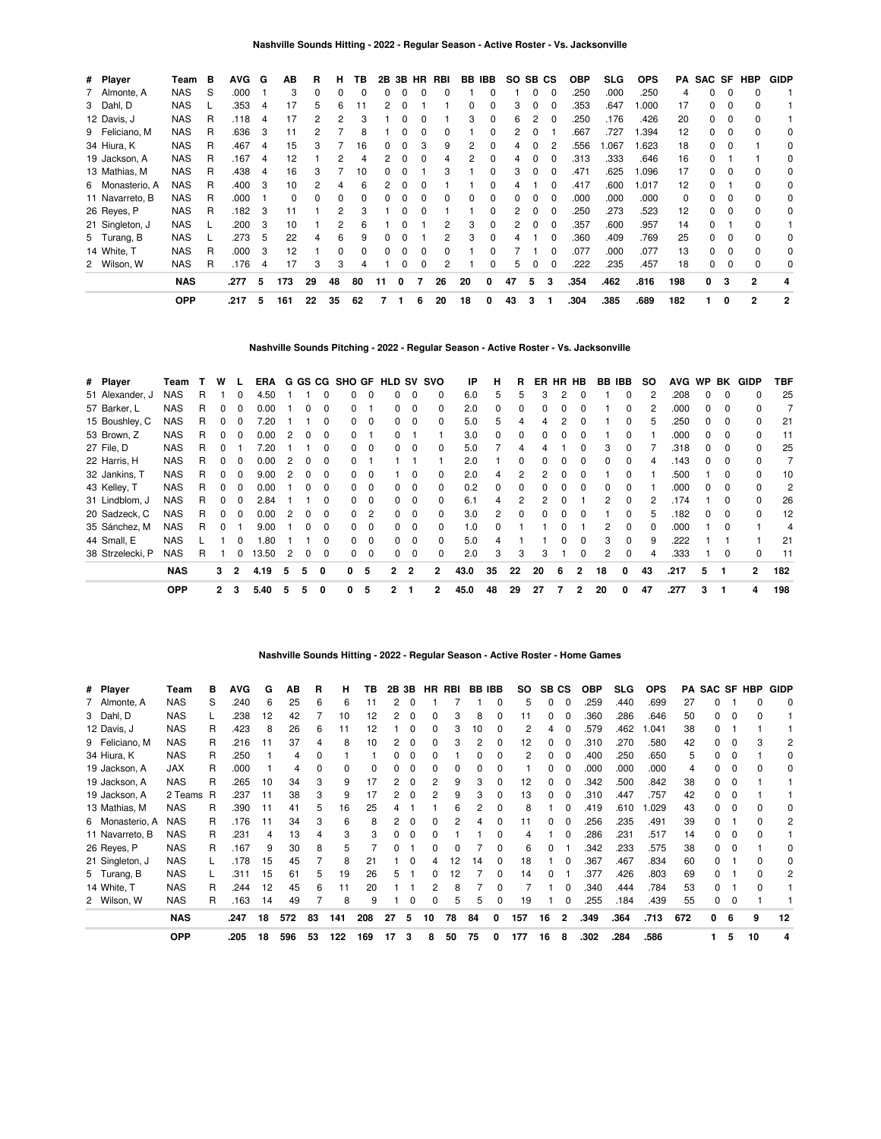| # Player        | Team       | в | <b>AVG</b> | G  | AВ  | B  | н  | ΤВ       | 2B |   | 3B HR        | RBI |    | BB IBB   | SO. | SB CS |              | <b>OBP</b> | SLG. | <b>OPS</b> | PA  |    |          | SAC SF HBP | <b>GIDP</b> |
|-----------------|------------|---|------------|----|-----|----|----|----------|----|---|--------------|-----|----|----------|-----|-------|--------------|------------|------|------------|-----|----|----------|------------|-------------|
| 7 Almonte, A    | <b>NAS</b> | S | .000       |    | 3   | 0  | 0  |          |    |   | O            |     |    |          |     |       | 0            | 250        | .000 | .250       | 4   | 0  | 0        | 0          |             |
| 3 Dahl, D       | <b>NAS</b> |   | .353       | 4  | 17  | 5  | 6  | 11       |    |   |              |     |    |          | 3   |       |              | 353        | .647 | 000.       | 17  | 0  |          |            |             |
| 12 Davis, J     | <b>NAS</b> | R | .118       | 4  | 17  |    |    |          |    |   |              |     | 3  |          | 6   |       |              | 250        | .176 | .426       | 20  | 0  | $\Omega$ |            |             |
| 9 Feliciano, M  | <b>NAS</b> | R | .636       | 3  |     |    |    |          |    |   |              | 0   |    |          |     |       |              | .667       | .727 | 1.394      | 12  | 0  |          | $\Omega$   | 0           |
| 34 Hiura, K     | <b>NAS</b> | R | .467       | 4  | 15  |    |    | 16       |    |   |              | 9   |    |          |     |       |              | 556        | .067 | 1.623      | 18  | 0  |          |            | 0           |
| 19 Jackson, A   | <b>NAS</b> | R | .167       | 4  | 12  |    |    |          |    |   |              | 4   | 2  |          |     |       |              | .313       | .333 | .646       | 16  | O. |          |            | 0           |
| 13 Mathias, M   | <b>NAS</b> | R | .438       | 4  | 16  | 3  |    | 10       |    |   |              | 3   |    |          | 3   |       |              | .471       | .625 | 1.096      | 17  | 0  |          |            | 0           |
| 6 Monasterio, A | <b>NAS</b> | R | .400       | 3  | 10  |    |    | Բ        |    |   |              |     |    |          |     |       |              | .417       | .600 | 1.017      | 12  | O. |          |            | 0           |
| 11 Navarreto, B | <b>NAS</b> | R | .000       |    | 0   |    |    |          |    |   |              | 0   | 0  |          | 0   |       | $\Omega$     | .000       | .000 | .000       | 0   | 0  |          |            | 0           |
| 26 Reves, P     | <b>NAS</b> | R | .182       | -3 |     |    |    |          |    |   |              |     |    |          |     |       | 0            | 250        | .273 | .523       | 12  | 0  |          |            | 0           |
| 21 Singleton, J | <b>NAS</b> |   | .200       | -3 | 10  |    | 2  | ĸ        |    |   |              | 2   | З  | 0        | 2   | 0     | n            | .357       | .600 | .957       | 14  | 0  |          | $\Omega$   |             |
| 5 Turang, B     | <b>NAS</b> |   | .273       | 5  | 22  |    | 6  | g        |    |   |              | 2   | 3  | $\Omega$ | 4   |       | 0            | .360       | .409 | .769       | 25  | 0  | 0        | $\Omega$   | 0           |
| 14 White, T     | <b>NAS</b> | R | .000       | -3 | 12  |    | 0  | $\Omega$ | 0  |   |              | 0   |    |          |     |       | <sup>0</sup> | .077       | .000 | .077       | 13  | 0  | $\Omega$ | $\Omega$   | $\Omega$    |
| 2 Wilson, W     | <b>NAS</b> | R | .176       | 4  | 17  | 3  | 3  | 4        |    |   | <sup>0</sup> |     |    | n        | 5   |       | 0            | 222        | .235 | .457       | 18  | 0  | 0        | $\Omega$   | 0           |
|                 | <b>NAS</b> |   | .277       | 5  | 173 | 29 | 48 | 80       | 11 | 0 |              | 26  | 20 | 0        | 47  | 5     | 3            | .354       | .462 | .816       | 198 | 0  | з        | 2          |             |
|                 | <b>OPP</b> |   | .217       | 5  | 161 | 22 | 35 | 62       |    |   | 6            | 20  | 18 | 0        | 43  | 3     |              | .304       | .385 | .689       | 182 |    | 0        | 2          | 2           |

**Nashville Sounds Pitching - 2022 - Regular Season - Active Roster - Vs. Jacksonville**

| # Player         | Team       |   | w            |                | ERA   |   |          |              |              |             | G GS CG SHO GF HLD SV SVO |                |              | IP   | н        |    | ER | <b>HR</b>    | HB           | BB IBB |              | <b>SO</b> | <b>AVG</b> | <b>WP</b>    | BK       | <b>GIDP</b>  | TBF            |
|------------------|------------|---|--------------|----------------|-------|---|----------|--------------|--------------|-------------|---------------------------|----------------|--------------|------|----------|----|----|--------------|--------------|--------|--------------|-----------|------------|--------------|----------|--------------|----------------|
| 51 Alexander, J  | <b>NAS</b> | R |              |                | 4.50  |   |          |              |              | 0           |                           | $\Omega$       | 0            | 6.0  | 5        | 5  |    |              | 0            |        |              |           | .208       |              |          | <sup>0</sup> | 25             |
| 57 Barker, L     | <b>NAS</b> | R |              | 0              | 0.00  |   |          | 0            |              |             | 0                         | $\mathbf 0$    | 0            | 2.0  | 0        | 0  |    |              | 0            |        | 0            |           | .000       |              | 0        |              |                |
| 15 Boushley, C   | <b>NAS</b> | R |              | 0              | 20'   |   |          | O            | 0            | 0           | 0                         | $\Omega$       | $\Omega$     | 5.0  | 5        | 4  |    |              | 0            |        | <sup>0</sup> | h.        | .250       | 0            | $\Omega$ | 0            | 21             |
| 53 Brown, Z      | <b>NAS</b> | R | <sup>n</sup> | <sup>0</sup>   | 0.00  | 2 | $\Omega$ | $\Omega$     | <sup>0</sup> |             | 0                         |                |              | 3.0  | 0        | 0  | 0  | <sup>0</sup> | $\Omega$     |        | <sup>0</sup> |           | .000       | <sup>0</sup> | - 0      | $\Omega$     | 11             |
| 27 File, D       | <b>NAS</b> | R |              |                | 20    |   |          | 0            |              | $\Omega$    | n.                        | $\Omega$       | 0            | 5.0  |          | 4  |    |              | 0            | 3      |              |           | .318       |              |          | <sup>0</sup> | 25             |
| 22 Harris, H     | <b>NAS</b> | R |              |                | 0.00  |   |          |              |              |             |                           |                |              | 2.0  |          | 0  |    |              | 0            |        | 0            |           | .143       |              |          |              |                |
| 32 Jankins, T    | <b>NAS</b> | R |              | 0              | 9.00  | 2 | 0        | 0            | <sup>0</sup> | 0           |                           | 0              | 0            | 2.0  | 4        | 2  |    |              | $\Omega$     |        | 0            |           | .500       |              |          | <sup>0</sup> | 10             |
| 43 Kelley, T     | <b>NAS</b> | R | 0            | 0              | 0.00  |   | 0        | <sup>0</sup> | <sup>0</sup> | $\Omega$    | 0                         | $\Omega$       | $\Omega$     | 0.2  | $\Omega$ | 0  | n  | o            | $\Omega$     | 0      | <sup>0</sup> |           | .000       | $\Omega$     | $\Omega$ | <sup>0</sup> | $\overline{2}$ |
| 31 Lindblom, J   | <b>NAS</b> | R | <sup>n</sup> | ŋ              | 2.84  |   |          | 0            | <sup>n</sup> | $\Omega$    | 0                         | $\Omega$       | 0            | 6.1  | 4        | 2  | 2  | O            |              | 2      | $\Omega$     |           | .174       |              | $\Omega$ | <sup>0</sup> | 26             |
| 20 Sadzeck, C    | <b>NAS</b> | R |              |                | 0.00  |   |          |              |              | 2           | O.                        | $\Omega$       | <sup>0</sup> | 3.0  | 2        | 0  |    |              | ŋ            |        |              |           | .182       |              |          |              | 12             |
| 35 Sánchez, M    | <b>NAS</b> | R | ŋ            |                | 9.00  |   | O        | 0            | 0            | 0           | 0                         | $\mathbf 0$    | 0            | 1.0  | 0        |    |    |              |              |        | 0            |           | .000       |              |          |              | 4              |
| 44 Small, E      | <b>NAS</b> |   |              |                | .80   |   |          | 0            | 0            | $\mathbf 0$ | $^{\circ}$                | $\Omega$       | $\Omega$     | 5.0  | 4        |    |    |              | $\Omega$     | 3      | $\Omega$     | 9         | .222       |              |          |              | 21             |
| 38 Strzelecki, P | <b>NAS</b> | R |              |                | 13.50 | 2 | 0        | 0            | 0            | $\Omega$    | 0                         | $\Omega$       | $\Omega$     | 2.0  | 3        | 3  | 3  |              | $\Omega$     | 2      | $\Omega$     |           | .333       |              | $\Omega$ | <sup>0</sup> | 11             |
|                  | <b>NAS</b> |   | 3            | $\overline{2}$ | 4.19  | 5 | 5        | 0            | 0            | 5           | 2                         | $\overline{2}$ | 2            | 43.0 | 35       | 22 | 20 | 6            | $\mathbf{2}$ | 18     | 0            | 43        | .217       | 5            | -1       | $\mathbf{2}$ | 182            |
|                  | <b>OPP</b> |   | $\mathbf{2}$ | 3              | 5.40  | 5 | 5        | 0            | 0            | -5          | $\overline{2}$            |                | 2            | 45.0 | 48       | 29 | 27 |              | 2            | 20     | 0            | 47        | .277       | 3            |          | 4            | 198            |

**Nashville Sounds Hitting - 2022 - Regular Season - Active Roster - Home Games**

|                 | <b>OPP</b> |     | .205 | 18 | 596 | 53 | 122 | 169 | 17 | 3  | 8         | 50  | 75 | 0          | 177            | 16 | 8            | .302 | .284 | .586       |     |              | 5 | 10         |             |
|-----------------|------------|-----|------|----|-----|----|-----|-----|----|----|-----------|-----|----|------------|----------------|----|--------------|------|------|------------|-----|--------------|---|------------|-------------|
|                 | <b>NAS</b> |     | .247 | 18 | 572 | 83 | 141 | 208 | 27 | 5  | 10        | 78  | 84 | 0          | 157            | 16 | $\mathbf{2}$ | .349 | .364 | .713       | 672 | 0            | 6 | 9          | 12          |
| 2 Wilson, W     | <b>NAS</b> | R   | .163 | 14 | 49  |    | 8   | 9   |    | O  |           | 5   | 5  |            | 19             |    |              | .255 | .184 | .439       | 55  | 0            |   |            |             |
| 14 White, T     | <b>NAS</b> | R   | 244  | 12 | 45  | 6  | 11  | 20  |    |    |           | 8   |    |            |                |    |              | .340 | .444 | .784       | 53  | 0            |   |            |             |
| 5 Turang, B     | <b>NAS</b> |     | .311 | 15 | 61  | 5  | 19  | 26  |    |    |           | 12  |    |            | 14             | n  |              | .377 | .426 | .803       | 69  | <sup>0</sup> |   |            | 2           |
| 21 Singleton, J | <b>NAS</b> |     | .178 | 15 | 45  |    | 8   | 21  |    | 0  |           | 12  | 14 | $\Omega$   | 18             |    |              | .367 | .467 | .834       | 60  | 0            |   | o          | 0           |
| 26 Reyes, P     | <b>NAS</b> | R   | .167 | 9  | 30  | 8  | 5   |     |    |    |           |     |    |            | 6              | 0  |              | .342 | .233 | .575       | 38  | 0            |   |            |             |
| 11 Navarreto, B | <b>NAS</b> | R   | .231 | 4  | 13  | 4  | 3   | 3   |    | 0  |           |     |    |            | 4              |    | 0            | .286 | .231 | .517       | 14  | 0            | O | o          |             |
| 6 Monasterio, A | <b>NAS</b> | R   | .176 | 11 | 34  | 3  | 6   | 8   |    | 0  |           | 2   | Δ  |            | 11             | 0  |              | .256 | .235 | .491       | 39  | <sup>0</sup> |   | n          | 2           |
| 13 Mathias, M   | <b>NAS</b> | R   | .390 |    | 41  | 5  | 16  | 25  |    |    |           | 6   | 2  |            | 8              |    |              | .419 | .610 | .029       | 43  | 0            |   |            |             |
| 19 Jackson, A   | 2 Teams    | - R | .237 |    | 38  | 3  | 9   | 17  |    | O  |           | 9   | 3  |            | 13             | 0  |              | .310 | .447 | .757       | 42  | n            |   |            |             |
| 19 Jackson, A   | <b>NAS</b> | R   | 265  | 10 | 34  | З  | 9   | 17  |    |    |           | 9   | 3  |            | 12             | 0  |              | .342 | .500 | .842       | 38  | n            | c |            |             |
| 19 Jackson, A   | JAX        | R   | .000 |    | 4   |    | 0   | 0   |    | 0  |           |     |    |            |                | 0  |              | .000 | .000 | .000       | 4   |              |   |            | 0           |
| 34 Hiura, K     | <b>NAS</b> | R   | .250 |    | 4   |    |     |     |    |    |           |     |    |            | 2              | 0  |              | .400 | .250 | .650       | 5   |              |   |            |             |
| 9 Feliciano, M  | <b>NAS</b> | R   | .216 | 11 | 37  |    | 8   | 10  |    | 0  |           | 3   |    | 0          | 12             | 0  | 0            | .310 | .270 | .580       | 42  | 0            |   | 3          | 2           |
| 12 Davis, J     | <b>NAS</b> | R   | .423 | 8  | 26  | 6  | 11  | 12  |    | 0  |           | 3   | 10 | 0          | $\overline{2}$ | 4  | 0            | .579 | .462 | .041       | 38  | 0            |   |            |             |
| 3 Dahl, D       | <b>NAS</b> |     | .238 | 12 | 42  |    | 10  | 12  |    | 0  |           | 3   | 8  |            | 11             | 0  |              | 360  | .286 | .646       | 50  | 0            |   | ŋ          |             |
| 7 Almonte, A    | <b>NAS</b> | S   | .240 | 6  | 25  | 6  | 6   | 11  |    | 0  |           |     |    | 0          | 5              | 0  | $\Omega$     | .259 | .440 | .699       | 27  | ი            |   | 0          | 0           |
| # Player        | Team       | в   | AVG  | G  | ΑВ  | R  | н   | ΤВ  | 2Β | 3В | <b>HR</b> | RBI | BB | <b>IBB</b> | so             | SB | СS           | OBP  | SLG. | <b>OPS</b> | РA  | SAC SF       |   | <b>HBP</b> | <b>GIDP</b> |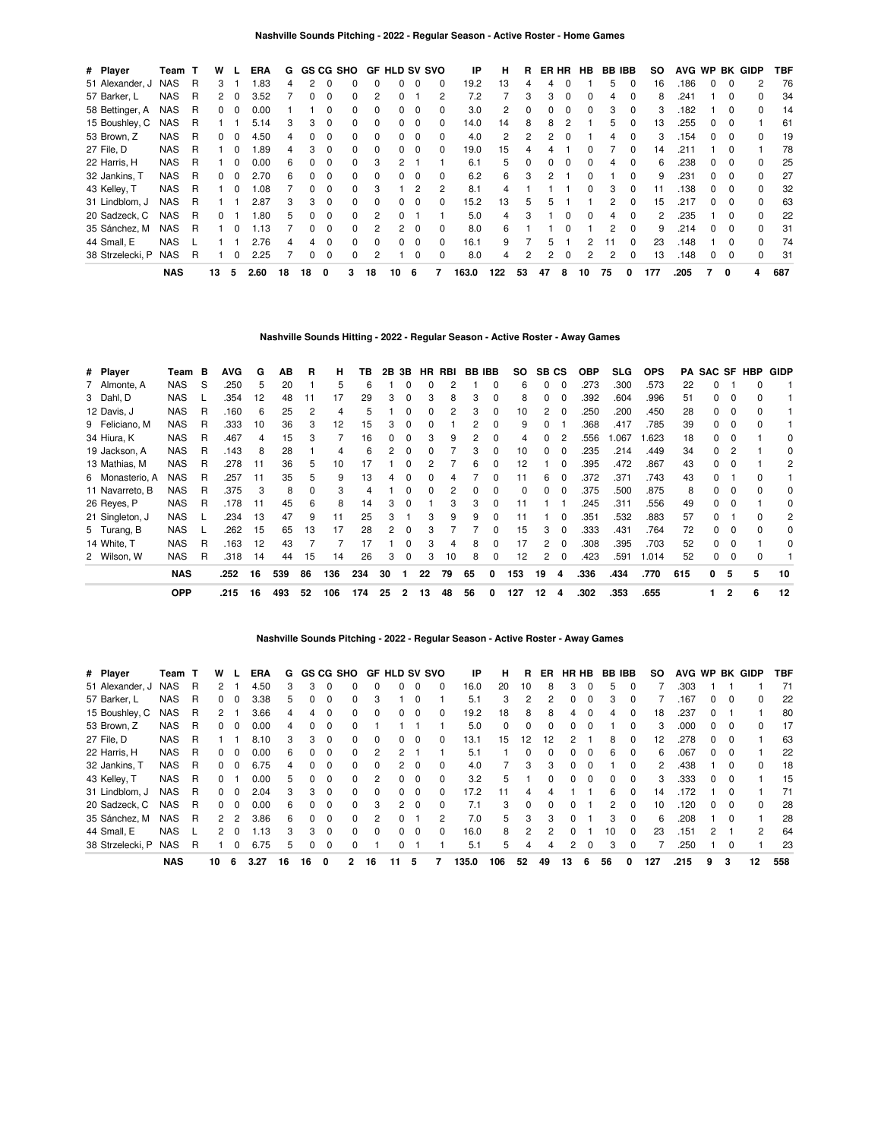| # Player         | Team       | т | w        |              | <b>ERA</b> | G  |              | <b>GS CG SHO</b> |              |                | <b>GF HLD SV SVO</b> |          |          | ΙP    | н   | R        | ER HR |          | <b>HB</b>    | <b>BB IBB</b> |          | SO. |      |              |              | AVG WP BK GIDP | TBF |
|------------------|------------|---|----------|--------------|------------|----|--------------|------------------|--------------|----------------|----------------------|----------|----------|-------|-----|----------|-------|----------|--------------|---------------|----------|-----|------|--------------|--------------|----------------|-----|
| 51 Alexander, J  | <b>NAS</b> | R | 3        |              | .83        | 4  |              |                  |              | 0              | 0                    | $\Omega$ | 0        | 19.2  | 13  |          | 4     |          |              | 5             | 0        | 16  | .186 | 0            | 0            | 2              | 76  |
| 57 Barker, L     | <b>NAS</b> | R | 2        | 0            | 3.52       |    |              |                  |              |                |                      |          | 2        | 7.2   |     | 3        | 3     | 0        |              | 4             | 0        | 8   | .241 |              | 0            | 0              | 34  |
| 58 Bettinger, A  | NAS        | R | $\Omega$ | 0            | 0.00       |    |              |                  | 0            | $\Omega$       | $\Omega$             | $\Omega$ | 0        | 3.0   | 2   | 0        | 0     | $\Omega$ | 0            | 3             | 0        | 3   | .182 |              | 0            | $\Omega$       | 14  |
| 15 Boushley, C   | <b>NAS</b> | R |          |              | 5.14       | 3  | з            | $\Omega$         | <sup>0</sup> | $\Omega$       | 0                    | $\Omega$ | 0        | 14.0  | 14  | 8        | 8     | 2        |              | 5             | 0        | 13  | .255 | <sup>0</sup> | $\Omega$     |                | 61  |
| 53 Brown, Z      | <b>NAS</b> | R | 0        |              | 4.50       | 4  |              |                  |              | $\Omega$       | 0                    | $\Omega$ | 0        | 4.0   | 2   | 2        | 2     |          |              | 4             |          | 3   | .154 |              | O            | <sup>0</sup>   | 19  |
| 27 File, D       | <b>NAS</b> | R |          | 0            | .89        | 4  | 3            | $\Omega$         | 0            | $\Omega$       | $\Omega$             | $\Omega$ | 0        | 19.0  | 15  |          |       |          | 0            |               | 0        | 14  | .211 |              | 0            |                | 78  |
| 22 Harris, H     | <b>NAS</b> | R |          | <sup>0</sup> | 0.00       | 6  | <sup>n</sup> | $\Omega$         | <sup>0</sup> | 3              | 2                    |          |          | 6.1   | 5   | $\Omega$ | 0     | $\Omega$ | <sup>0</sup> | 4             | 0        | 6   | .238 | 0            | $\Omega$     | <sup>0</sup>   | 25  |
| 32 Jankins, T    | NAS        | R | 0        |              | 2.70       | 6  |              | $\Omega$         | <sup>0</sup> | <sup>0</sup>   | <sup>o</sup>         | $\Omega$ | 0        | 6.2   | 6   | з        | 2     |          |              |               |          | 9   | .231 |              | O            |                | 27  |
| 43 Kelley, T     | <b>NAS</b> | R |          |              | 80.1       |    |              | $\Omega$         | 0            | 3              |                      | 2        | 2        | 8.1   | 4   |          |       |          | <sup>0</sup> | 3             |          | 11  | .138 | 0            | 0            |                | 32  |
| 31 Lindblom, J   | <b>NAS</b> | R |          |              | 2.87       | 3  | 3            | $\Omega$         | $\Omega$     | $\Omega$       | $\Omega$             | $\Omega$ | 0        | 15.2  | 13  | 5        | 5     |          |              | 2             | $\Omega$ | 15  | .217 | <sup>0</sup> | $\Omega$     | $\Omega$       | 63  |
| 20 Sadzeck, C    | <b>NAS</b> | R | 0        |              | .80        | 5  | <sup>n</sup> | $\Omega$         | <sup>0</sup> | $\mathcal{P}$  | <sup>o</sup>         |          |          | 5.0   | 4   | з        |       |          | <sup>0</sup> | 4             | $\Omega$ | 2   | .235 |              | <sup>0</sup> | U              | 22  |
| 35 Sánchez, M    | <b>NAS</b> | R |          |              | 1.13       |    |              | $\Omega$         | <sup>0</sup> | 2              | 2                    | $\Omega$ | $\Omega$ | 8.0   | 6   |          |       |          |              | 2             | $\Omega$ | 9   | .214 |              | <sup>0</sup> |                | 31  |
| 44 Small, E      | <b>NAS</b> |   |          |              | 2.76       | 4  | 4            | $\Omega$         | $\Omega$     | $\Omega$       | $\Omega$             | 0        | $\Omega$ | 16.1  | 9   |          | 5.    |          | 2            |               | $\Omega$ | 23  | .148 |              | 0            | 0              | 74  |
| 38 Strzelecki, P | <b>NAS</b> | R |          |              | 2.25       |    | <sup>0</sup> | $\Omega$         | $\Omega$     | $\overline{2}$ |                      | $\Omega$ | $\Omega$ | 8.0   | 4   | 2        | 2     | $\Omega$ | 2            | 2             | 0        | 13  | .148 | 0            | 0            | $\Omega$       | 31  |
|                  | <b>NAS</b> |   | 13       | 5            | 2.60       | 18 | 18           | 0                | 3            | 18             | 10                   | 6        |          | 163.0 | 122 | 53       | 47    | 8        | 10           | 75            | 0        | 177 | .205 |              | 0            | 4              | 687 |

## **Nashville Sounds Hitting - 2022 - Regular Season - Active Roster - Away Games**

| # Player        | Team       | В | <b>AVG</b> | G  | AB  | R  | н   | ΤВ  |    | 2B 3B | HR | RBI | <b>BB IBB</b> |              | SO. | SB CS |              | <b>OBP</b> | <b>SLG</b> | <b>OPS</b> |     | <b>PA SAC SF</b> |              | <b>HBP</b> | <b>GIDP</b> |
|-----------------|------------|---|------------|----|-----|----|-----|-----|----|-------|----|-----|---------------|--------------|-----|-------|--------------|------------|------------|------------|-----|------------------|--------------|------------|-------------|
| 7 Almonte, A    | <b>NAS</b> | S | .250       | 5  | 20  |    | 5   | 6   |    | 0     |    |     |               | 0            | 6   | 0     |              | .273       | .300       | .573       | 22  |                  |              | 0          |             |
| 3 Dahl, D       | <b>NAS</b> |   | .354       | 12 | 48  | 11 | 17  | 29  | 3  | 0     | 3  | 8   | 3             | $\Omega$     | 8   | 0     | 0            | .392       | .604       | .996       | 51  | 0                | $\Omega$     |            |             |
| 12 Davis, J     | <b>NAS</b> | R | .160       | 6  | 25  | 2  | 4   | ь   |    | ŋ     |    | 2   | 3             | $\Omega$     | 10  |       | <sup>0</sup> | .250       | .200       | .450       | 28  | 0                | $\Omega$     |            |             |
| 9 Feliciano, M  | <b>NAS</b> | R | .333       | 10 | 36  | 3  | 12  | 15  | 3  | 0     |    |     |               | $\Omega$     | 9   | ŋ     |              | .368       | .417       | .785       | 39  | O.               | <sup>0</sup> |            |             |
| 34 Hiura, K     | <b>NAS</b> | R | .467       | 4  | 15  | з  |     | 16  |    | 0     | З  | 9   |               | 0            | 4   |       |              | .556       | 1.067      | .623       | 18  |                  |              |            |             |
| 19 Jackson, A   | <b>NAS</b> | R | .143       | 8  | 28  |    |     | 6   |    | 0     |    |     | 3             | <sup>0</sup> | 10  |       |              | .235       | .214       | .449       | 34  |                  |              |            | 0           |
| 13 Mathias, M   | <b>NAS</b> | R | .278       | 11 | 36  | 5. | 10  | 17  |    |       |    |     | 6             | <sup>0</sup> | 12  |       |              | .395       | .472       | .867       | 43  |                  |              |            | 2           |
| 6 Monasterio, A | <b>NAS</b> | R | .257       | 11 | 35  | 5. | 9   | 13  |    | 0     |    |     |               | <sup>0</sup> | 11  | հ     |              | .372       | .371       | .743       | 43  |                  |              |            |             |
| 11 Navarreto, B | <b>NAS</b> | R | .375       | 3  | 8   |    | 3   |     |    | 0     |    |     |               | 0            | 0   | 0     | 0            | .375       | .500       | .875       | 8   |                  |              |            | 0           |
| 26 Reves, P     | <b>NAS</b> | R | .178       | 11 | 45  | 6  | 8   | 14  | 3  | 0     |    | 3   | 3             | $\Omega$     | 11  |       |              | .245       | .311       | .556       | 49  | 0                | $\Omega$     |            | 0           |
| 21 Singleton, J | <b>NAS</b> |   | .234       | 13 | 47  | 9  | 11  | 25  | з  |       | 3  | 9   | 9             | $\Omega$     | 11  |       | $\Omega$     | .351       | .532       | .883       | 57  |                  |              | n          | 2           |
| 5 Turang, B     | <b>NAS</b> |   | .262       | 15 | 65  | 13 | 17  | 28  | 2  | 0     | З  |     |               | $\Omega$     | 15  | з     | $\Omega$     | .333       | .431       | .764       | 72  | n.               | n            | n          | $\Omega$    |
| 14 White. T     | <b>NAS</b> | R | .163       | 12 | 43  |    |     | 17  |    | ŋ     |    |     | 8             | <sup>0</sup> | 17  | 2     | $\Omega$     | .308       | .395       | .703       | 52  |                  | $\Omega$     |            | 0           |
| 2 Wilson, W     | <b>NAS</b> | R | .318       | 14 | 44  | 15 | 14  | 26  | 3  | 0     | 3  | 10  | 8             | 0            | 12  |       | 0            | .423       | .591       | 1.014      | 52  |                  |              |            |             |
|                 | <b>NAS</b> |   | .252       | 16 | 539 | 86 | 136 | 234 | 30 |       | 22 | 79  | 65            | 0            | 153 | 19    | 4            | .336       | .434       | .770       | 615 | 0                | 5            | 5          | 10          |
|                 | <b>OPP</b> |   | .215       | 16 | 493 | 52 | 106 | 174 | 25 | 2     | 13 | 48  | 56            | 0            | 127 | 12    | 4            | .302       | .353       | .655       |     |                  |              | 6          | 12          |

**Nashville Sounds Pitching - 2022 - Regular Season - Active Roster - Away Games**

| # Player         | Team       |   | w              |               | ERA  | G  |    | <b>GS CG SHO</b> |              | GF.           | <b>HLD SV SVO</b> |          |                | IP    | н        | R        | ER | НR | HB.      | BВ           | IBB      | so           | <b>AVG</b> | <b>WP</b> | BK       | GIDP         | TBF |
|------------------|------------|---|----------------|---------------|------|----|----|------------------|--------------|---------------|-------------------|----------|----------------|-------|----------|----------|----|----|----------|--------------|----------|--------------|------------|-----------|----------|--------------|-----|
| 51 Alexander, J  | <b>NAS</b> | R | 2              |               | 4.50 | З  | 3  | 0                | 0            | 0             | 0                 | 0        | $\Omega$       | 16.0  | 20       | 10       | 8  | 3  | $\Omega$ | 5            | 0        |              | .303       |           |          |              | 71  |
| 57 Barker, L     | <b>NAS</b> | R | 0              | 0             | 3.38 | 5  | 0  | $\Omega$         | 0            | 3             |                   | $\Omega$ |                | 5.1   | 3        | 2        | 2  | n  | $\Omega$ | 3            | $\Omega$ |              | 167        | 0         | $\Omega$ | <sup>0</sup> | 22  |
| 15 Boushley, C   | <b>NAS</b> | R | 2              |               | 3.66 | 4  | 4  | $\Omega$         | 0            | $\Omega$      | $\Omega$          | 0        | 0              | 19.2  | 18       | 8        | 8  | 4  | $\Omega$ | 4            | $\Omega$ | 18           | .237       | 0         |          |              | 80  |
| 53 Brown. Z      | <b>NAS</b> | R | 0              | $\Omega$      | 0.00 | 4  | 0  | $\Omega$         | 0            |               |                   |          |                | 5.0   | $\Omega$ | $\Omega$ | 0  | 0  | $\Omega$ |              | $\Omega$ | 3            | .000       | 0         | 0        | 0            | 17  |
| 27 File, D       | <b>NAS</b> | R |                |               | 8.10 | 3  | 3  | $\mathbf 0$      | 0            | $\Omega$      | 0                 | $\Omega$ | $\Omega$       | 13.1  | 15       | 12       | 12 | 2  |          | 8            | 0        | 12           | .278       | 0         | $\Omega$ |              | 63  |
| 22 Harris, H     | <b>NAS</b> | R | 0              | <sup>0</sup>  | 0.00 | 6  | O. | $\Omega$         | 0            | 2             | 2                 |          |                | 5.1   |          | $\Omega$ | 0  | O. | $\Omega$ | 6            | $\Omega$ | 6            | 067        | 0         | $\Omega$ |              | 22  |
| 32 Jankins, T    | <b>NAS</b> | R | 0              | 0             | 6.75 | 4  | n. |                  | 0            | 0             | 2                 | $\Omega$ | 0              | 4.0   |          | 3        | 3  |    |          |              | $\Omega$ | $\mathbf{2}$ | .438       |           | 0        | <sup>0</sup> | 18  |
| 43 Kelley, T     | <b>NAS</b> | R | 0              |               | 0.00 | 5  | O. | $\Omega$         | <sup>0</sup> | $\mathcal{P}$ | $\Omega$          | $\Omega$ | $\Omega$       | 3.2   | 5        |          | 0  | n  | $\Omega$ | <sup>0</sup> | $\Omega$ | 3            | .333       | 0         | 0        |              | 15  |
| 31 Lindblom, J   | <b>NAS</b> | R | 0              | $\Omega$      | 2.04 | 3  | 3  | $\Omega$         | 0            | $\Omega$      | $\Omega$          | $\Omega$ | $\Omega$       | 17.2  | 11       |          | Δ  |    |          | 6            | $\Omega$ | 14           | 172        |           |          |              | 71  |
| 20 Sadzeck, C    | <b>NAS</b> | R | 0              | $\Omega$      | 0.00 | 6  | 0  | $\Omega$         | 0            | 3             | $\overline{2}$    | $\Omega$ | $\Omega$       | 7.1   | 3        | $\Omega$ | 0  |    |          | 2            | $\Omega$ | 10           | 120        | 0         | 0        | $\Omega$     | 28  |
| 35 Sánchez, M    | <b>NAS</b> | R | $\mathbf{2}$   | $\mathcal{P}$ | 3.86 | 6  | O. | $\Omega$         | O            | 2             | 0                 |          | $\overline{2}$ | 7.0   | 5        | 3        | 3  | 0  |          | 3            | $\Omega$ | 6            | 208        |           | $\Omega$ |              | 28  |
| 44 Small, E      | <b>NAS</b> |   | $\overline{2}$ | 0             | 1.13 | 3  | 3  | $\Omega$         | 0            | $\Omega$      | $\Omega$          | $\Omega$ | 0              | 16.0  | 8        | 2        | 2  |    |          | 10           | $\Omega$ | 23           | .151       | 2         |          | 2            | 64  |
| 38 Strzelecki, P | <b>NAS</b> | R |                | 0             | 6.75 | 5  | 0  | $\Omega$         | 0            |               | 0                 |          |                | 5.1   | 5        | 4        | 4  | 2  | $\Omega$ | 3            | $\Omega$ |              | 250        |           | 0        |              | 23  |
|                  | <b>NAS</b> |   | 10             | 6             | 3.27 | 16 | 16 | 0                |              | 16            | 11                | 5        |                | 135.0 | 106      | 52       | 49 | 13 | 6        | 56           | 0        | 127          | .215       | 9         | 3        | 12           | 558 |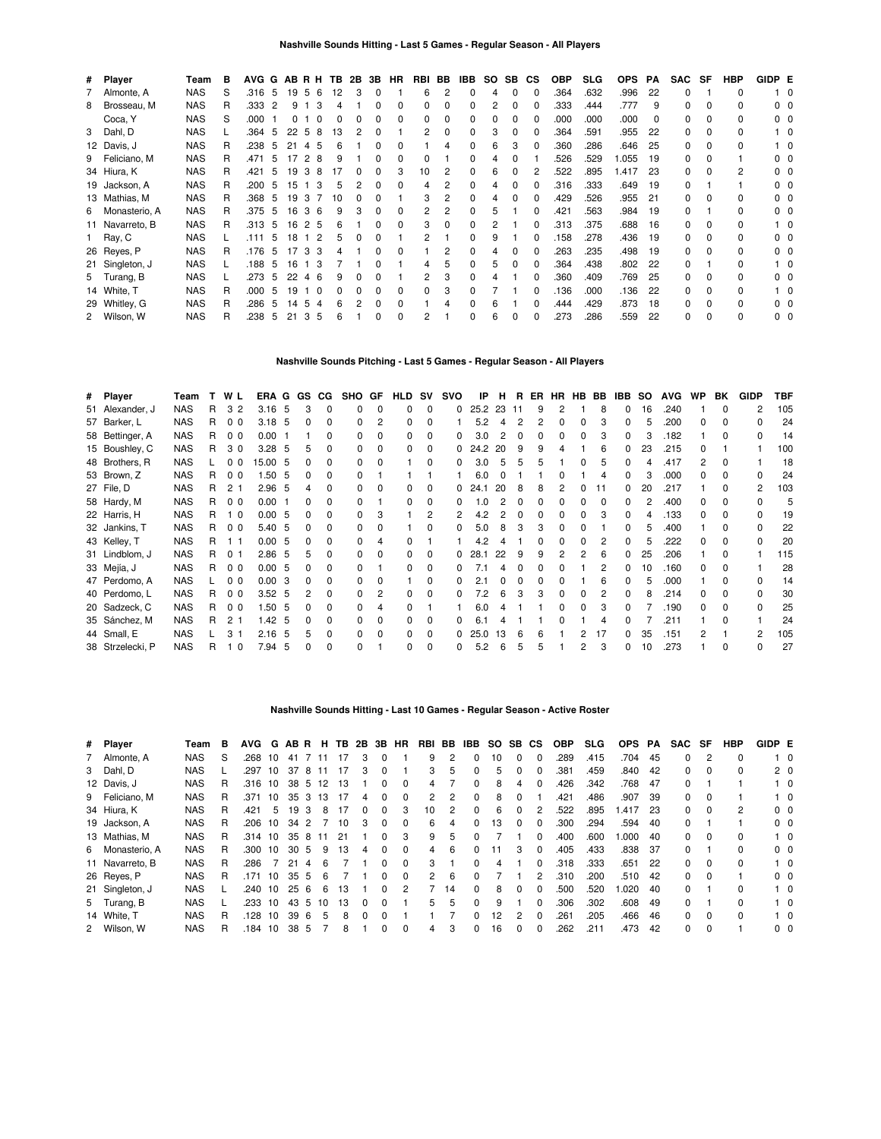| # Player        | Team       | в  | AVG G |     | ABRH |                |          | TB. | 2B | 3B | HR           | RBI | BB | IBB | SO. | SB.          | СS | <b>OBP</b> | <b>SLG</b> | <b>OPS</b> | РA  | <b>SAC</b> | SF           | <b>HBP</b> | GIDP E |                |
|-----------------|------------|----|-------|-----|------|----------------|----------|-----|----|----|--------------|-----|----|-----|-----|--------------|----|------------|------------|------------|-----|------------|--------------|------------|--------|----------------|
| 7 Almonte, A    | <b>NAS</b> | S  | .316  | 5   | 19   | 5              | -6       | 12  | 3  | 0  |              | 6   | 2  |     | 4   | 0            | 0  | .364       | .632       | .996       | 22  | 0          |              | 0          |        | - 0            |
| 8 Brosseau, M   | <b>NAS</b> | R  | .333  | 2   | 9    |                | 3        |     |    |    | 0            | 0   | 0  |     | 2   | <sup>0</sup> |    | .333       | .444       | .777       | 9   | 0          | $\Omega$     | 0          |        | $0\quad 0$     |
| Coca, Y         | <b>NAS</b> | S  | .000  |     | 0    |                | $\Omega$ |     |    | 0  | 0            | 0   | 0  |     | 0   | <sup>0</sup> | 0  | .000       | .000       | .000       | 0   | 0          | <sup>0</sup> | 0          |        | 00             |
| 3 Dahl, D       | <b>NAS</b> |    | .364  | 5   | 22   | -5             | 8        | 13  |    | 0  |              | 2   | 0  |     | 3   | <sup>0</sup> | O  | .364       | .591       | .955       | 22  | $\Omega$   | 0            | 0          |        | 10             |
| 12 Davis, J     | <b>NAS</b> | R. | .238  | 5   | 21   | 45             |          |     |    |    | <sup>0</sup> |     | 4  |     | 6   | 3            | O  | .360       | .286       | .646       | 25  | 0          | $\Omega$     | 0          |        | 10             |
| 9 Feliciano, M  | <b>NAS</b> | R. | .471  | 5   | 17   | 2 8            |          |     |    |    | 0            | 0   |    |     | 4   |              |    | .526       | .529       | 1.055      | 19  | 0          | $\Omega$     |            |        | 00             |
| 34 Hiura, K     | <b>NAS</b> | R  | .421  | 5   | 19   | 3              | -8       |     |    |    | 3            | 10  | 2  |     | 6   |              |    | .522       | .895       | 1.417      | 23  | 0          | <sup>0</sup> | 2          |        | n n            |
| 19 Jackson, A   | <b>NAS</b> | R  | .200  | 5   | 15   |                | -3       | h   |    |    |              | 4   | 2  |     |     |              |    | .316       | .333       | .649       | -19 | $\Omega$   |              |            |        | ი ი            |
| 13 Mathias, M   | <b>NAS</b> | R  | .368  | 5   | 19   | -3             |          | 10  |    |    |              | 3   | 2  |     | 4   |              | O  | .429       | .526       | .955       | 21  | 0          | $\Omega$     | 0          |        | ი ი            |
| 6 Monasterio, A | <b>NAS</b> | R  | .375  | 5   | 16   | 36             |          | 9   | 3  | 0  | 0            | 2   | 2  |     | 5   |              | 0  | .421       | .563       | .984       | 19  | 0          |              | 0          |        | $0\quad 0$     |
| 11 Navarreto, B | <b>NAS</b> | R  | .313  | -5  | 16   | 2 5            |          | 6   |    | 0  | $\Omega$     | 3   | 0  |     | 2   |              | O  | .313       | .375       | .688       | 16  | 0          | n            | 0          |        | 10             |
| 1 Ray, C        | <b>NAS</b> |    | .111  | 5   | 18   | $1\quad2$      |          | 5   |    |    |              | 2   |    |     | 9   |              | O  | .158       | .278       | .436       | 19  | 0          | $\Omega$     | 0          |        | 0 <sub>0</sub> |
| 26 Reyes, P     | <b>NAS</b> | R  | .176  | - 5 | 17   | 33             |          |     |    |    |              |     | 2  |     |     |              | O  | .263       | .235       | .498       | 19  | 0          | $\Omega$     | 0          |        | n n            |
| 21 Singleton, J | <b>NAS</b> |    | .188  | 5   | 16   | 13             |          |     |    |    |              | 4   | 5  |     | 5   |              | O  | .364       | .438       | .802       | 22  | 0          |              | 0          |        | 10             |
| 5 Turang, B     | <b>NAS</b> |    | .273  | 5   | 22   | 4              | -6       |     |    |    |              | 2   | 3  |     | 4   |              |    | .360       | .409       | .769       | 25  | O.         | <sup>0</sup> | n.         |        | n n            |
| 14 White, T     | <b>NAS</b> | R  | .000  | 5   | 19   |                | 0        |     |    |    | <sup>0</sup> | 0   | 3  |     |     |              |    | .136       | .000       | .136       | 22  | 0          | 0            | 0          |        | 10             |
| 29 Whitley, G   | <b>NAS</b> | R  | .286  | 5   | 14   | 5              |          |     |    |    |              |     |    |     | 6   |              |    | .444       | .429       | .873       | 18  | O.         | <sup>0</sup> | n.         |        | 00             |
| 2 Wilson, W     | <b>NAS</b> | R  | .238  | 5   | 21   | 3 <sub>5</sub> |          |     |    | 0  | 0            |     |    |     | 6   | 0            |    | .273       | .286       | .559       | 22  | 0          | <sup>0</sup> | 0          |        | $0\quad 0$     |

#### **Nashville Sounds Pitching - Last 5 Games - Regular Season - All Players**

| # Player         | Team       | т  | W              | L.             | ERA G             |    | GS | CG.          | SHO GF       |          | HLD          | <b>SV</b>    | svo      | IP       | н  | R. | ER. | <b>HR</b> | HB. | BB | IBB | SO. | <b>AVG</b> | <b>WP</b> | BK           | <b>GIDP</b> | TBF |
|------------------|------------|----|----------------|----------------|-------------------|----|----|--------------|--------------|----------|--------------|--------------|----------|----------|----|----|-----|-----------|-----|----|-----|-----|------------|-----------|--------------|-------------|-----|
| 51 Alexander, J  | <b>NAS</b> | R  | 3              | $\overline{2}$ | 3.16              | -5 | 3  | $\Omega$     | 0            | $\Omega$ | 0            | $\Omega$     | $\Omega$ | 25.2 23  |    | 11 | 9   | 2         |     | 8  | 0   | 16  | .240       |           |              | 2           | 105 |
| 57 Barker, L     | <b>NAS</b> | R. | 0 <sub>0</sub> |                | $3.18$ 5          |    | U  |              | <sup>0</sup> | 2        | 0            | <sup>0</sup> |          | 5.2      | 4  |    |     | 0         |     | 3  | 0   | 5   | .200       | O.        |              | 0           | 24  |
| 58 Bettinger, A  | <b>NAS</b> | R  | 0 <sub>0</sub> |                | 0.00              |    |    |              |              | 0        |              |              |          | 3.0      |    |    |     |           |     | 3  |     |     | .182       |           |              | 0           | 14  |
| 15 Boushley, C   | <b>NAS</b> | R  | 30             |                | 3.28              | 5  |    |              |              | 0        | 0            |              |          | 24.2     | 20 | 9  | 9   |           |     | 6  | 0   | 23  | .215       | O.        |              |             | 100 |
| 48 Brothers, R   | <b>NAS</b> |    | 0 <sub>0</sub> |                | 15.00             | -5 |    |              | <sup>0</sup> | 0        |              | <sup>0</sup> |          | 3.0      | 5  | 5. | 5   |           |     | 5  | 0   |     | .417       | 2         | <sup>0</sup> |             | 18  |
| 53 Brown, Z      | <b>NAS</b> | R  | 0 <sub>0</sub> |                | 1.50              | 5  | 0  | <sup>n</sup> |              |          |              |              |          | 6.0      |    |    |     | 0         |     | 4  | 0   | з   | .000       | 0         |              | 0           | 24  |
| 27 File, D       | <b>NAS</b> | R  | 2 <sub>1</sub> |                | 2.96              | 5  |    |              |              |          | 0            | 0            |          | 24.1     | 20 | 8  |     |           |     | 11 | 0   | 20  | .217       |           |              | 2           | 103 |
| 58 Hardy, M      | <b>NAS</b> | R  | 0 <sub>0</sub> |                | 0.00              |    |    |              |              |          | 0            |              |          | $\Omega$ |    |    |     |           |     | ŋ  |     |     | .400       | n.        |              | 0           | 5   |
| 22 Harris, H     | <b>NAS</b> | R  |                | $\overline{0}$ | $0.00\,$          | 5  |    |              | 0            | 3        |              |              |          | 4.2      |    |    |     |           |     |    | n.  |     | .133       | n.        |              | U           | 19  |
| 32 Jankins, T    | <b>NAS</b> | R  | 0 <sub>0</sub> |                | 5.40              | -5 |    |              |              | ŋ        |              |              |          | 5.0      | 8  |    |     |           |     |    |     | h   | .400       |           |              | 0           | 22  |
| 43 Kelley, T     | <b>NAS</b> | R  |                | - 1            | 0.00              | 5  |    |              |              |          |              |              |          | 4.2      |    |    |     |           |     |    | 0   | ҕ   | .222       | n         |              | 0           | 20  |
| 31 Lindblom, J   | <b>NAS</b> | R  | 0 <sub>1</sub> |                | 2.86              | 5  | 5  |              |              | ŋ        | O.           | <sup>0</sup> |          | 28.1     | 22 | 9  | 9   | 2         |     | 6  | 0   | 25  | .206       |           |              |             | 115 |
| 33 Mejía, J      | <b>NAS</b> | R  | 0 <sub>0</sub> |                | 0.00              | -5 | n  |              |              |          | 0            | $\Omega$     |          |          | 4  |    |     | 0         |     |    | 0   | 10  | .160       | 0         |              |             | 28  |
| 47 Perdomo, A    | <b>NAS</b> |    | 0 <sub>0</sub> |                | 0.00              | 3  |    |              |              | 0        |              | 0            |          | 2.1      |    |    |     |           |     | 6  | 0   | 5   | .000       |           |              | o           | 14  |
| 40 Perdomo, L    | <b>NAS</b> | R. | 0 <sub>0</sub> |                | 3.52 <sub>5</sub> |    |    |              | <sup>0</sup> | 2        | 0            |              |          | 7.2      |    |    |     | ŋ         |     |    | 0   | 8   | .214       | n.        |              | 0           | 30  |
| 20 Sadzeck, C    | <b>NAS</b> | R  | 0 <sub>0</sub> |                | .50               | -5 |    |              | 0            | 4        | <sup>n</sup> |              |          | 6.0      |    |    |     | ŋ         |     | 3  | n.  |     | .190       | n.        |              | U           | 25  |
| 35 Sánchez, M    | <b>NAS</b> | R  | 2 <sub>1</sub> |                | 1.42              | 5  |    |              |              | ŋ        | 0            |              |          | 61       |    |    |     |           |     | 4  |     |     | .211       |           |              |             | 24  |
| 44 Small, E      | <b>NAS</b> |    | 3              |                | 2.16              | 5  | 5  | <sup>n</sup> |              | ŋ        | 0            | <sup>0</sup> |          | 25.0     | 13 |    |     |           |     | 17 | 0   | 35  | .151       |           |              | 2           | 105 |
| 38 Strzelecki, P | <b>NAS</b> | R  |                | 1 <sub>0</sub> | 7.94              | 5  | n  | $\Omega$     | 0            |          | 0            | $\Omega$     | 0        | 5.2      | 6  | 5  | 5   |           | 2   | 3  | 0   | 10  | .273       |           | $\Omega$     | 0           | 27  |

#### **Nashville Sounds Hitting - Last 10 Games - Regular Season - Active Roster**

| # Player        | Team       | в | AVG     | G  | ABR H           |    |    | TB. |   |              | 2B 3B HR | RBI BB         |    | IBB          |    | SO SB        | CS.      | <b>OBP</b> | <b>SLG</b> | <b>OPS</b> | PA  | SAC | SF       | HBP | GIDP E |                |
|-----------------|------------|---|---------|----|-----------------|----|----|-----|---|--------------|----------|----------------|----|--------------|----|--------------|----------|------------|------------|------------|-----|-----|----------|-----|--------|----------------|
| 7 Almonte, A    | NAS        | S | .268    | 10 | 41              |    | 11 |     |   | 0            |          | 9              | 2  | 0            | 10 | $\Omega$     |          | .289       | .415       | .704       | 45  | 0   | 2        | 0   |        | $1\quad 0$     |
| 3 Dahl, D       | <b>NAS</b> |   | .297    | 10 | 37              | 8  | 11 |     | 3 | 0            |          | 3              | 5  | 0            | 5  |              |          | .381       | .459       | .840       | 42  | 0   | 0        | 0   |        | 2 0            |
| 12 Davis, J     | <b>NAS</b> | R | .316    | 10 | 38              | 5  | 12 | 13  |   | 0            | $\Omega$ | 4              |    | 0            | 8  | 4            | $\Omega$ | .426       | .342       | .768       | 47  | 0   |          |     |        | $1\quad 0$     |
| 9 Feliciano, M  | <b>NAS</b> | R | .371    | 10 | 35 <sub>3</sub> |    | 13 |     | 4 | 0            | 0        | 2              | 2  | 0            | 8  |              |          | .421       | .486       | .907       | -39 | 0   | 0        |     |        | 10             |
| 34 Hiura, K     | <b>NAS</b> | R | .421    | 5  | 19              | 3  | 8  |     | 0 | 0            | 3        | 10             | 2  | 0            | 6  | <sup>0</sup> |          | .522       | .895       | .417       | 23  | 0   | $\Omega$ | 2   |        | $0\quad 0$     |
| 19 Jackson, A   | <b>NAS</b> | R | .206    | 10 | 34              | 2  |    | 10  | 3 | 0            | $\Omega$ | 6              | 4  | 0            | 13 | 0            |          | .300       | .294       | .594       | -40 | 0   |          |     |        | 0 <sub>0</sub> |
| 13 Mathias, M   | <b>NAS</b> | R | .314 10 |    | 35              | 8  | 11 | 21  |   | <sup>0</sup> | 3        | 9              | 5  | <sup>0</sup> |    |              |          | .400       | .600       | .000       | 40  | 0   | $\Omega$ | 0   |        | $1\quad 0$     |
| 6 Monasterio, A | <b>NAS</b> | R | .300    | 10 | 30              | 5  | 9  | 13  | 4 | 0            | $\Omega$ | 4              | 6  | 0            | -1 | 3            |          | .405       | .433       | .838       | -37 | 0   |          | 0   |        | 0 <sub>0</sub> |
| 11 Navarreto, B | <b>NAS</b> |   | .286    |    | 21              | Δ  | в  |     |   | <sup>0</sup> | $\Omega$ | 3              |    | <sup>0</sup> |    |              |          | .318       | .333       | .651       | 22  | 0   | $\Omega$ | 0   |        | $1\quad$ 0     |
| 26 Reyes, P     | <b>NAS</b> | R | .171    | 10 | 35              | 5  | 6  |     |   | 0            | $\Omega$ | $\overline{2}$ | 6  | $\Omega$     |    |              |          | .310       | .200       | .510       | 42  | 0   | 0        |     |        | 0 <sub>0</sub> |
| 21 Singleton, J | <b>NAS</b> |   | .240    | 10 | 25              | 6  | 6  | 13  |   | <sup>0</sup> | 2        |                | 14 | 0            | 8  | 0            |          | .500       | .520       | 020. ا     | 40  | 0   |          | 0   |        | $1\quad 0$     |
| 5 Turang, B     | <b>NAS</b> |   | .233    | 10 | 43              | -5 | 10 | 13  | 0 | 0            |          | 5              | 5  | 0            | 9  |              |          | .306       | .302       | .608       | 49  | 0   |          | 0   |        | $1\quad$ 0     |
| 14 White, T     | <b>NAS</b> | R | .128    | 10 | 39              | 6  | b. | 8   | ŋ | 0            |          |                |    | 0            | 12 |              |          | .261       | .205       | .466       | 46  | 0   | $\Omega$ | 0   |        | $1\quad 0$     |
| 2 Wilson, W     | <b>NAS</b> |   | .184    | 10 | 38              | 5  |    | 8   |   | 0            | $\Omega$ | 4              | 3  | 0            | 16 | 0            |          | .262       | .211       | .473       | 42  | 0   | $\Omega$ |     |        | $0\quad 0$     |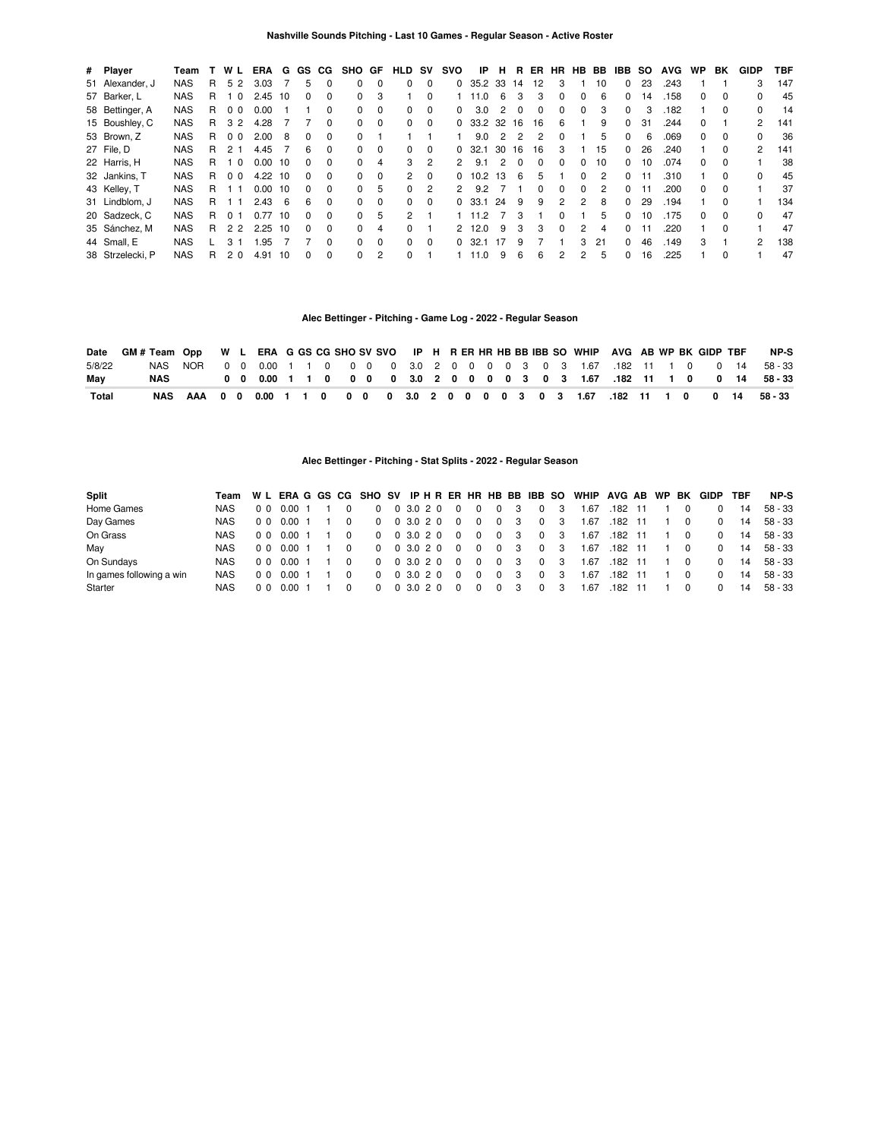| # Player         | Team       |   | W              | <b>ERA</b> | G  | GS.          | CG.          | SHO GF       |              | <b>HLD</b>     | sv       | svo           | IP      | н  | в.       | ER | HR            | HB.      | BB | IBB          | so | <b>AVG</b> | <b>WP</b>    | BK           | <b>GIDP</b>   | TBF |
|------------------|------------|---|----------------|------------|----|--------------|--------------|--------------|--------------|----------------|----------|---------------|---------|----|----------|----|---------------|----------|----|--------------|----|------------|--------------|--------------|---------------|-----|
| 51 Alexander, J  | <b>NAS</b> | R | 52             | 3.03       |    | 5            | $\Omega$     | 0            | <sup>0</sup> | $\Omega$       | $\Omega$ | 0             | 35.2 33 |    | 14       | 12 | 3             |          | 10 | $\Omega$     | 23 | .243       |              |              | 3             | 147 |
| 57 Barker, L     | <b>NAS</b> | R | $\Omega$       | 2.45       | 10 | 0            | <sup>0</sup> | $\Omega$     | 3            |                | $\Omega$ |               | 11.0    | 6  |          | 3  |               |          | 6  | $\Omega$     | 14 | .158       |              | 0            |               | 45  |
| 58 Bettinger, A  | <b>NAS</b> | R | 00             | 0.00       |    |              | $\Omega$     | 0            | $\Omega$     | $\Omega$       | $\Omega$ | 0             | 3.0     | 2  | $\Omega$ | 0  | $\Omega$      | $\Omega$ | 3  | $\Omega$     | 3  | .182       |              | 0            | 0             | 14  |
| 15 Boushley, C   | <b>NAS</b> | R | 32             | 4.28       |    |              | $\Omega$     | 0            | $\Omega$     | $\Omega$       | $\Omega$ | O.            | 33.2 32 |    | 16       | 16 | 6             |          | 9  | <sup>0</sup> | 31 | .244       |              |              | 2             | 141 |
| 53 Brown, Z      | <b>NAS</b> | R | 0 <sub>0</sub> | 2.00       | 8  | 0            | $\Omega$     | 0            |              |                |          |               | 9.0     | 2  |          | 2  | $\Omega$      |          | 5  | $\Omega$     | 6  | .069       | 0            | 0            | 0             | 36  |
| 27 File. D       | <b>NAS</b> | R | 2 <sub>1</sub> | 4.45       |    | 6            | $\Omega$     | $\Omega$     | $\Omega$     | $\Omega$       | $\Omega$ | O.            | 32.1    | 30 | 16       | 16 | 3             |          | 15 | $\Omega$     | 26 | .240       |              | $\Omega$     | $\mathcal{P}$ | 141 |
| 22 Harris, H     | <b>NAS</b> | R | $\Omega$       | 0.00       | 10 | <sup>0</sup> | $\Omega$     | 0            | 4            | 3              | 2        | 2             | 9.1     | 2  | $\Omega$ | 0  | $\Omega$      | $\Omega$ | 10 | $\Omega$     | 10 | .074       | 0            | 0            |               | 38  |
| 32 Jankins, T    | <b>NAS</b> | R | 0 <sub>0</sub> | 4.22       | 10 | <sup>0</sup> | $\Omega$     | $\Omega$     | $\Omega$     | $\overline{2}$ | $\Omega$ | 0             | 10.2    | 13 | 6        | 5  |               | $\Omega$ | 2  | $\Omega$     |    | .310       |              | $\Omega$     | $\Omega$      | 45  |
| 43 Kelley, T     | <b>NAS</b> | R | - 1            | 0.00       | 10 | 0            | $\Omega$     | $\Omega$     | 5            | 0              | 2        | 2             | 9.2     |    |          | 0  | $\Omega$      | $\Omega$ | 2  | $\Omega$     |    | .200       | 0            | 0            |               | 37  |
| 31 Lindblom, J   | <b>NAS</b> | R | - 1            | 2.43       | 6  | 6            | $\Omega$     | 0            | $\Omega$     | $\Omega$       | $\Omega$ | <sup>0</sup>  | 33.1    | 24 | 9        | 9  | 2             | 2        | 8  | $\Omega$     | 29 | .194       |              | 0            |               | 134 |
| 20 Sadzeck, C    | <b>NAS</b> | R | 01             | 0.77       | 10 | <sup>0</sup> | $\Omega$     | $\Omega$     | 5            | $\overline{2}$ |          |               | 11.2    |    |          |    | <sup>0</sup>  |          | 5  | $\Omega$     | 10 | .175       | <sup>0</sup> | 0            | 0             | 47  |
| 35 Sánchez, M    | <b>NAS</b> | R | 22             | 2.25       | 10 | 0            | $\Omega$     | $\Omega$     | 4            | $\Omega$       |          | $\mathcal{P}$ | 12.0    | 9  | 3        | 3  | $\Omega$      | 2        | 4  | $\Omega$     |    | .220       |              | $\Omega$     |               | 47  |
| 44 Small, E      | <b>NAS</b> |   | 3.             | 1.95       |    |              | <sup>0</sup> | <sup>0</sup> | $\Omega$     | $\Omega$       | $\Omega$ | 0             | 32.1    |    |          |    |               | 3        | 21 | 0            | 46 | .149       | з            |              | 2             | 138 |
| 38 Strzelecki, P | <b>NAS</b> | R | 20             | 4.91       | 10 | <sup>0</sup> | <sup>0</sup> | <sup>0</sup> | 2            | $\Omega$       |          |               | 11.0    | 9  | 6        | 6  | $\mathcal{P}$ | 2        | 5  | 0            | 16 | .225       |              | <sup>0</sup> |               | 47  |

# **Alec Bettinger - Pitching - Game Log - 2022 - Regular Season**

|        | Date GM # Team Opp W L ERA G GS CG SHO SV SVO IP H R ER HR HB BB IBB SO WHIP AVG AB WP BK GIDP TBF |  |  |  |  |  |  |  |  |  |  |  |  |  | NP-S                                                                           |
|--------|----------------------------------------------------------------------------------------------------|--|--|--|--|--|--|--|--|--|--|--|--|--|--------------------------------------------------------------------------------|
| 5/8/22 |                                                                                                    |  |  |  |  |  |  |  |  |  |  |  |  |  |                                                                                |
| May    | NAS                                                                                                |  |  |  |  |  |  |  |  |  |  |  |  |  | 0 0 0.00 1 1 0 0 0 0 3.0 2 0 0 0 0 3 0 3 1.67 .182 11 1 0 0 14 58-33           |
| Total  |                                                                                                    |  |  |  |  |  |  |  |  |  |  |  |  |  | NAS AAA 0 0 0.00 1 1 0 0 0 0 0 3.0 2 0 0 0 0 3 0 3 1.67 .182 11 1 0 0 14 58-33 |

# **Alec Bettinger - Pitching - Stat Splits - 2022 - Regular Season**

| Split                    |            |  |                 |  |  |                     |  |          |                         |                         |     |             |                | Team WL ERA G GS CG SHO SV IP H R ER HR HB BB IBB SO WHIP AVG AB WP BK GIDP |           |  |                |          | TBF | NP-S       |
|--------------------------|------------|--|-----------------|--|--|---------------------|--|----------|-------------------------|-------------------------|-----|-------------|----------------|-----------------------------------------------------------------------------|-----------|--|----------------|----------|-----|------------|
| Home Games               | NAS.       |  | 0 0 0 0 0 1 1   |  |  | 0 0 3.0 2 0 0       |  |          | $\Omega$                | $\Omega$                | - 3 | $\mathbf 0$ | - 3            | .67                                                                         | .182 11   |  |                |          | 14  | 58 - 33    |
| Day Games                | NAS.       |  | 0 0 0 0 0 1 1 0 |  |  | 0 0 3.0 2 0 0       |  |          | $\overline{\mathbf{0}}$ | $\overline{\mathbf{0}}$ | - 3 |             | 0 <sup>3</sup> | 1.67                                                                        | .182 11   |  | $\overline{0}$ | $\Omega$ |     | 14 58 - 33 |
| On Grass                 | NAS.       |  | 0 0 0 0 0 1     |  |  | 0 0 3.0 2 0 0       |  |          | $\Omega$                | $\Omega$                | - 3 |             | $0 \quad 3$    | 1.67                                                                        | .182 11   |  | - 0            | $\Omega$ |     | 14 58 - 33 |
| May                      | NAS.       |  | 0 0 0 0 0 1     |  |  | 0 0 3.0 2 0 0       |  |          | $\Omega$                | $^{\circ}$              | - 3 |             | $0 \quad 3$    | 1.67                                                                        | $.182$ 11 |  |                | $\Omega$ |     | 14 58 - 33 |
| On Sundays               | NAS.       |  | 0 0 0 0 0 1     |  |  | 0 0 3.0 2 0         |  | $\Omega$ | $\Omega$                | $\Omega$                | - 3 |             | 0 3            | 1.67                                                                        | .182 11   |  |                | $\Omega$ |     | 14 58 - 33 |
| In games following a win | NAS.       |  | 000001          |  |  | 0 0 3 0 2 0         |  | $\Omega$ | $\Omega$                | $\Omega$                | - 3 |             | $0 \quad 3$    | 1.67                                                                        | .182 11   |  | - 0            | $\Omega$ | 14  | 58 - 33    |
| Starter                  | <b>NAS</b> |  | 0 0 0 0 0 1     |  |  | $0 \t0 \t3.0 \t2.0$ |  | $\Omega$ | $\Omega$                | $\Omega$                | - 3 |             | $0 \quad 3$    | .67                                                                         | .182 11   |  | $\Omega$       | $\Omega$ | 14  | 58 - 33    |